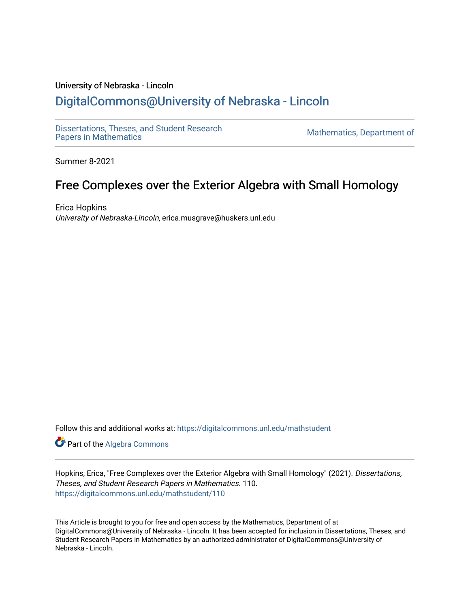## University of Nebraska - Lincoln [DigitalCommons@University of Nebraska - Lincoln](https://digitalcommons.unl.edu/)

[Dissertations, Theses, and Student Research](https://digitalcommons.unl.edu/mathstudent)

Mathematics, Department of

Summer 8-2021

# Free Complexes over the Exterior Algebra with Small Homology

Erica Hopkins University of Nebraska-Lincoln, erica.musgrave@huskers.unl.edu

Follow this and additional works at: [https://digitalcommons.unl.edu/mathstudent](https://digitalcommons.unl.edu/mathstudent?utm_source=digitalcommons.unl.edu%2Fmathstudent%2F110&utm_medium=PDF&utm_campaign=PDFCoverPages)

Part of the [Algebra Commons](http://network.bepress.com/hgg/discipline/175?utm_source=digitalcommons.unl.edu%2Fmathstudent%2F110&utm_medium=PDF&utm_campaign=PDFCoverPages) 

Hopkins, Erica, "Free Complexes over the Exterior Algebra with Small Homology" (2021). Dissertations, Theses, and Student Research Papers in Mathematics. 110. [https://digitalcommons.unl.edu/mathstudent/110](https://digitalcommons.unl.edu/mathstudent/110?utm_source=digitalcommons.unl.edu%2Fmathstudent%2F110&utm_medium=PDF&utm_campaign=PDFCoverPages)

This Article is brought to you for free and open access by the Mathematics, Department of at DigitalCommons@University of Nebraska - Lincoln. It has been accepted for inclusion in Dissertations, Theses, and Student Research Papers in Mathematics by an authorized administrator of DigitalCommons@University of Nebraska - Lincoln.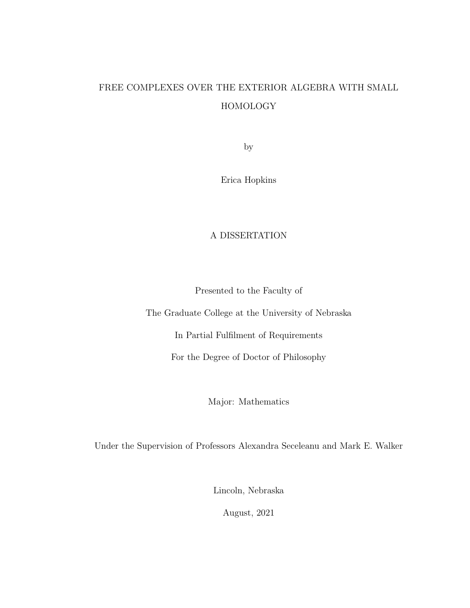# FREE COMPLEXES OVER THE EXTERIOR ALGEBRA WITH SMALL HOMOLOGY

by

Erica Hopkins

## A DISSERTATION

Presented to the Faculty of

The Graduate College at the University of Nebraska

In Partial Fulfilment of Requirements

For the Degree of Doctor of Philosophy

Major: Mathematics

Under the Supervision of Professors Alexandra Seceleanu and Mark E. Walker

Lincoln, Nebraska

August, 2021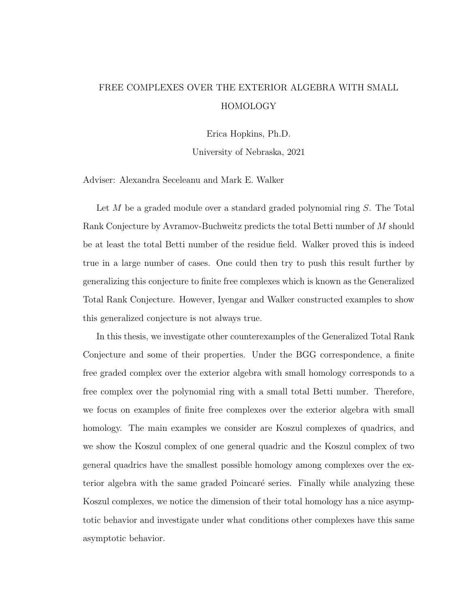# FREE COMPLEXES OVER THE EXTERIOR ALGEBRA WITH SMALL HOMOLOGY

Erica Hopkins, Ph.D.

University of Nebraska, 2021

Adviser: Alexandra Seceleanu and Mark E. Walker

Let  $M$  be a graded module over a standard graded polynomial ring  $S$ . The Total Rank Conjecture by Avramov-Buchweitz predicts the total Betti number of M should be at least the total Betti number of the residue field. Walker proved this is indeed true in a large number of cases. One could then try to push this result further by generalizing this conjecture to finite free complexes which is known as the Generalized Total Rank Conjecture. However, Iyengar and Walker constructed examples to show this generalized conjecture is not always true.

In this thesis, we investigate other counterexamples of the Generalized Total Rank Conjecture and some of their properties. Under the BGG correspondence, a finite free graded complex over the exterior algebra with small homology corresponds to a free complex over the polynomial ring with a small total Betti number. Therefore, we focus on examples of finite free complexes over the exterior algebra with small homology. The main examples we consider are Koszul complexes of quadrics, and we show the Koszul complex of one general quadric and the Koszul complex of two general quadrics have the smallest possible homology among complexes over the exterior algebra with the same graded Poincaré series. Finally while analyzing these Koszul complexes, we notice the dimension of their total homology has a nice asymptotic behavior and investigate under what conditions other complexes have this same asymptotic behavior.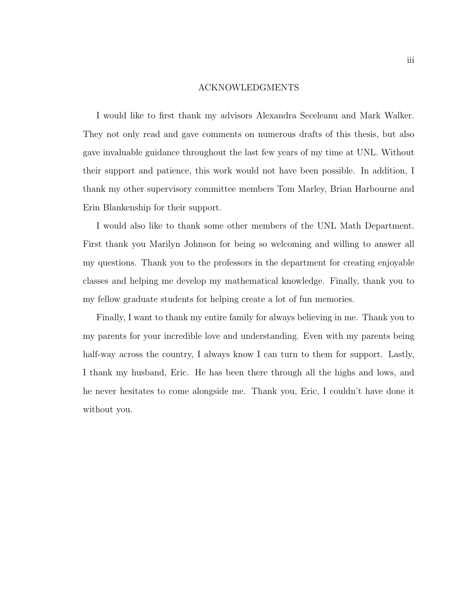#### ACKNOWLEDGMENTS

I would like to first thank my advisors Alexandra Seceleanu and Mark Walker. They not only read and gave comments on numerous drafts of this thesis, but also gave invaluable guidance throughout the last few years of my time at UNL. Without their support and patience, this work would not have been possible. In addition, I thank my other supervisory committee members Tom Marley, Brian Harbourne and Erin Blankenship for their support.

I would also like to thank some other members of the UNL Math Department. First thank you Marilyn Johnson for being so welcoming and willing to answer all my questions. Thank you to the professors in the department for creating enjoyable classes and helping me develop my mathematical knowledge. Finally, thank you to my fellow graduate students for helping create a lot of fun memories.

Finally, I want to thank my entire family for always believing in me. Thank you to my parents for your incredible love and understanding. Even with my parents being half-way across the country, I always know I can turn to them for support. Lastly, I thank my husband, Eric. He has been there through all the highs and lows, and he never hesitates to come alongside me. Thank you, Eric, I couldn't have done it without you.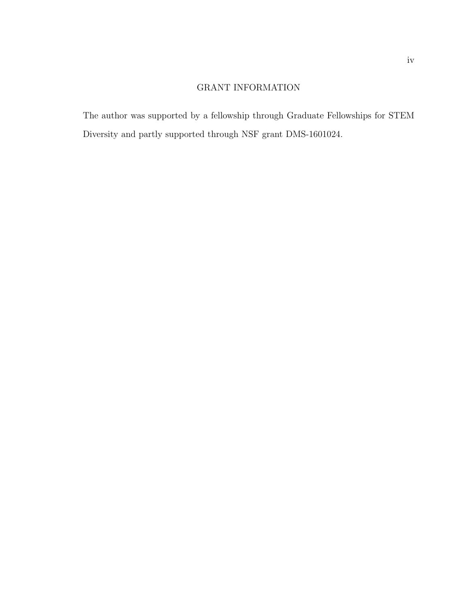## GRANT INFORMATION

The author was supported by a fellowship through Graduate Fellowships for STEM Diversity and partly supported through NSF grant DMS-1601024.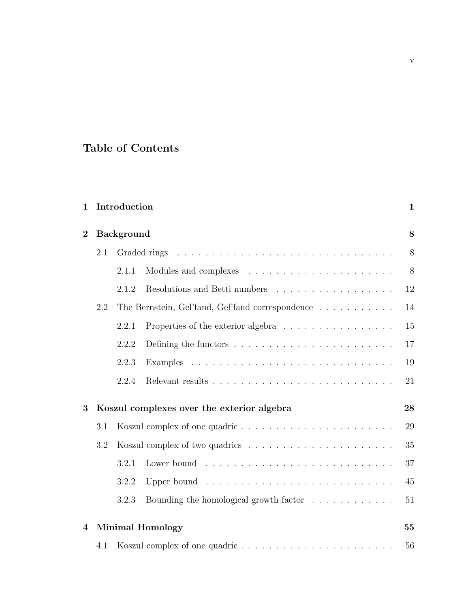# Table of Contents

| 1              |                                            | Introduction                                     |                                                                                                                | 1  |  |  |
|----------------|--------------------------------------------|--------------------------------------------------|----------------------------------------------------------------------------------------------------------------|----|--|--|
| $\overline{2}$ | <b>Background</b>                          |                                                  |                                                                                                                |    |  |  |
|                | 2.1                                        |                                                  |                                                                                                                |    |  |  |
|                |                                            | 2.1.1                                            |                                                                                                                | 8  |  |  |
|                |                                            | 2.1.2                                            | Resolutions and Betti numbers                                                                                  | 12 |  |  |
|                | 2.2                                        | The Bernstein, Gel'fand, Gel'fand correspondence |                                                                                                                |    |  |  |
|                |                                            | 2.2.1                                            | Properties of the exterior algebra                                                                             | 15 |  |  |
|                |                                            | 2.2.2                                            |                                                                                                                | 17 |  |  |
|                |                                            | 2.2.3                                            |                                                                                                                | 19 |  |  |
|                |                                            | 2.2.4                                            |                                                                                                                | 21 |  |  |
| 3              | Koszul complexes over the exterior algebra |                                                  |                                                                                                                |    |  |  |
|                | 3.1                                        |                                                  |                                                                                                                |    |  |  |
|                | 3.2                                        |                                                  |                                                                                                                | 35 |  |  |
|                |                                            | 3.2.1                                            |                                                                                                                | 37 |  |  |
|                |                                            | 3.2.2                                            | Upper bound received and service contract to the service of the Upper bound received and the Upper Service Com | 45 |  |  |
|                |                                            | 3.2.3                                            | Bounding the homological growth factor $\ldots \ldots \ldots \ldots$                                           | 51 |  |  |
| 4              |                                            |                                                  | <b>Minimal Homology</b>                                                                                        | 55 |  |  |
|                | 4.1                                        |                                                  |                                                                                                                | 56 |  |  |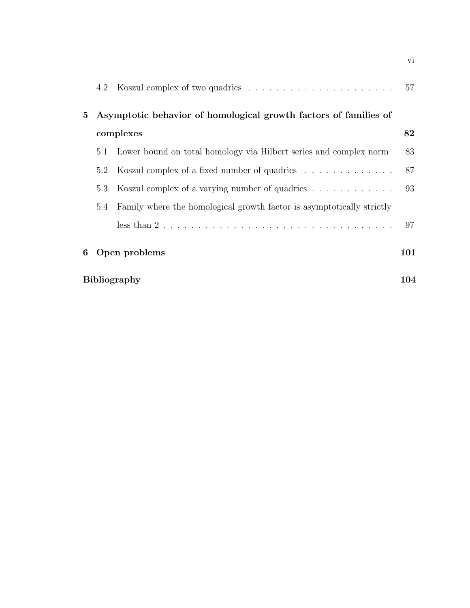|                | 4.2                                                              |                                                                                            | 57  |  |  |  |  |  |  |
|----------------|------------------------------------------------------------------|--------------------------------------------------------------------------------------------|-----|--|--|--|--|--|--|
| 5 <sup>5</sup> | Asymptotic behavior of homological growth factors of families of |                                                                                            |     |  |  |  |  |  |  |
|                | complexes                                                        |                                                                                            |     |  |  |  |  |  |  |
|                | 5.1                                                              | Lower bound on total homology via Hilbert series and complex norm                          | 83  |  |  |  |  |  |  |
|                | 5.2                                                              | Koszul complex of a fixed number of quadrics                                               | 87  |  |  |  |  |  |  |
|                | 5.3                                                              | Koszul complex of a varying number of quadrics                                             | 93  |  |  |  |  |  |  |
|                | 5.4                                                              | Family where the homological growth factor is asymptotically strictly                      |     |  |  |  |  |  |  |
|                |                                                                  | less than $2 \ldots \ldots \ldots \ldots \ldots \ldots \ldots \ldots \ldots \ldots \ldots$ | 97  |  |  |  |  |  |  |
| 6              | Open problems                                                    |                                                                                            |     |  |  |  |  |  |  |
|                |                                                                  | <b>Bibliography</b>                                                                        | 104 |  |  |  |  |  |  |

vi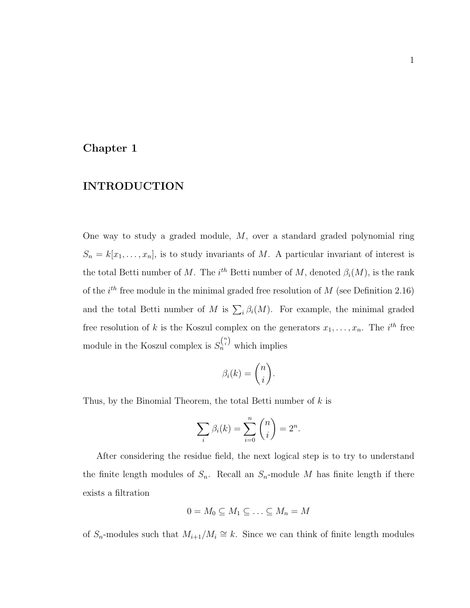#### <span id="page-7-0"></span>Chapter 1

## INTRODUCTION

One way to study a graded module,  $M$ , over a standard graded polynomial ring  $S_n = k[x_1, \ldots, x_n]$ , is to study invariants of M. A particular invariant of interest is the total Betti number of M. The  $i^{th}$  Betti number of M, denoted  $\beta_i(M)$ , is the rank of the  $i^{th}$  free module in the minimal graded free resolution of M (see Definition [2.16\)](#page-19-0) and the total Betti number of M is  $\sum_i \beta_i(M)$ . For example, the minimal graded free resolution of k is the Koszul complex on the generators  $x_1, \ldots, x_n$ . The i<sup>th</sup> free module in the Koszul complex is  $S_n^{n \choose i}$  which implies

$$
\beta_i(k) = \binom{n}{i}.
$$

Thus, by the Binomial Theorem, the total Betti number of  $k$  is

$$
\sum_{i} \beta_i(k) = \sum_{i=0}^{n} {n \choose i} = 2^n.
$$

After considering the residue field, the next logical step is to try to understand the finite length modules of  $S_n$ . Recall an  $S_n$ -module M has finite length if there exists a filtration

$$
0 = M_0 \subseteq M_1 \subseteq \ldots \subseteq M_n = M
$$

of  $S_n$ -modules such that  $M_{i+1}/M_i \cong k$ . Since we can think of finite length modules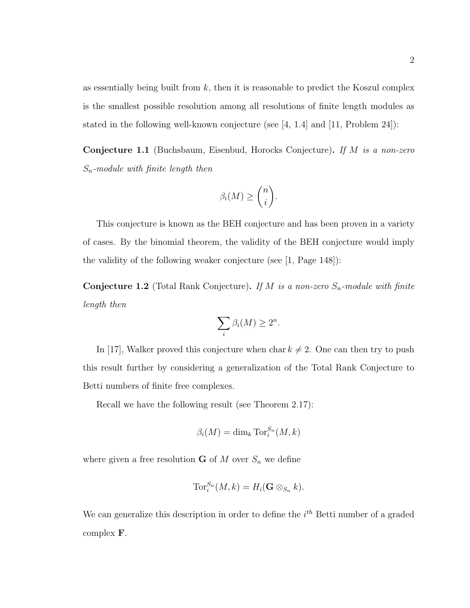as essentially being built from  $k$ , then it is reasonable to predict the Koszul complex is the smallest possible resolution among all resolutions of finite length modules as stated in the following well-known conjecture (see [\[4,](#page-110-1) 1.4] and [\[11,](#page-111-0) Problem 24]):

Conjecture 1.1 (Buchsbaum, Eisenbud, Horocks Conjecture). If M is a non-zero  $S_n$ -module with finite length then

$$
\beta_i(M) \geq \binom{n}{i}.
$$

This conjecture is known as the BEH conjecture and has been proven in a variety of cases. By the binomial theorem, the validity of the BEH conjecture would imply the validity of the following weaker conjecture (see [\[1,](#page-110-2) Page 148]):

<span id="page-8-0"></span>**Conjecture 1.2** (Total Rank Conjecture). If M is a non-zero  $S_n$ -module with finite length then

$$
\sum_{i} \beta_i(M) \ge 2^n.
$$

In [\[17\]](#page-111-1), Walker proved this conjecture when char  $k \neq 2$ . One can then try to push this result further by considering a generalization of the Total Rank Conjecture to Betti numbers of finite free complexes.

Recall we have the following result (see Theorem [2.17\)](#page-19-1):

$$
\beta_i(M) = \dim_k \operatorname{Tor}_i^{S_n}(M, k)
$$

where given a free resolution **G** of  $M$  over  $S_n$  we define

$$
\operatorname{Tor}_i^{S_n}(M,k) = H_i(\mathbf{G} \otimes_{S_n} k).
$$

We can generalize this description in order to define the  $i^{th}$  Betti number of a graded complex F.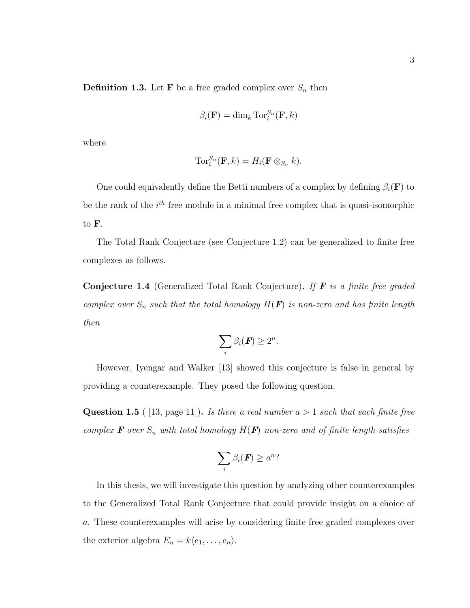**Definition 1.3.** Let **F** be a free graded complex over  $S_n$  then

$$
\beta_i(\mathbf{F}) = \dim_k \operatorname{Tor}_i^{S_n}(\mathbf{F}, k)
$$

where

$$
\operatorname{Tor}_i^{S_n}(\mathbf{F},k) = H_i(\mathbf{F} \otimes_{S_n} k).
$$

One could equivalently define the Betti numbers of a complex by defining  $\beta_i(\mathbf{F})$  to be the rank of the  $i<sup>th</sup>$  free module in a minimal free complex that is quasi-isomorphic to F.

The Total Rank Conjecture (see Conjecture [1.2\)](#page-8-0) can be generalized to finite free complexes as follows.

<span id="page-9-1"></span>**Conjecture 1.4** (Generalized Total Rank Conjecture). If  $\bf{F}$  is a finite free graded complex over  $S_n$  such that the total homology  $H(\mathbf{F})$  is non-zero and has finite length then

$$
\sum_i \beta_i(\boldsymbol{F}) \geq 2^n.
$$

However, Iyengar and Walker [\[13\]](#page-111-2) showed this conjecture is false in general by providing a counterexample. They posed the following question.

<span id="page-9-0"></span>**Question 1.5** ( [\[13,](#page-111-2) page 11]). Is there a real number  $a > 1$  such that each finite free complex  $\mathbf F$  over  $S_n$  with total homology  $H(\mathbf F)$  non-zero and of finite length satisfies

$$
\sum_i \beta_i(\boldsymbol{F}) \ge a^n?
$$

In this thesis, we will investigate this question by analyzing other counterexamples to the Generalized Total Rank Conjecture that could provide insight on a choice of a. These counterexamples will arise by considering finite free graded complexes over the exterior algebra  $E_n = k\langle e_1, \ldots, e_n \rangle$ .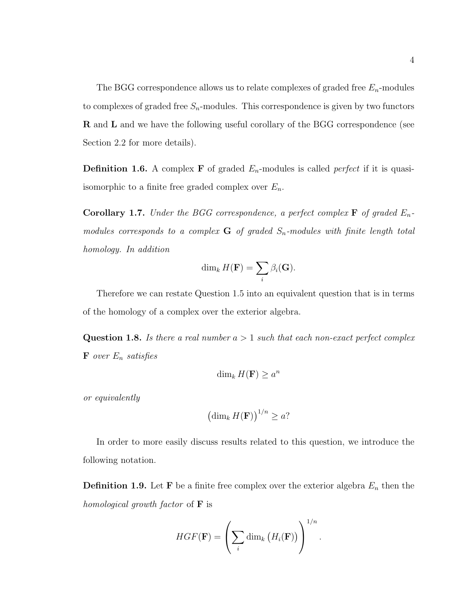The BGG correspondence allows us to relate complexes of graded free  $E_n$ -modules to complexes of graded free  $S_n$ -modules. This correspondence is given by two functors **R** and **L** and we have the following useful corollary of the BGG correspondence (see Section [2.2](#page-20-0) for more details).

**Definition 1.6.** A complex **F** of graded  $E_n$ -modules is called *perfect* if it is quasiisomorphic to a finite free graded complex over  $E_n$ .

<span id="page-10-0"></span>**Corollary 1.7.** Under the BGG correspondence, a perfect complex **F** of graded  $E_n$ modules corresponds to a complex  $G$  of graded  $S_n$ -modules with finite length total homology. In addition

$$
\dim_k H(\mathbf{F}) = \sum_i \beta_i(\mathbf{G}).
$$

Therefore we can restate Question [1.5](#page-9-0) into an equivalent question that is in terms of the homology of a complex over the exterior algebra.

<span id="page-10-1"></span>**Question 1.8.** Is there a real number  $a > 1$  such that each non-exact perfect complex  $\mathbf F$  over  $E_n$  satisfies

$$
\dim_k H(\mathbf{F}) \ge a^n
$$

or equivalently

$$
\left(\dim_k H(\mathbf{F})\right)^{1/n} \ge a?
$$

In order to more easily discuss results related to this question, we introduce the following notation.

<span id="page-10-2"></span>**Definition 1.9.** Let **F** be a finite free complex over the exterior algebra  $E_n$  then the homological growth factor of  $\bf{F}$  is

$$
HGF(\mathbf{F}) = \left(\sum_{i} \dim_{k} (H_{i}(\mathbf{F}))\right)^{1/n}.
$$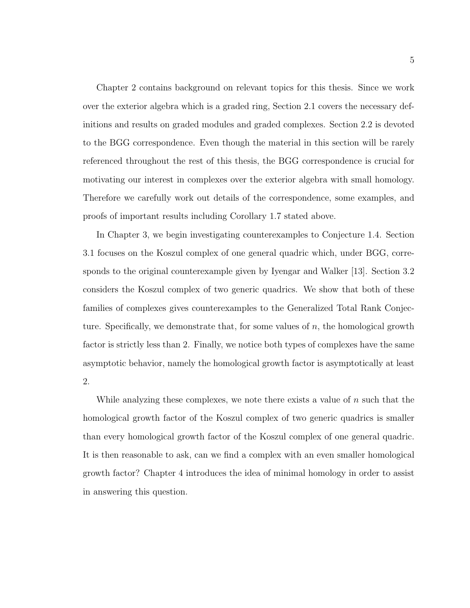Chapter [2](#page-14-0) contains background on relevant topics for this thesis. Since we work over the exterior algebra which is a graded ring, Section [2.1](#page-14-1) covers the necessary definitions and results on graded modules and graded complexes. Section [2.2](#page-20-0) is devoted to the BGG correspondence. Even though the material in this section will be rarely referenced throughout the rest of this thesis, the BGG correspondence is crucial for motivating our interest in complexes over the exterior algebra with small homology. Therefore we carefully work out details of the correspondence, some examples, and proofs of important results including Corollary [1.7](#page-10-0) stated above.

In Chapter [3,](#page-34-0) we begin investigating counterexamples to Conjecture [1.4.](#page-9-1) Section [3.1](#page-35-0) focuses on the Koszul complex of one general quadric which, under BGG, corresponds to the original counterexample given by Iyengar and Walker [\[13\]](#page-111-2). Section [3.2](#page-41-0) considers the Koszul complex of two generic quadrics. We show that both of these families of complexes gives counterexamples to the Generalized Total Rank Conjecture. Specifically, we demonstrate that, for some values of  $n$ , the homological growth factor is strictly less than 2. Finally, we notice both types of complexes have the same asymptotic behavior, namely the homological growth factor is asymptotically at least 2.

While analyzing these complexes, we note there exists a value of  $n$  such that the homological growth factor of the Koszul complex of two generic quadrics is smaller than every homological growth factor of the Koszul complex of one general quadric. It is then reasonable to ask, can we find a complex with an even smaller homological growth factor? Chapter [4](#page-61-0) introduces the idea of minimal homology in order to assist in answering this question.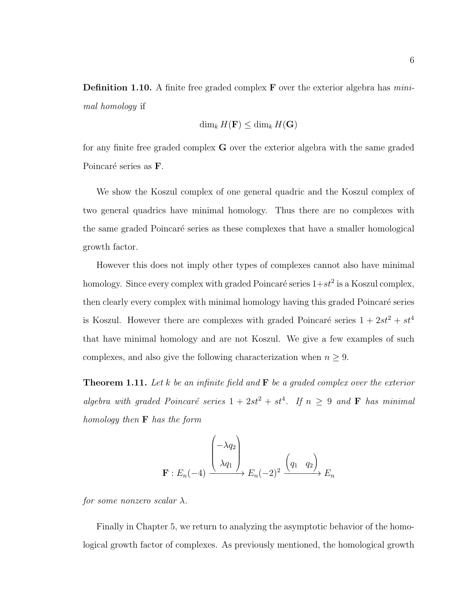**Definition 1.10.** A finite free graded complex  $\bf{F}$  over the exterior algebra has *mini*mal homology if

$$
\dim_k H(\mathbf{F}) \le \dim_k H(\mathbf{G})
$$

for any finite free graded complex G over the exterior algebra with the same graded Poincaré series as **F**.

We show the Koszul complex of one general quadric and the Koszul complex of two general quadrics have minimal homology. Thus there are no complexes with the same graded Poincaré series as these complexes that have a smaller homological growth factor.

However this does not imply other types of complexes cannot also have minimal homology. Since every complex with graded Poincaré series  $1+st^2$  is a Koszul complex, then clearly every complex with minimal homology having this graded Poincaré series is Koszul. However there are complexes with graded Poincaré series  $1 + 2st^2 + st^4$ that have minimal homology and are not Koszul. We give a few examples of such complexes, and also give the following characterization when  $n \geq 9$ .

**Theorem 1.11.** Let k be an infinite field and  $\mathbf{F}$  be a graded complex over the exterior algebra with graded Poincaré series  $1 + 2st^2 + st^4$ . If  $n \geq 9$  and **F** has minimal homology then F has the form

$$
\mathbf{F}: E_n(-4) \xrightarrow{\begin{pmatrix} -\lambda q_2 \\ \lambda q_1 \end{pmatrix}} E_n(-2)^2 \xrightarrow{\begin{pmatrix} q_1 & q_2 \end{pmatrix}} E_n
$$

for some nonzero scalar  $\lambda$ .

Finally in Chapter [5,](#page-88-0) we return to analyzing the asymptotic behavior of the homological growth factor of complexes. As previously mentioned, the homological growth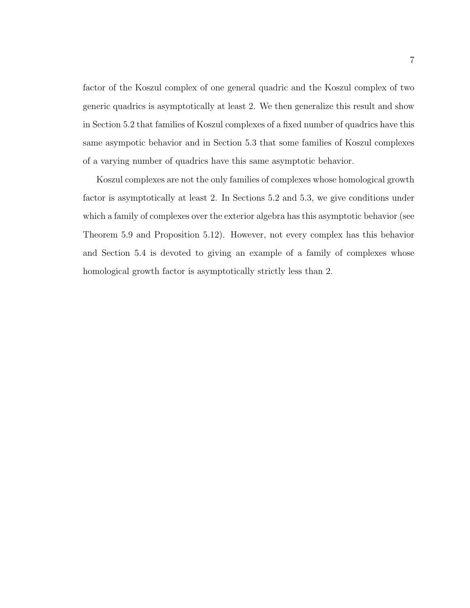factor of the Koszul complex of one general quadric and the Koszul complex of two generic quadrics is asymptotically at least 2. We then generalize this result and show in Section [5.2](#page-93-0) that families of Koszul complexes of a fixed number of quadrics have this same asympotic behavior and in Section [5.3](#page-99-0) that some families of Koszul complexes of a varying number of quadrics have this same asymptotic behavior.

Koszul complexes are not the only families of complexes whose homological growth factor is asymptotically at least 2. In Sections [5.2](#page-93-0) and [5.3,](#page-99-0) we give conditions under which a family of complexes over the exterior algebra has this asymptotic behavior (see Theorem [5.9](#page-95-0) and Proposition [5.12\)](#page-100-0). However, not every complex has this behavior and Section [5.4](#page-103-0) is devoted to giving an example of a family of complexes whose homological growth factor is asymptotically strictly less than 2.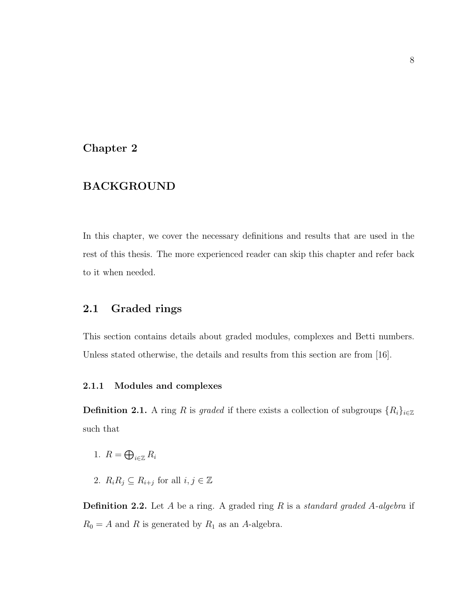## <span id="page-14-0"></span>Chapter 2

## BACKGROUND

In this chapter, we cover the necessary definitions and results that are used in the rest of this thesis. The more experienced reader can skip this chapter and refer back to it when needed.

## <span id="page-14-1"></span>2.1 Graded rings

This section contains details about graded modules, complexes and Betti numbers. Unless stated otherwise, the details and results from this section are from [\[16\]](#page-111-3).

#### <span id="page-14-2"></span>2.1.1 Modules and complexes

**Definition 2.1.** A ring R is graded if there exists a collection of subgroups  $\{R_i\}_{i\in\mathbb{Z}}$ such that

- 1.  $R = \bigoplus_{i \in \mathbb{Z}} R_i$
- 2.  $R_i R_j \subseteq R_{i+j}$  for all  $i, j \in \mathbb{Z}$

**Definition 2.2.** Let A be a ring. A graded ring R is a *standard graded A-algebra* if  $R_0 = A$  and R is generated by  $R_1$  as an A-algebra.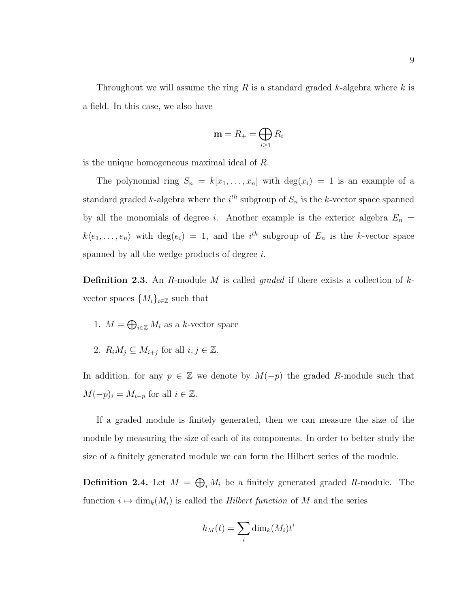Throughout we will assume the ring  $R$  is a standard graded  $k$ -algebra where  $k$  is a field. In this case, we also have

$$
\mathbf{m} = R_+ = \bigoplus_{i \ge 1} R_i
$$

is the unique homogeneous maximal ideal of R.

The polynomial ring  $S_n = k[x_1, \ldots, x_n]$  with  $\deg(x_i) = 1$  is an example of a standard graded k-algebra where the  $i^{th}$  subgroup of  $S_n$  is the k-vector space spanned by all the monomials of degree i. Another example is the exterior algebra  $E_n =$  $k\langle e_1,\ldots,e_n\rangle$  with  $\deg(e_i) = 1$ , and the i<sup>th</sup> subgroup of  $E_n$  is the k-vector space spanned by all the wedge products of degree i.

**Definition 2.3.** An R-module M is called *graded* if there exists a collection of  $k$ vector spaces  $\{M_i\}_{i\in\mathbb{Z}}$  such that

- 1.  $M = \bigoplus_{i \in \mathbb{Z}} M_i$  as a k-vector space
- 2.  $R_i M_j \subseteq M_{i+j}$  for all  $i, j \in \mathbb{Z}$ .

In addition, for any  $p \in \mathbb{Z}$  we denote by  $M(-p)$  the graded R-module such that  $M(-p)_i = M_{i-p}$  for all  $i \in \mathbb{Z}$ .

If a graded module is finitely generated, then we can measure the size of the module by measuring the size of each of its components. In order to better study the size of a finitely generated module we can form the Hilbert series of the module.

**Definition 2.4.** Let  $M = \bigoplus_i M_i$  be a finitely generated graded R-module. The function  $i \mapsto \dim_k(M_i)$  is called the Hilbert function of M and the series

$$
h_M(t) = \sum_i \dim_k(M_i) t^i
$$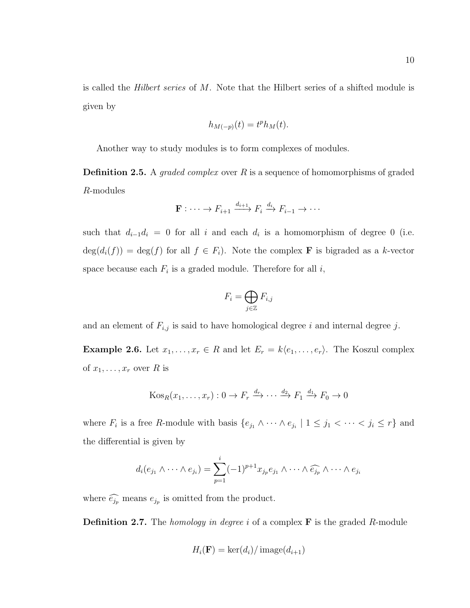is called the Hilbert series of M. Note that the Hilbert series of a shifted module is given by

$$
h_{M(-p)}(t) = t^p h_M(t).
$$

Another way to study modules is to form complexes of modules.

**Definition 2.5.** A *graded complex* over  $R$  is a sequence of homomorphisms of graded R-modules

$$
\mathbf{F} : \cdots \to F_{i+1} \xrightarrow{d_{i+1}} F_i \xrightarrow{d_i} F_{i-1} \to \cdots
$$

such that  $d_{i-1}d_i = 0$  for all i and each  $d_i$  is a homomorphism of degree 0 (i.e.  $deg(d_i(f)) = deg(f)$  for all  $f \in F_i$ ). Note the complex **F** is bigraded as a k-vector space because each  $F_i$  is a graded module. Therefore for all  $i$ ,

$$
F_i = \bigoplus_{j \in \mathbb{Z}} F_{i,j}
$$

and an element of  $F_{i,j}$  is said to have homological degree i and internal degree j.

**Example 2.6.** Let  $x_1, \ldots, x_r \in R$  and let  $E_r = k\langle e_1, \ldots, e_r \rangle$ . The Koszul complex of  $x_1, \ldots, x_r$  over R is

$$
Kos_R(x_1, \ldots, x_r): 0 \to F_r \xrightarrow{d_r} \cdots \xrightarrow{d_2} F_1 \xrightarrow{d_1} F_0 \to 0
$$

where  $F_i$  is a free R-module with basis  $\{e_{j_1} \wedge \cdots \wedge e_{j_i} \mid 1 \leq j_1 < \cdots < j_i \leq r\}$  and the differential is given by

$$
d_i(e_{j_1} \wedge \cdots \wedge e_{j_i}) = \sum_{p=1}^i (-1)^{p+1} x_{j_p} e_{j_1} \wedge \cdots \wedge \widehat{e_{j_p}} \wedge \cdots \wedge e_{j_i}
$$

where  $\widehat{e_{j_p}}$  means  $e_{j_p}$  is omitted from the product.

**Definition 2.7.** The *homology in degree i* of a complex  $\bf{F}$  is the graded R-module

$$
H_i(\mathbf{F}) = \ker(d_i) / \operatorname{image}(d_{i+1})
$$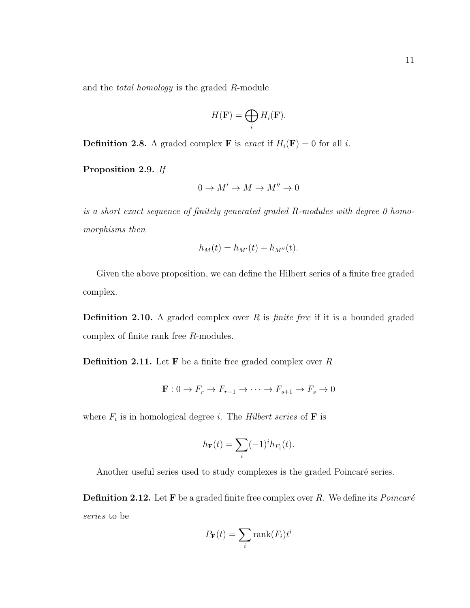and the total homology is the graded R-module

$$
H(\mathbf{F}) = \bigoplus_i H_i(\mathbf{F}).
$$

**Definition 2.8.** A graded complex **F** is exact if  $H_i(\mathbf{F}) = 0$  for all i.

Proposition 2.9. If

$$
0 \to M' \to M \to M'' \to 0
$$

is a short exact sequence of finitely generated graded R-modules with degree 0 homomorphisms then

$$
h_M(t) = h_{M'}(t) + h_{M''}(t).
$$

Given the above proposition, we can define the Hilbert series of a finite free graded complex.

**Definition 2.10.** A graded complex over  $R$  is *finite free* if it is a bounded graded complex of finite rank free R-modules.

**Definition 2.11.** Let **F** be a finite free graded complex over  $R$ 

$$
\mathbf{F}: 0 \to F_r \to F_{r-1} \to \cdots \to F_{s+1} \to F_s \to 0
$$

where  $F_i$  is in homological degree *i*. The *Hilbert series* of **F** is

$$
h_{\mathbf{F}}(t) = \sum_{i} (-1)^{i} h_{F_i}(t).
$$

Another useful series used to study complexes is the graded Poincaré series.

**Definition 2.12.** Let **F** be a graded finite free complex over R. We define its  $Poincaré$ series to be

$$
P_{\mathbf{F}}(t) = \sum_{i} \text{rank}(F_i) t^i
$$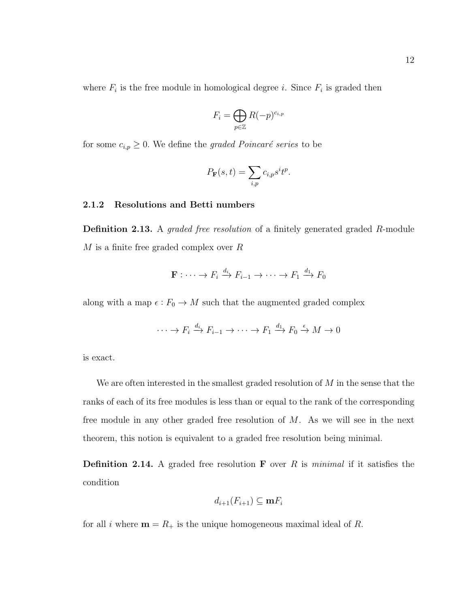where  $F_i$  is the free module in homological degree *i*. Since  $F_i$  is graded then

$$
F_i = \bigoplus_{p \in \mathbb{Z}} R(-p)^{c_{i,p}}
$$

for some  $c_{i,p} \geq 0$ . We define the graded Poincaré series to be

$$
P_{\mathbf{F}}(s,t) = \sum_{i,p} c_{i,p} s^i t^p.
$$

#### <span id="page-18-0"></span>2.1.2 Resolutions and Betti numbers

**Definition 2.13.** A *graded free resolution* of a finitely generated graded R-module  $M$  is a finite free graded complex over  $R$ 

$$
\mathbf{F} : \cdots \to F_i \xrightarrow{d_i} F_{i-1} \to \cdots \to F_1 \xrightarrow{d_1} F_0
$$

along with a map  $\epsilon : F_0 \to M$  such that the augmented graded complex

$$
\cdots \to F_i \xrightarrow{d_i} F_{i-1} \to \cdots \to F_1 \xrightarrow{d_1} F_0 \xrightarrow{\epsilon} M \to 0
$$

is exact.

We are often interested in the smallest graded resolution of  $M$  in the sense that the ranks of each of its free modules is less than or equal to the rank of the corresponding free module in any other graded free resolution of  $M$ . As we will see in the next theorem, this notion is equivalent to a graded free resolution being minimal.

**Definition 2.14.** A graded free resolution **F** over R is minimal if it satisfies the condition

$$
d_{i+1}(F_{i+1}) \subseteq \mathbf{m} F_i
$$

for all i where  $\mathbf{m} = R_+$  is the unique homogeneous maximal ideal of R.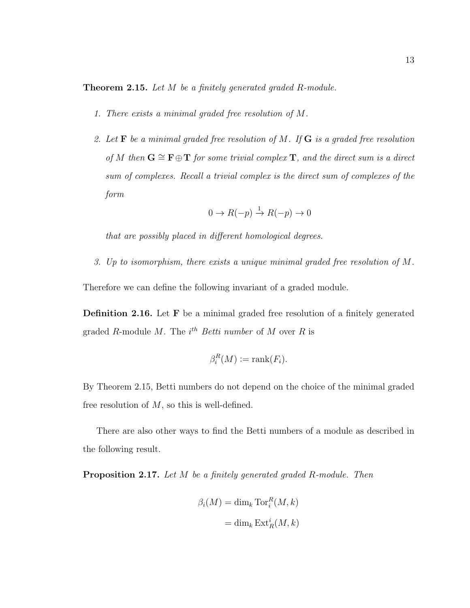<span id="page-19-2"></span>Theorem 2.15. Let M be a finitely generated graded R-module.

- 1. There exists a minimal graded free resolution of M.
- 2. Let  $\bf{F}$  be a minimal graded free resolution of M. If  $\bf{G}$  is a graded free resolution of M then  $G \cong F \oplus T$  for some trivial complex T, and the direct sum is a direct sum of complexes. Recall a trivial complex is the direct sum of complexes of the form

$$
0 \to R(-p) \xrightarrow{1} R(-p) \to 0
$$

that are possibly placed in different homological degrees.

3. Up to isomorphism, there exists a unique minimal graded free resolution of M.

Therefore we can define the following invariant of a graded module.

<span id="page-19-0"></span>Definition 2.16. Let F be a minimal graded free resolution of a finitely generated graded R-module M. The  $i^{th}$  Betti number of M over R is

$$
\beta_i^R(M) := \text{rank}(F_i).
$$

By Theorem [2.15,](#page-19-2) Betti numbers do not depend on the choice of the minimal graded free resolution of  $M$ , so this is well-defined.

There are also other ways to find the Betti numbers of a module as described in the following result.

<span id="page-19-1"></span>Proposition 2.17. Let M be a finitely generated graded R-module. Then

$$
\beta_i(M) = \dim_k \operatorname{Tor}_i^R(M, k)
$$

$$
= \dim_k \operatorname{Ext}_R^i(M, k)
$$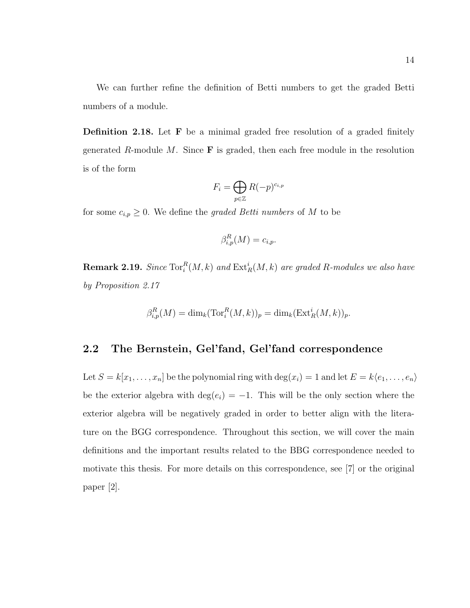We can further refine the definition of Betti numbers to get the graded Betti numbers of a module.

Definition 2.18. Let F be a minimal graded free resolution of a graded finitely generated R-module M. Since  $\bf{F}$  is graded, then each free module in the resolution is of the form

$$
F_i = \bigoplus_{p \in \mathbb{Z}} R(-p)^{c_{i,p}}
$$

for some  $c_{i,p} \geq 0$ . We define the *graded Betti numbers* of M to be

$$
\beta_{i,p}^R(M) = c_{i,p}.
$$

**Remark 2.19.** Since  $\text{Tor}_{i}^{R}(M, k)$  and  $\text{Ext}_{R}^{i}(M, k)$  are graded R-modules we also have by Proposition [2.17](#page-19-1)

$$
\beta_{i,p}^R(M) = \dim_k(\operatorname{Tor}_i^R(M,k))_p = \dim_k(\operatorname{Ext}_R^i(M,k))_p.
$$

#### <span id="page-20-0"></span>2.2 The Bernstein, Gel'fand, Gel'fand correspondence

Let  $S = k[x_1, \ldots, x_n]$  be the polynomial ring with  $\deg(x_i) = 1$  and let  $E = k\langle e_1, \ldots, e_n \rangle$ be the exterior algebra with  $\deg(e_i) = -1$ . This will be the only section where the exterior algebra will be negatively graded in order to better align with the literature on the BGG correspondence. Throughout this section, we will cover the main definitions and the important results related to the BBG correspondence needed to motivate this thesis. For more details on this correspondence, see [\[7\]](#page-110-3) or the original paper [\[2\]](#page-110-4).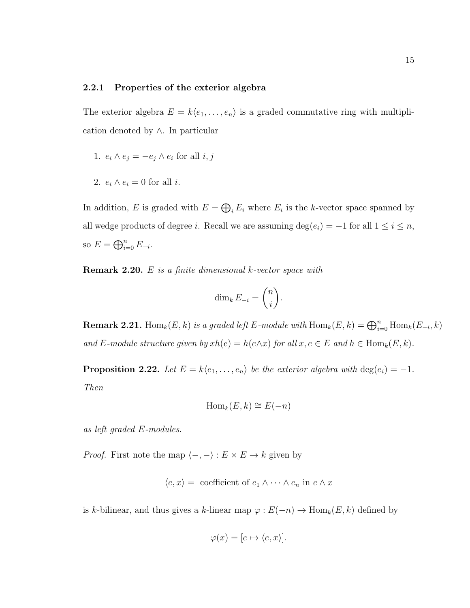#### <span id="page-21-0"></span>2.2.1 Properties of the exterior algebra

The exterior algebra  $E = k\langle e_1, \ldots, e_n \rangle$  is a graded commutative ring with multiplication denoted by ∧. In particular

- 1.  $e_i \wedge e_j = -e_j \wedge e_i$  for all  $i, j$
- 2.  $e_i \wedge e_i = 0$  for all *i*.

In addition, E is graded with  $E = \bigoplus_i E_i$  where  $E_i$  is the k-vector space spanned by all wedge products of degree *i*. Recall we are assuming  $\deg(e_i) = -1$  for all  $1 \le i \le n$ , so  $E = \bigoplus_{i=0}^{n} E_{-i}$ .

Remark 2.20. E is a finite dimensional k-vector space with

$$
\dim_k E_{-i} = \binom{n}{i}.
$$

**Remark 2.21.** Hom<sub>k</sub> $(E, k)$  is a graded left E-module with  $\text{Hom}_k(E, k) = \bigoplus_{i=0}^n \text{Hom}_k(E_{-i}, k)$ and E-module structure given by  $xh(e) = h(e \wedge x)$  for all  $x, e \in E$  and  $h \in \text{Hom}_k(E, k)$ .

<span id="page-21-1"></span>**Proposition 2.22.** Let  $E = k\langle e_1, \ldots, e_n \rangle$  be the exterior algebra with  $\deg(e_i) = -1$ . Then

$$
\operatorname{Hom}_k(E,k) \cong E(-n)
$$

as left graded E-modules.

*Proof.* First note the map  $\langle -, - \rangle : E \times E \to k$  given by

$$
\langle e, x \rangle =
$$
 coefficient of  $e_1 \wedge \cdots \wedge e_n$  in  $e \wedge x$ 

is k-bilinear, and thus gives a k-linear map  $\varphi : E(-n) \to \text{Hom}_k(E, k)$  defined by

$$
\varphi(x) = [e \mapsto \langle e, x \rangle].
$$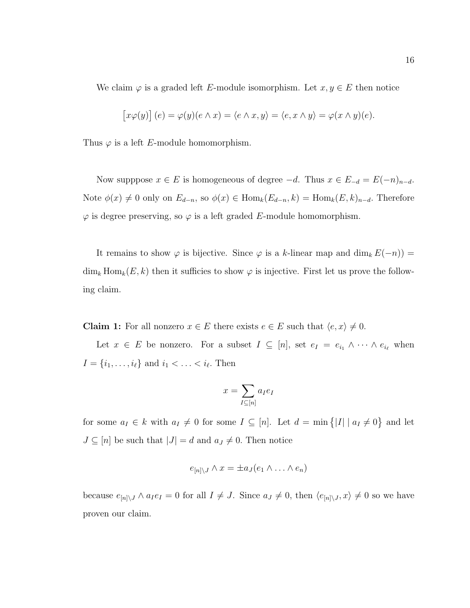We claim  $\varphi$  is a graded left E-module isomorphism. Let  $x, y \in E$  then notice

$$
[x\varphi(y)] (e) = \varphi(y)(e \wedge x) = \langle e \wedge x, y \rangle = \langle e, x \wedge y \rangle = \varphi(x \wedge y)(e).
$$

Thus  $\varphi$  is a left E-module homomorphism.

Now supppose  $x \in E$  is homogeneous of degree  $-d$ . Thus  $x \in E_{-d} = E(-n)_{n-d}$ . Note  $\phi(x) \neq 0$  only on  $E_{d-n}$ , so  $\phi(x) \in \text{Hom}_k(E_{d-n}, k) = \text{Hom}_k(E, k)_{n-d}$ . Therefore  $\varphi$  is degree preserving, so  $\varphi$  is a left graded E-module homomorphism.

It remains to show  $\varphi$  is bijective. Since  $\varphi$  is a k-linear map and dim<sub>k</sub>  $E(-n)$ ) =  $\dim_k \text{Hom}_k(E, k)$  then it sufficies to show  $\varphi$  is injective. First let us prove the following claim.

**Claim 1:** For all nonzero  $x \in E$  there exists  $e \in E$  such that  $\langle e, x \rangle \neq 0$ .

Let  $x \in E$  be nonzero. For a subset  $I \subseteq [n]$ , set  $e_I = e_{i_1} \wedge \cdots \wedge e_{i_\ell}$  when  $I = \{i_1, \ldots, i_\ell\}$  and  $i_1 < \ldots < i_\ell$ . Then

$$
x = \sum_{I \subseteq [n]} a_I e_I
$$

for some  $a_I \in k$  with  $a_I \neq 0$  for some  $I \subseteq [n]$ . Let  $d = \min\{|I| \mid a_I \neq 0\}$  and let  $J \subseteq [n]$  be such that  $|J| = d$  and  $a_J \neq 0$ . Then notice

$$
e_{[n] \setminus J} \wedge x = \pm a_J(e_1 \wedge \ldots \wedge e_n)
$$

because  $e_{[n]\setminus J} \wedge a_I e_I = 0$  for all  $I \neq J$ . Since  $a_J \neq 0$ , then  $\langle e_{[n]\setminus J}, x \rangle \neq 0$  so we have proven our claim.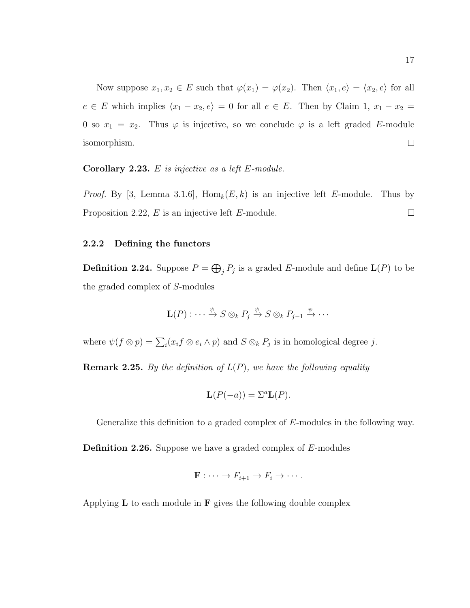Now suppose  $x_1, x_2 \in E$  such that  $\varphi(x_1) = \varphi(x_2)$ . Then  $\langle x_1, e \rangle = \langle x_2, e \rangle$  for all  $e \in E$  which implies  $\langle x_1 - x_2, e \rangle = 0$  for all  $e \in E$ . Then by Claim 1,  $x_1 - x_2 =$ 0 so  $x_1 = x_2$ . Thus  $\varphi$  is injective, so we conclude  $\varphi$  is a left graded E-module isomorphism.  $\Box$ 

<span id="page-23-3"></span>Corollary 2.23.  $E$  is injective as a left  $E$ -module.

*Proof.* By [\[3,](#page-110-5) Lemma 3.1.6], Hom<sub>k</sub> $(E, k)$  is an injective left E-module. Thus by Proposition [2.22,](#page-21-1) E is an injective left E-module.  $\Box$ 

#### <span id="page-23-1"></span><span id="page-23-0"></span>2.2.2 Defining the functors

**Definition 2.24.** Suppose  $P = \bigoplus_{j} P_j$  is a graded E-module and define  $\mathbf{L}(P)$  to be the graded complex of S-modules

$$
\mathbf{L}(P) : \cdots \xrightarrow{\psi} S \otimes_k P_j \xrightarrow{\psi} S \otimes_k P_{j-1} \xrightarrow{\psi} \cdots
$$

where  $\psi(f \otimes p) = \sum_i (x_i f \otimes e_i \wedge p)$  and  $S \otimes_k P_j$  is in homological degree j.

**Remark 2.25.** By the definition of  $L(P)$ , we have the following equality

$$
\mathbf{L}(P(-a)) = \Sigma^a \mathbf{L}(P).
$$

Generalize this definition to a graded complex of E-modules in the following way.

<span id="page-23-2"></span>Definition 2.26. Suppose we have a graded complex of E-modules

$$
\mathbf{F} : \cdots \to F_{i+1} \to F_i \to \cdots.
$$

Applying  $L$  to each module in  $F$  gives the following double complex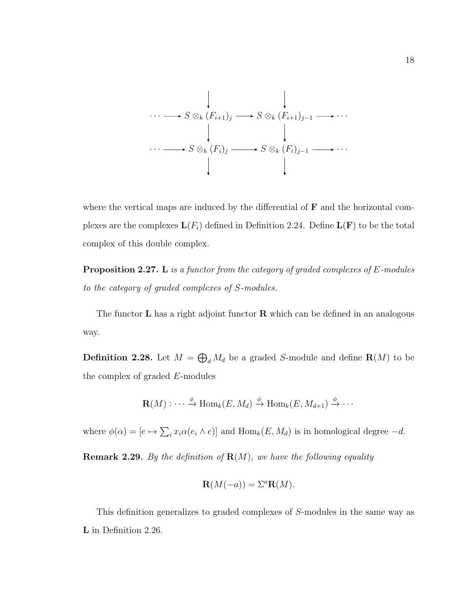

where the vertical maps are induced by the differential of  **and the horizontal com**plexes are the complexes  $\mathbf{L}(F_i)$  defined in Definition [2.24.](#page-23-1) Define  $\mathbf{L}(\mathbf{F})$  to be the total complex of this double complex.

**Proposition 2.27.** L is a functor from the category of graded complexes of  $E$ -modules to the category of graded complexes of S-modules.

The functor  $\bf{L}$  has a right adjoint functor  $\bf{R}$  which can be defined in an analogous way.

**Definition 2.28.** Let  $M = \bigoplus_{d} M_d$  be a graded S-module and define  $\mathbf{R}(M)$  to be the complex of graded E-modules

$$
\mathbf{R}(M) : \cdots \xrightarrow{\phi} \text{Hom}_{k}(E, M_{d}) \xrightarrow{\phi} \text{Hom}_{k}(E, M_{d+1}) \xrightarrow{\phi} \cdots
$$

where  $\phi(\alpha) = [e \mapsto \sum_i x_i \alpha(e_i \wedge e)]$  and  $\text{Hom}_k(E, M_d)$  is in homological degree  $-d$ .

**Remark 2.29.** By the definition of  $\mathbf{R}(M)$ , we have the following equality

$$
\mathbf{R}(M(-a)) = \Sigma^a \mathbf{R}(M).
$$

This definition generalizes to graded complexes of S-modules in the same way as L in Definition [2.26.](#page-23-2)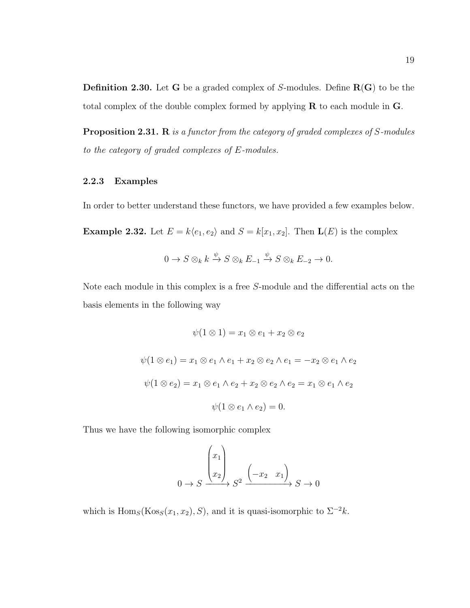**Definition 2.30.** Let **G** be a graded complex of S-modules. Define  $R(G)$  to be the total complex of the double complex formed by applying R to each module in G.

Proposition 2.31. R is a functor from the category of graded complexes of S-modules to the category of graded complexes of E-modules.

#### <span id="page-25-0"></span>2.2.3 Examples

In order to better understand these functors, we have provided a few examples below.

<span id="page-25-1"></span>**Example 2.32.** Let  $E = k\langle e_1, e_2 \rangle$  and  $S = k[x_1, x_2]$ . Then  $\mathbf{L}(E)$  is the complex

$$
0 \to S \otimes_k k \xrightarrow{\psi} S \otimes_k E_{-1} \xrightarrow{\psi} S \otimes_k E_{-2} \to 0.
$$

Note each module in this complex is a free S-module and the differential acts on the basis elements in the following way

$$
\psi(1 \otimes 1) = x_1 \otimes e_1 + x_2 \otimes e_2
$$
  

$$
\psi(1 \otimes e_1) = x_1 \otimes e_1 \wedge e_1 + x_2 \otimes e_2 \wedge e_1 = -x_2 \otimes e_1 \wedge e_2
$$
  

$$
\psi(1 \otimes e_2) = x_1 \otimes e_1 \wedge e_2 + x_2 \otimes e_2 \wedge e_2 = x_1 \otimes e_1 \wedge e_2
$$
  

$$
\psi(1 \otimes e_1 \wedge e_2) = 0.
$$

Thus we have the following isomorphic complex

$$
0 \to S \xrightarrow{\begin{pmatrix} x_1 \\ x_2 \end{pmatrix}} S^2 \xrightarrow{\begin{pmatrix} -x_2 & x_1 \end{pmatrix}} S \to 0
$$

which is Hom<sub>S</sub>(Kos<sub>S</sub>(x<sub>1</sub>, x<sub>2</sub>), S), and it is quasi-isomorphic to  $\Sigma^{-2}k$ .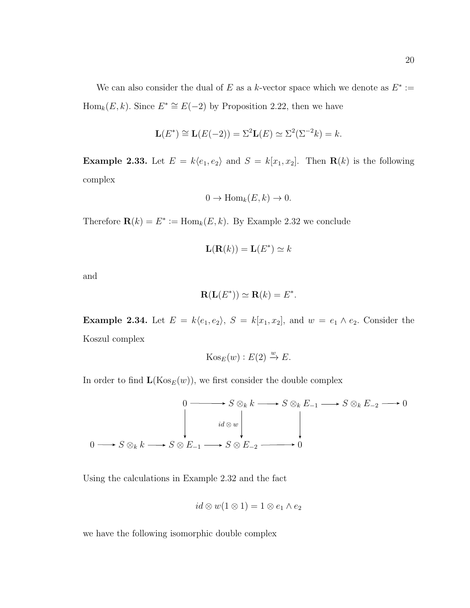We can also consider the dual of E as a k-vector space which we denote as  $E^* :=$  $Hom_k(E, k)$ . Since  $E^* \cong E(-2)$  by Proposition [2.22,](#page-21-1) then we have

$$
\mathbf{L}(E^*) \cong \mathbf{L}(E(-2)) = \Sigma^2 \mathbf{L}(E) \simeq \Sigma^2(\Sigma^{-2}k) = k.
$$

**Example 2.33.** Let  $E = k\langle e_1, e_2 \rangle$  and  $S = k[x_1, x_2]$ . Then **R**(k) is the following complex

$$
0 \to \text{Hom}_k(E, k) \to 0.
$$

Therefore  $\mathbf{R}(k) = E^* := \text{Hom}_k(E, k)$ . By Example [2.32](#page-25-1) we conclude

$$
\mathbf{L}(\mathbf{R}(k)) = \mathbf{L}(E^*) \simeq k
$$

and

$$
\mathbf{R}(\mathbf{L}(E^*)) \simeq \mathbf{R}(k) = E^*.
$$

**Example 2.34.** Let  $E = k\langle e_1, e_2 \rangle$ ,  $S = k[x_1, x_2]$ , and  $w = e_1 \wedge e_2$ . Consider the Koszul complex

$$
Kos_E(w) : E(2) \xrightarrow{w} E.
$$

In order to find  $\mathbf{L}(\mathrm{Kos}_E(w))$ , we first consider the double complex



Using the calculations in Example [2.32](#page-25-1) and the fact

$$
id \otimes w(1 \otimes 1) = 1 \otimes e_1 \wedge e_2
$$

we have the following isomorphic double complex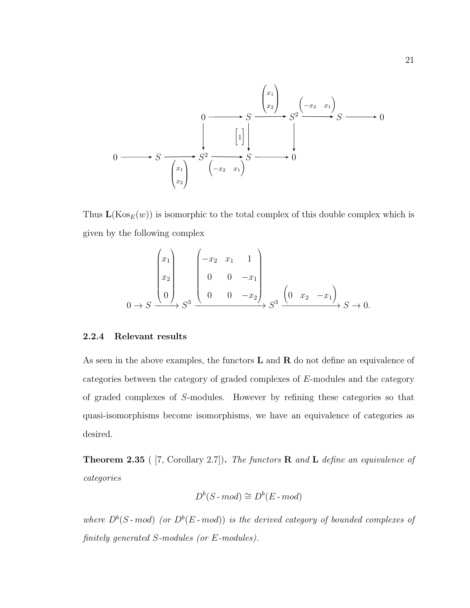

Thus  $\mathbf{L}(\mathrm{Kos}_E(w))$  is isomorphic to the total complex of this double complex which is given by the following complex

$$
\begin{pmatrix} x_1 \\ x_2 \\ 0 \end{pmatrix} S^3 \xrightarrow{\begin{pmatrix} -x_2 & x_1 & 1 \\ 0 & 0 & -x_1 \\ 0 & 0 & -x_2 \end{pmatrix}} S^3 \xrightarrow{\begin{pmatrix} 0 & x_2 & -x_1 \end{pmatrix}} S \to 0.
$$

#### <span id="page-27-0"></span>2.2.4 Relevant results

As seen in the above examples, the functors  **and**  $**R**$  **do not define an equivalence of** categories between the category of graded complexes of E-modules and the category of graded complexes of S-modules. However by refining these categories so that quasi-isomorphisms become isomorphisms, we have an equivalence of categories as desired.

**Theorem 2.35** ( [\[7,](#page-110-3) Corollary 2.7]). The functors **R** and **L** define an equivalence of categories

$$
D^b(S \text{-} \textit{mod}) \cong D^b(E \text{-} \textit{mod})
$$

where  $D^b(S \text{-} mod)$  (or  $D^b(E \text{-} mod)$ ) is the derived category of bounded complexes of finitely generated S-modules (or E-modules).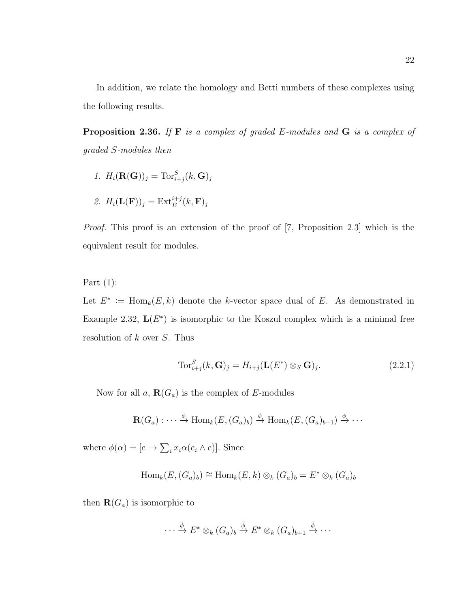In addition, we relate the homology and Betti numbers of these complexes using the following results.

<span id="page-28-1"></span>**Proposition 2.36.** If  $F$  is a complex of graded E-modules and  $G$  is a complex of graded S-modules then

- 1.  $H_i(\mathbf{R}(\mathbf{G}))_j = \text{Tor}_{i+j}^S(k, \mathbf{G})_j$
- 2.  $H_i(\mathbf{L}(\mathbf{F}))_j = \text{Ext}_E^{i+j}(k, \mathbf{F})_j$

Proof. This proof is an extension of the proof of [\[7,](#page-110-3) Proposition 2.3] which is the equivalent result for modules.

Part  $(1)$ :

Let  $E^* := \text{Hom}_k(E, k)$  denote the k-vector space dual of E. As demonstrated in Example [2.32,](#page-25-1)  $L(E^*)$  is isomorphic to the Koszul complex which is a minimal free resolution of  $k$  over  $S$ . Thus

<span id="page-28-0"></span>
$$
\operatorname{Tor}_{i+j}^S(k, \mathbf{G})_j = H_{i+j}(\mathbf{L}(E^*) \otimes_S \mathbf{G})_j. \tag{2.2.1}
$$

Now for all  $a, \mathbf{R}(G_a)$  is the complex of E-modules

$$
\mathbf{R}(G_a) : \cdots \xrightarrow{\phi} \text{Hom}_k(E, (G_a)_b) \xrightarrow{\phi} \text{Hom}_k(E, (G_a)_{b+1}) \xrightarrow{\phi} \cdots
$$

where  $\phi(\alpha) = [e \mapsto \sum_i x_i \alpha(e_i \wedge e)]$ . Since

$$
\text{Hom}_{k}(E, (G_{a})_{b}) \cong \text{Hom}_{k}(E, k) \otimes_{k} (G_{a})_{b} = E^{*} \otimes_{k} (G_{a})_{b}
$$

then  $\mathbf{R}(G_a)$  is isomorphic to

$$
\cdots \xrightarrow{\tilde{\phi}} E^* \otimes_k (G_a)_b \xrightarrow{\tilde{\phi}} E^* \otimes_k (G_a)_{b+1} \xrightarrow{\tilde{\phi}} \cdots
$$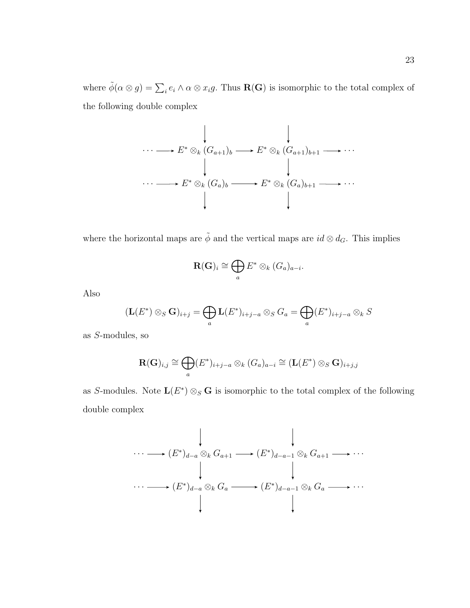where  $\tilde{\phi}(\alpha \otimes g) = \sum_i e_i \wedge \alpha \otimes x_i g$ . Thus **R(G)** is isomorphic to the total complex of the following double complex

$$
\cdots \longrightarrow E^* \otimes_k (G_{a+1})_b \longrightarrow E^* \otimes_k (G_{a+1})_{b+1} \longrightarrow \cdots
$$
  
\n
$$
\downarrow \qquad \qquad \downarrow
$$
  
\n
$$
\cdots \longrightarrow E^* \otimes_k (G_a)_b \longrightarrow E^* \otimes_k (G_a)_{b+1} \longrightarrow \cdots
$$
  
\n
$$
\downarrow
$$

where the horizontal maps are  $\tilde{\phi}$  and the vertical maps are  $id \otimes d_G$ . This implies

$$
\mathbf{R}(\mathbf{G})_i \cong \bigoplus_a E^* \otimes_k (G_a)_{a-i}.
$$

Also

$$
(\mathbf{L}(E^*) \otimes_S \mathbf{G})_{i+j} = \bigoplus_a \mathbf{L}(E^*)_{i+j-a} \otimes_S G_a = \bigoplus_a (E^*)_{i+j-a} \otimes_k S
$$

as S-modules, so

$$
\mathbf{R}(\mathbf{G})_{i,j} \cong \bigoplus_{a} (E^*)_{i+j-a} \otimes_k (G_a)_{a-i} \cong (\mathbf{L}(E^*) \otimes_S \mathbf{G})_{i+j,j}
$$

as S-modules. Note  $\mathbf{L}(E^*) \otimes_S \mathbf{G}$  is isomorphic to the total complex of the following double complex

$$
\cdots \longrightarrow (E^*)_{d-a} \otimes_k G_{a+1} \longrightarrow (E^*)_{d-a-1} \otimes_k G_{a+1} \longrightarrow \cdots
$$
\n
$$
\cdots \longrightarrow (E^*)_{d-a} \otimes_k G_a \longrightarrow (E^*)_{d-a-1} \otimes_k G_a \longrightarrow \cdots
$$
\n
$$
\downarrow
$$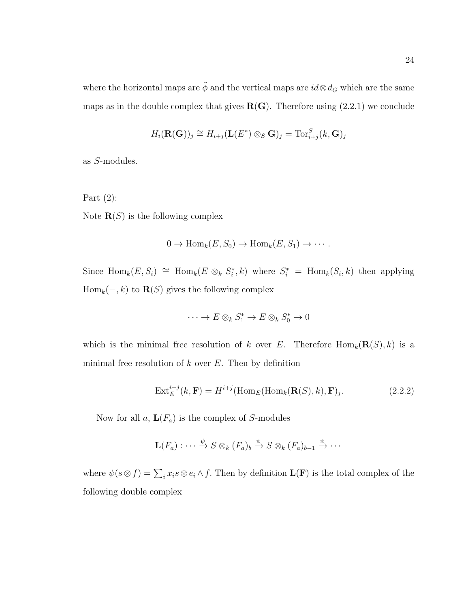where the horizontal maps are  $\tilde{\phi}$  and the vertical maps are  $id\otimes d_G$  which are the same maps as in the double complex that gives  $R(G)$ . Therefore using [\(2.2.1\)](#page-28-0) we conclude

$$
H_i(\mathbf{R}(\mathbf{G}))_j \cong H_{i+j}(\mathbf{L}(E^*) \otimes_S \mathbf{G})_j = \text{Tor}_{i+j}^S(k, \mathbf{G})_j
$$

as S-modules.

Part  $(2)$ : Note  $\mathbf{R}(S)$  is the following complex

$$
0 \to \text{Hom}_k(E, S_0) \to \text{Hom}_k(E, S_1) \to \cdots.
$$

Since  $\text{Hom}_k(E, S_i) \cong \text{Hom}_k(E \otimes_k S_i^*, k)$  where  $S_i^* = \text{Hom}_k(S_i, k)$  then applying Hom<sub>k</sub> $(-, k)$  to **R**(S) gives the following complex

$$
\cdots \to E \otimes_k S_1^* \to E \otimes_k S_0^* \to 0
$$

which is the minimal free resolution of k over E. Therefore  $\text{Hom}_k(\mathbf{R}(S), k)$  is a minimal free resolution of  $k$  over  $E$ . Then by definition

<span id="page-30-0"></span>
$$
\operatorname{Ext}_{E}^{i+j}(k, \mathbf{F}) = H^{i+j}(\operatorname{Hom}_{E}(\operatorname{Hom}_{k}(\mathbf{R}(S), k), \mathbf{F})_{j}.
$$
\n(2.2.2)

Now for all  $a, L(F_a)$  is the complex of S-modules

$$
\mathbf{L}(F_a) : \cdots \xrightarrow{\psi} S \otimes_k (F_a)_b \xrightarrow{\psi} S \otimes_k (F_a)_{b-1} \xrightarrow{\psi} \cdots
$$

where  $\psi(s\otimes f) = \sum_i x_i s\otimes e_i \wedge f$ . Then by definition  $\mathbf{L}(\mathbf{F})$  is the total complex of the following double complex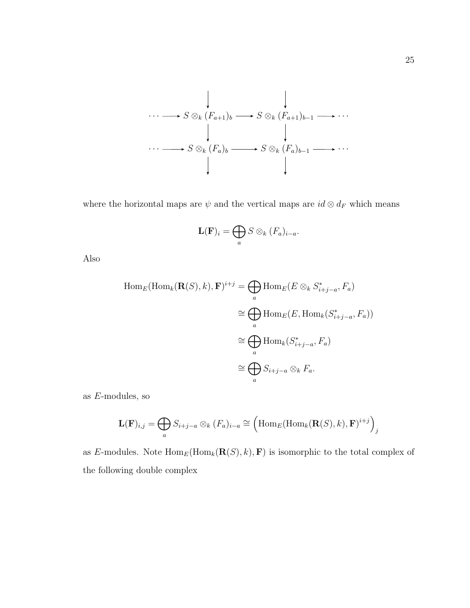

where the horizontal maps are  $\psi$  and the vertical maps are  $id \otimes d_F$  which means

$$
\mathbf{L}(\mathbf{F})_i = \bigoplus_a S \otimes_k (F_a)_{i-a}.
$$

Also

$$
\text{Hom}_E(\text{Hom}_k(\mathbf{R}(S), k), \mathbf{F})^{i+j} = \bigoplus_a \text{Hom}_E(E \otimes_k S^*_{i+j-a}, F_a)
$$
\n
$$
\cong \bigoplus_a \text{Hom}_E(E, \text{Hom}_k(S^*_{i+j-a}, F_a))
$$
\n
$$
\cong \bigoplus_a \text{Hom}_k(S^*_{i+j-a}, F_a)
$$
\n
$$
\cong \bigoplus_a S_{i+j-a} \otimes_k F_a.
$$

as E-modules, so

$$
\mathbf{L}(\mathbf{F})_{i,j} = \bigoplus_{a} S_{i+j-a} \otimes_k (F_a)_{i-a} \cong \left(\mathrm{Hom}_E(\mathrm{Hom}_k(\mathbf{R}(S),k),\mathbf{F})^{i+j}\right)_j
$$

as E-modules. Note  $\text{Hom}_E(\text{Hom}_k(\mathbf{R}(S), k), \mathbf{F})$  is isomorphic to the total complex of the following double complex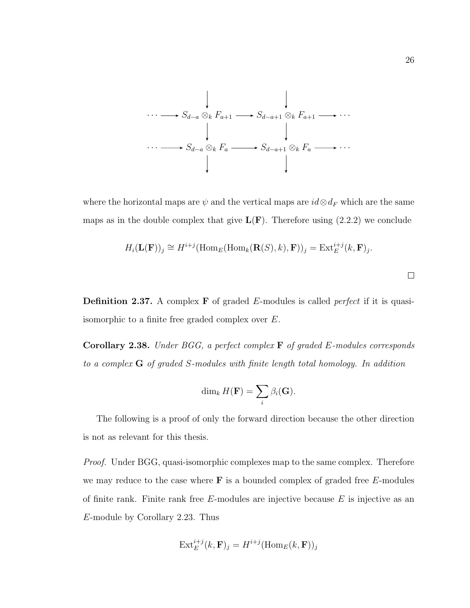

where the horizontal maps are  $\psi$  and the vertical maps are  $id\otimes d_F$  which are the same maps as in the double complex that give  $L(F)$ . Therefore using [\(2.2.2\)](#page-30-0) we conclude

$$
H_i(\mathbf{L}(\mathbf{F}))_j \cong H^{i+j}(\text{Hom}_E(\text{Hom}_k(\mathbf{R}(S),k),\mathbf{F}))_j = \text{Ext}_E^{i+j}(k,\mathbf{F})_j.
$$

 $\Box$ 

**Definition 2.37.** A complex  $\bf{F}$  of graded  $\bf{E}$ -modules is called *perfect* if it is quasiisomorphic to a finite free graded complex over E.

**Corollary 2.38.** Under BGG, a perfect complex  $\bf{F}$  of graded E-modules corresponds to a complex G of graded S-modules with finite length total homology. In addition

$$
\dim_k H(\mathbf{F}) = \sum_i \beta_i(\mathbf{G}).
$$

The following is a proof of only the forward direction because the other direction is not as relevant for this thesis.

*Proof.* Under BGG, quasi-isomorphic complexes map to the same complex. Therefore we may reduce to the case where  $\bf{F}$  is a bounded complex of graded free  $E$ -modules of finite rank. Finite rank free  $E$ -modules are injective because  $E$  is injective as an E-module by Corollary [2.23.](#page-23-3) Thus

$$
\mathrm{Ext}^{i+j}_E(k,\mathbf{F})_j = H^{i+j}(\mathrm{Hom}_E(k,\mathbf{F}))_j
$$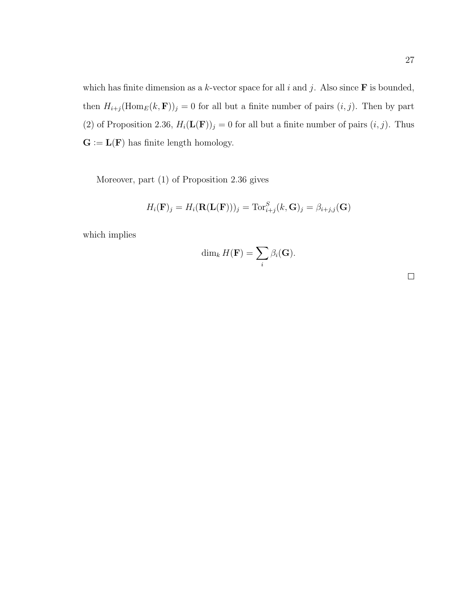which has finite dimension as a k-vector space for all i and j. Also since  $\bf{F}$  is bounded, then  $H_{i+j}(\text{Hom}_E(k, \mathbf{F}))_j = 0$  for all but a finite number of pairs  $(i, j)$ . Then by part (2) of Proposition [2.36,](#page-28-1)  $H_i(\mathbf{L}(\mathbf{F}))_j = 0$  for all but a finite number of pairs  $(i, j)$ . Thus  $G := L(F)$  has finite length homology.

Moreover, part (1) of Proposition [2.36](#page-28-1) gives

$$
H_i(\mathbf{F})_j = H_i(\mathbf{R}(\mathbf{L}(\mathbf{F})))_j = \text{Tor}_{i+j}^S(k, \mathbf{G})_j = \beta_{i+j,j}(\mathbf{G})
$$

which implies

$$
\dim_k H(\mathbf{F}) = \sum_i \beta_i(\mathbf{G}).
$$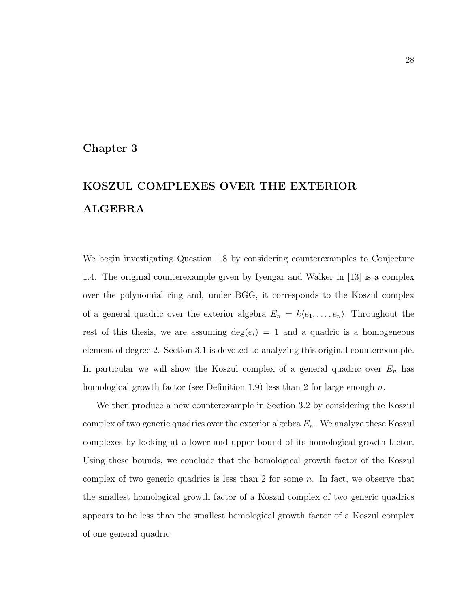### <span id="page-34-0"></span>Chapter 3

# KOSZUL COMPLEXES OVER THE EXTERIOR ALGEBRA

We begin investigating Question [1.8](#page-10-1) by considering counterexamples to Conjecture [1.4.](#page-9-1) The original counterexample given by Iyengar and Walker in [\[13\]](#page-111-2) is a complex over the polynomial ring and, under BGG, it corresponds to the Koszul complex of a general quadric over the exterior algebra  $E_n = k\langle e_1, \ldots, e_n \rangle$ . Throughout the rest of this thesis, we are assuming  $deg(e_i) = 1$  and a quadric is a homogeneous element of degree 2. Section [3.1](#page-35-0) is devoted to analyzing this original counterexample. In particular we will show the Koszul complex of a general quadric over  $E_n$  has homological growth factor (see Definition [1.9\)](#page-10-2) less than 2 for large enough n.

We then produce a new counterexample in Section [3.2](#page-41-0) by considering the Koszul complex of two generic quadrics over the exterior algebra  $E_n$ . We analyze these Koszul complexes by looking at a lower and upper bound of its homological growth factor. Using these bounds, we conclude that the homological growth factor of the Koszul complex of two generic quadrics is less than 2 for some  $n$ . In fact, we observe that the smallest homological growth factor of a Koszul complex of two generic quadrics appears to be less than the smallest homological growth factor of a Koszul complex of one general quadric.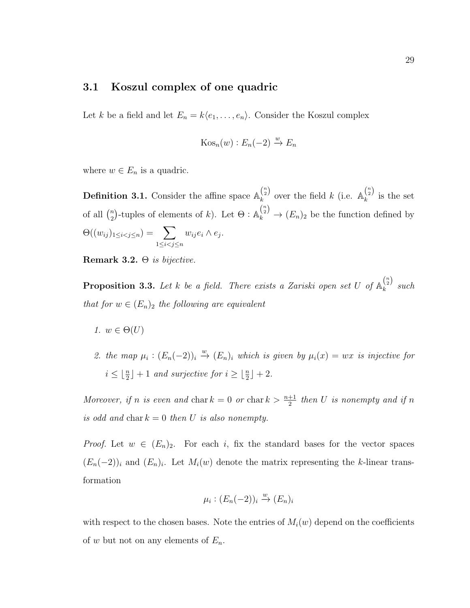## <span id="page-35-0"></span>3.1 Koszul complex of one quadric

Let k be a field and let  $E_n = k\langle e_1, \ldots, e_n \rangle$ . Consider the Koszul complex

$$
Kos_n(w): E_n(-2) \xrightarrow{w} E_n
$$

where  $w \in E_n$  is a quadric.

**Definition 3.1.** Consider the affine space  $\mathbb{A}_{k}^{n \choose 2}$  $\binom{\binom{n}{2}}{k}$  over the field  $k$  (i.e.  $\mathbb{A}_k^{\binom{n}{2}}$  $\lambda_k^{(2)}$  is the set of all  $\binom{n}{2}$ <sup>n</sup><sub>2</sub>)-tuples of elements of k). Let  $\Theta: \mathbb{A}_k^{n \choose 2} \to (E_n)_2$  be the function defined by  $\Theta((w_{ij})_{1\leq i < j \leq n}) = \sum$  $1 \leq i < j \leq n$  $w_{ij}e_i\wedge e_j.$ 

Remark 3.2.  $\Theta$  is bijective.

**Proposition 3.3.** Let k be a field. There exists a Zariski open set U of  $\mathbb{A}_{k}^{n \choose 2}$  $\lambda_k^{(2)}$  such that for  $w \in (E_n)_2$  the following are equivalent

- 1.  $w \in \Theta(U)$
- 2. the map  $\mu_i : (E_n(-2))_i \stackrel{w}{\rightarrow} (E_n)_i$  which is given by  $\mu_i(x) = wx$  is injective for  $i \leq \lfloor \frac{n}{2} \rfloor + 1$  and surjective for  $i \geq \lfloor \frac{n}{2} \rfloor + 2$ .

Moreover, if n is even and char  $k = 0$  or char  $k > \frac{n+1}{2}$  then U is nonempty and if n is odd and char  $k = 0$  then U is also nonempty.

*Proof.* Let  $w \in (E_n)_2$ . For each i, fix the standard bases for the vector spaces  $(E_n(-2))_i$  and  $(E_n)_i$ . Let  $M_i(w)$  denote the matrix representing the k-linear transformation

$$
\mu_i : (E_n(-2))_i \xrightarrow{w} (E_n)_i
$$

with respect to the chosen bases. Note the entries of  $M_i(w)$  depend on the coefficients of w but not on any elements of  $E_n$ .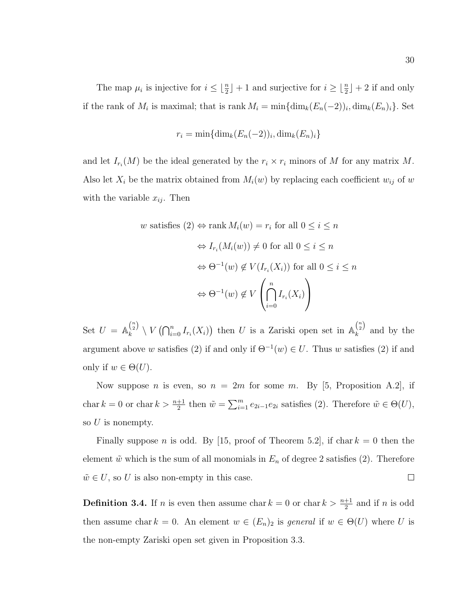The map  $\mu_i$  is injective for  $i \leq \lfloor \frac{n}{2} \rfloor + 1$  and surjective for  $i \geq \lfloor \frac{n}{2} \rfloor + 2$  if and only if the rank of  $M_i$  is maximal; that is rank  $M_i = \min{\{\dim_k(E_n(-2))_i, \dim_k(E_n)_i\}}$ . Set

$$
r_i = \min\{\dim_k(E_n(-2))_i, \dim_k(E_n)_i\}
$$

and let  $I_{r_i}(M)$  be the ideal generated by the  $r_i \times r_i$  minors of M for any matrix M. Also let  $X_i$  be the matrix obtained from  $M_i(w)$  by replacing each coefficient  $w_{ij}$  of w with the variable  $x_{ij}$ . Then

$$
w \text{ satisfies } (2) \Leftrightarrow \text{rank } M_i(w) = r_i \text{ for all } 0 \le i \le n
$$

$$
\Leftrightarrow I_{r_i}(M_i(w)) \neq 0 \text{ for all } 0 \le i \le n
$$

$$
\Leftrightarrow \Theta^{-1}(w) \notin V(I_{r_i}(X_i)) \text{ for all } 0 \le i \le n
$$

$$
\Leftrightarrow \Theta^{-1}(w) \notin V\left(\bigcap_{i=0}^n I_{r_i}(X_i)\right)
$$

Set  $U = \mathbb{A}_k^{\binom{n}{2}}$  $\binom{\binom{n}{2}}{k} \setminus V\left(\bigcap_{i=0}^{n} I_{r_i}(X_i)\right)$  then U is a Zariski open set in  $\mathbb{A}_k^{\binom{n}{2}}$  $\lambda_k^{(2)}$  and by the argument above w satisfies (2) if and only if  $\Theta^{-1}(w) \in U$ . Thus w satisfies (2) if and only if  $w \in \Theta(U)$ .

Now suppose *n* is even, so  $n = 2m$  for some *m*. By [\[5,](#page-110-0) Proposition A.2], if char  $k = 0$  or char  $k > \frac{n+1}{2}$  then  $\tilde{w} = \sum_{i=1}^{m} e_{2i-1} e_{2i}$  satisfies (2). Therefore  $\tilde{w} \in \Theta(U)$ , so  $U$  is nonempty.

Finally suppose *n* is odd. By [\[15,](#page-111-0) proof of Theorem 5.2], if char  $k = 0$  then the element  $\tilde{w}$  which is the sum of all monomials in  $E_n$  of degree 2 satisfies (2). Therefore  $\tilde{w} \in U$ , so U is also non-empty in this case.  $\Box$ 

<span id="page-36-0"></span>**Definition 3.4.** If *n* is even then assume char  $k = 0$  or char  $k > \frac{n+1}{2}$  and if *n* is odd then assume char  $k = 0$ . An element  $w \in (E_n)_2$  is general if  $w \in \Theta(U)$  where U is the non-empty Zariski open set given in Proposition [3.3.](#page-35-0)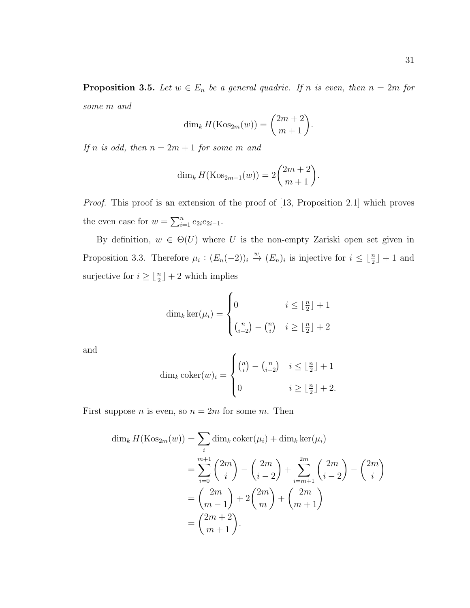<span id="page-37-0"></span>**Proposition 3.5.** Let  $w \in E_n$  be a general quadric. If n is even, then  $n = 2m$  for some m and

$$
\dim_k H(\mathrm{Kos}_{2m}(w)) = \binom{2m+2}{m+1}
$$

.

If n is odd, then  $n = 2m + 1$  for some m and

$$
\dim_k H(\text{Kos}_{2m+1}(w)) = 2\binom{2m+2}{m+1}.
$$

Proof. This proof is an extension of the proof of [\[13,](#page-111-1) Proposition 2.1] which proves the even case for  $w = \sum_{i=1}^{n} e_{2i}e_{2i-1}$ .

By definition,  $w \in \Theta(U)$  where U is the non-empty Zariski open set given in Proposition [3.3.](#page-35-0) Therefore  $\mu_i : (E_n(-2))_i \stackrel{w}{\to} (E_n)_i$  is injective for  $i \leq \lfloor \frac{n}{2} \rfloor + 1$  and surjective for  $i \geq \lfloor \frac{n}{2} \rfloor + 2$  which implies

$$
\dim_k \ker(\mu_i) = \begin{cases} 0 & i \le \lfloor \frac{n}{2} \rfloor + 1 \\ \binom{n}{i-2} - \binom{n}{i} & i \ge \lfloor \frac{n}{2} \rfloor + 2 \end{cases}
$$

and

$$
\dim_k \operatorname{coker}(w)_i = \begin{cases} {n \choose i} - {n \choose i-2} & i \leq \lfloor \frac{n}{2} \rfloor + 1 \\ 0 & i \geq \lfloor \frac{n}{2} \rfloor + 2. \end{cases}
$$

First suppose *n* is even, so  $n = 2m$  for some *m*. Then

$$
\dim_k H(\text{Kos}_{2m}(w)) = \sum_i \dim_k \text{coker}(\mu_i) + \dim_k \text{ker}(\mu_i)
$$
  
= 
$$
\sum_{i=0}^{m+1} {2m \choose i} - {2m \choose i-2} + \sum_{i=m+1}^{2m} {2m \choose i-2} - {2m \choose i}
$$
  
= 
$$
{2m \choose m-1} + 2 {2m \choose m} + {2m \choose m+1}
$$
  
= 
$$
{2m+2 \choose m+1}.
$$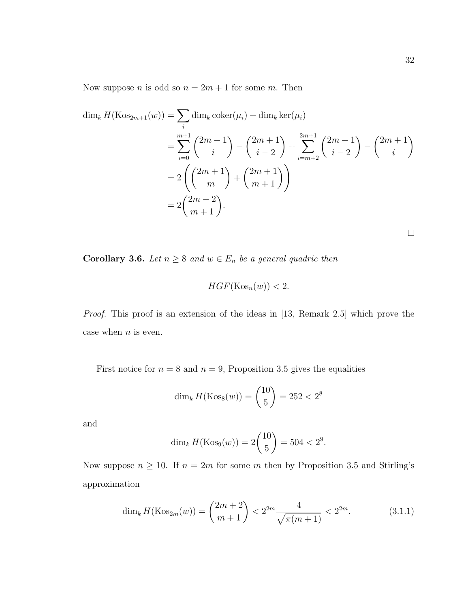Now suppose *n* is odd so  $n = 2m + 1$  for some *m*. Then

$$
\dim_k H(\text{Kos}_{2m+1}(w)) = \sum_i \dim_k \text{coker}(\mu_i) + \dim_k \text{ker}(\mu_i)
$$
  
= 
$$
\sum_{i=0}^{m+1} {2m+1 \choose i} - {2m+1 \choose i-2} + \sum_{i=m+2}^{2m+1} {2m+1 \choose i-2} - {2m+1 \choose i}
$$
  
= 
$$
2 {2m+1 \choose m} + {2m+1 \choose m+1}
$$
  
= 
$$
2 {2m+2 \choose m+1}.
$$

<span id="page-38-1"></span>**Corollary 3.6.** Let  $n \geq 8$  and  $w \in E_n$  be a general quadric then

$$
HGF(\mathrm{Kos}_n(w)) < 2.
$$

Proof. This proof is an extension of the ideas in [\[13,](#page-111-1) Remark 2.5] which prove the case when  $n$  is even.

First notice for  $n = 8$  and  $n = 9$ , Proposition [3.5](#page-37-0) gives the equalities

$$
\dim_k H(\mathrm{Kos}_8(w)) = \binom{10}{5} = 252 < 2^8
$$

and

$$
\dim_k H(\text{Kos}_9(w)) = 2\binom{10}{5} = 504 < 2^9.
$$

Now suppose  $n \geq 10$ . If  $n = 2m$  for some m then by Proposition [3.5](#page-37-0) and Stirling's approximation

<span id="page-38-0"></span>
$$
\dim_k H(\text{Kos}_{2m}(w)) = \binom{2m+2}{m+1} < 2^{2m} \frac{4}{\sqrt{\pi(m+1)}} < 2^{2m}.\tag{3.1.1}
$$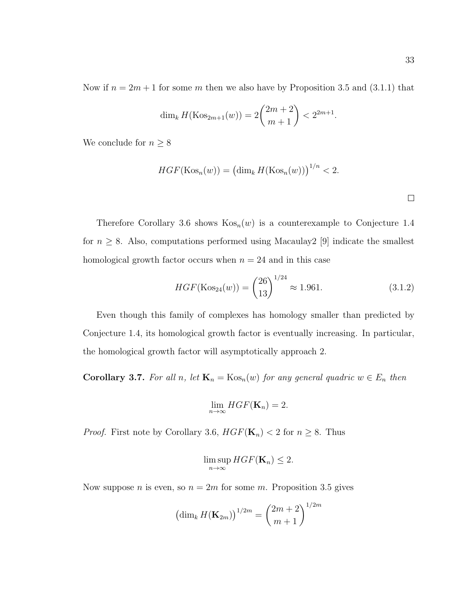Now if  $n = 2m + 1$  for some m then we also have by Proposition [3.5](#page-37-0) and [\(3.1.1\)](#page-38-0) that

$$
\dim_k H(\text{Kos}_{2m+1}(w)) = 2\binom{2m+2}{m+1} < 2^{2m+1}.
$$

We conclude for  $n\geq 8$ 

$$
HGF(\text{Kos}_n(w)) = \left(\dim_k H(\text{Kos}_n(w))\right)^{1/n} < 2.
$$

 $\Box$ 

Therefore Corollary [3](#page-38-1).6 shows  $\text{Kos}_n(w)$  is a counterexample to Conjecture [1.4](#page-9-0) for  $n \geq 8$ . Also, computations performed using Macaulay2 [\[9\]](#page-111-2) indicate the smallest homological growth factor occurs when  $n = 24$  and in this case

$$
HGF(\text{Kos}_{24}(w)) = \binom{26}{13}^{1/24} \approx 1.961. \tag{3.1.2}
$$

Even though this family of complexes has homology smaller than predicted by Conjecture [1.4,](#page-9-0) its homological growth factor is eventually increasing. In particular, the homological growth factor will asymptotically approach 2.

**Corollary 3.7.** For all n, let  $\mathbf{K}_n = \text{Kos}_n(w)$  for any general quadric  $w \in E_n$  then

$$
\lim_{n\to\infty} HGF(\mathbf{K}_n)=2.
$$

*Proof.* First note by Corollary [3.6,](#page-38-1)  $HGF(\mathbf{K}_n) < 2$  for  $n \geq 8$ . Thus

$$
\limsup_{n\to\infty} HGF(\mathbf{K}_n) \leq 2.
$$

Now suppose *n* is even, so  $n = 2m$  for some *m*. Proposition [3.5](#page-37-0) gives

$$
\left(\dim_k H(\mathbf{K}_{2m})\right)^{1/2m} = {2m+2 \choose m+1}^{1/2m}
$$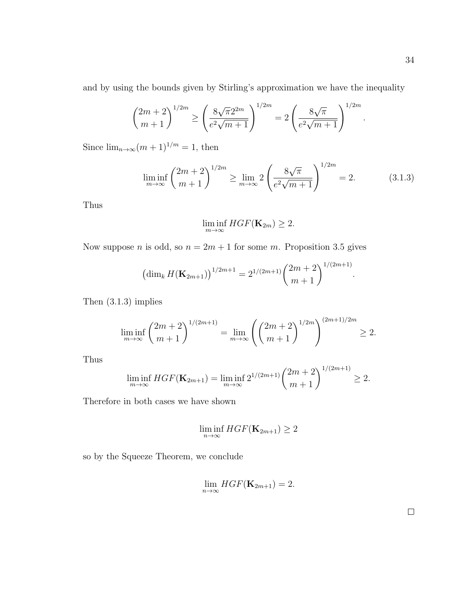and by using the bounds given by Stirling's approximation we have the inequality

$$
{2m+2 \choose m+1}^{1/2m} \ge \left(\frac{8\sqrt{\pi}2^{2m}}{e^2\sqrt{m+1}}\right)^{1/2m} = 2\left(\frac{8\sqrt{\pi}}{e^2\sqrt{m+1}}\right)^{1/2m}
$$

Since  $\lim_{n\to\infty} (m+1)^{1/m} = 1$ , then

<span id="page-40-0"></span>
$$
\liminf_{m \to \infty} {2m + 2 \choose m + 1}^{1/2m} \ge \lim_{m \to \infty} 2 \left( \frac{8\sqrt{\pi}}{e^2 \sqrt{m + 1}} \right)^{1/2m} = 2.
$$
 (3.1.3)

Thus

$$
\liminf_{m\to\infty} HGF(\mathbf{K}_{2m}) \geq 2.
$$

Now suppose *n* is odd, so  $n = 2m + 1$  for some *m*. Proposition [3.5](#page-37-0) gives

$$
\left(\dim_k H(\mathbf{K}_{2m+1})\right)^{1/2m+1} = 2^{1/(2m+1)} \binom{2m+2}{m+1}^{1/(2m+1)}.
$$

Then [\(3.1.3\)](#page-40-0) implies

$$
\liminf_{m \to \infty} \binom{2m+2}{m+1}^{1/(2m+1)} = \lim_{m \to \infty} \left( \binom{2m+2}{m+1}^{1/2m} \right)^{(2m+1)/2m} \ge 2.
$$

Thus

$$
\liminf_{m \to \infty} HGF(\mathbf{K}_{2m+1}) = \liminf_{m \to \infty} 2^{1/(2m+1)} \binom{2m+2}{m+1}^{1/(2m+1)} \ge 2.
$$

Therefore in both cases we have shown

$$
\liminf_{n\to\infty} HGF(\mathbf{K}_{2m+1}) \ge 2
$$

so by the Squeeze Theorem, we conclude

$$
\lim_{n\to\infty} HGF(\mathbf{K}_{2m+1}) = 2.
$$

 $\Box$ 

.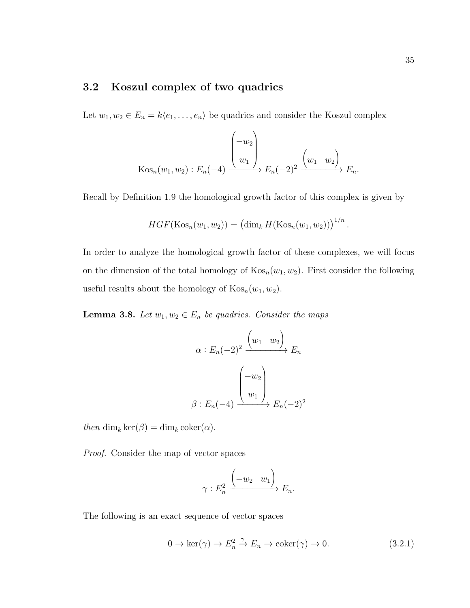# <span id="page-41-2"></span>3.2 Koszul complex of two quadrics

Let  $w_1, w_2 \in E_n = k\langle e_1, \ldots, e_n \rangle$  be quadrics and consider the Koszul complex

$$
\operatorname{Kos}_n(w_1, w_2) : E_n(-4) \xrightarrow{w_1} E_n(-2)^2 \xrightarrow{w_1} E_n.
$$

Recall by Definition [1.9](#page-10-0) the homological growth factor of this complex is given by

$$
HGF(\text{Kos}_n(w_1, w_2)) = (\dim_k H(\text{Kos}_n(w_1, w_2)))^{1/n}.
$$

In order to analyze the homological growth factor of these complexes, we will focus on the dimension of the total homology of  $\text{Kos}_n(w_1, w_2)$ . First consider the following useful results about the homology of  $\text{Kos}_n(w_1, w_2)$ .

<span id="page-41-1"></span>**Lemma 3.8.** Let  $w_1, w_2 \in E_n$  be quadrics. Consider the maps

$$
\alpha: E_n(-2)^2 \xrightarrow{(w_1 \quad w_2)} E_n
$$

$$
\beta: E_n(-4) \xrightarrow{(w_1)} E_n(-2)^2
$$

then dim<sub>k</sub> ker( $\beta$ ) = dim<sub>k</sub> coker( $\alpha$ ).

Proof. Consider the map of vector spaces

$$
\gamma: E_n^2 \xrightarrow{\begin{pmatrix} -w_2 & w_1 \end{pmatrix}} E_n.
$$

The following is an exact sequence of vector spaces

<span id="page-41-0"></span>
$$
0 \to \ker(\gamma) \to E_n^2 \xrightarrow{\gamma} E_n \to \operatorname{coker}(\gamma) \to 0. \tag{3.2.1}
$$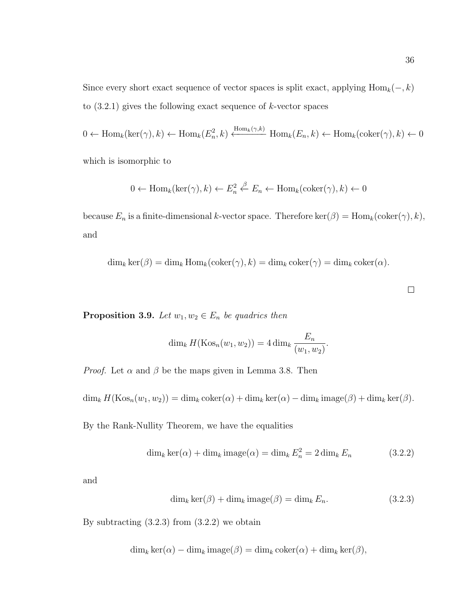Since every short exact sequence of vector spaces is split exact, applying  $\text{Hom}_k(-, k)$ to  $(3.2.1)$  gives the following exact sequence of k-vector spaces

 $0 \leftarrow \text{Hom}_k(\text{ker}(\gamma), k) \leftarrow \text{Hom}_k(E_n^2, k) \xleftarrow{\text{Hom}_k(\gamma, k)} \text{Hom}_k(E_n, k) \leftarrow \text{Hom}_k(\text{coker}(\gamma), k) \leftarrow 0$ 

which is isomorphic to

$$
0 \leftarrow \text{Hom}_k(\text{ker}(\gamma), k) \leftarrow E_n^2 \stackrel{\beta}{\leftarrow} E_n \leftarrow \text{Hom}_k(\text{coker}(\gamma), k) \leftarrow 0
$$

because  $E_n$  is a finite-dimensional k-vector space. Therefore ker( $\beta$ ) = Hom<sub>k</sub>(coker( $\gamma$ ), k), and

 $\dim_k \ker(\beta) = \dim_k \text{Hom}_k(\text{coker}(\gamma), k) = \dim_k \text{coker}(\gamma) = \dim_k \text{coker}(\alpha).$ 

 $\Box$ 

<span id="page-42-2"></span>**Proposition 3.9.** Let  $w_1, w_2 \in E_n$  be quadrics then

$$
\dim_k H(\mathrm{Kos}_n(w_1, w_2)) = 4 \dim_k \frac{E_n}{(w_1, w_2)}.
$$

*Proof.* Let  $\alpha$  and  $\beta$  be the maps given in Lemma [3.8.](#page-41-1) Then

 $\dim_k H(\text{Kos}_n(w_1, w_2)) = \dim_k \text{coker}(\alpha) + \dim_k \text{ker}(\alpha) - \dim_k \text{image}(\beta) + \dim_k \text{ker}(\beta).$ 

By the Rank-Nullity Theorem, we have the equalities

<span id="page-42-1"></span>
$$
\dim_k \ker(\alpha) + \dim_k \operatorname{image}(\alpha) = \dim_k E_n^2 = 2 \dim_k E_n \tag{3.2.2}
$$

and

<span id="page-42-0"></span>
$$
\dim_k \ker(\beta) + \dim_k \operatorname{image}(\beta) = \dim_k E_n. \tag{3.2.3}
$$

By subtracting  $(3.2.3)$  from  $(3.2.2)$  we obtain

$$
\dim_k \ker(\alpha) - \dim_k \operatorname{image}(\beta) = \dim_k \operatorname{coker}(\alpha) + \dim_k \ker(\beta),
$$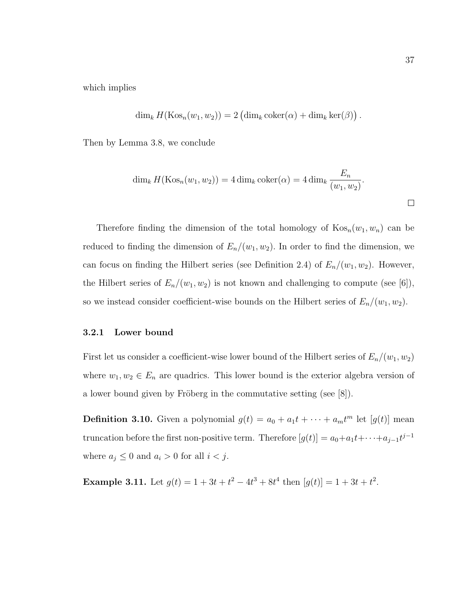which implies

$$
\dim_k H(\text{Kos}_n(w_1, w_2)) = 2 \left( \dim_k \text{coker}(\alpha) + \dim_k \text{ker}(\beta) \right).
$$

Then by Lemma [3.8,](#page-41-1) we conclude

$$
\dim_k H(\text{Kos}_n(w_1, w_2)) = 4 \dim_k \text{coker}(\alpha) = 4 \dim_k \frac{E_n}{(w_1, w_2)}.
$$

Therefore finding the dimension of the total homology of  $\text{Kos}_n(w_1, w_n)$  can be reduced to finding the dimension of  $E_n/(w_1, w_2)$ . In order to find the dimension, we can focus on finding the Hilbert series (see Definition [2.4\)](#page-15-0) of  $E_n/(w_1, w_2)$ . However, the Hilbert series of  $E_n/(w_1, w_2)$  is not known and challenging to compute (see [\[6\]](#page-110-1)), so we instead consider coefficient-wise bounds on the Hilbert series of  $E_n/(w_1, w_2)$ .

#### 3.2.1 Lower bound

First let us consider a coefficient-wise lower bound of the Hilbert series of  $E_n/(w_1, w_2)$ where  $w_1, w_2 \in E_n$  are quadrics. This lower bound is the exterior algebra version of a lower bound given by Fröberg in the commutative setting (see  $[8]$ ).

**Definition 3.10.** Given a polynomial  $g(t) = a_0 + a_1t + \cdots + a_mt^m$  let  $[g(t)]$  mean truncation before the first non-positive term. Therefore  $[g(t)] = a_0 + a_1t + \cdots + a_{j-1}t^{j-1}$ where  $a_j \leq 0$  and  $a_i > 0$  for all  $i < j$ .

**Example 3.11.** Let  $g(t) = 1 + 3t + t^2 - 4t^3 + 8t^4$  then  $[g(t)] = 1 + 3t + t^2$ .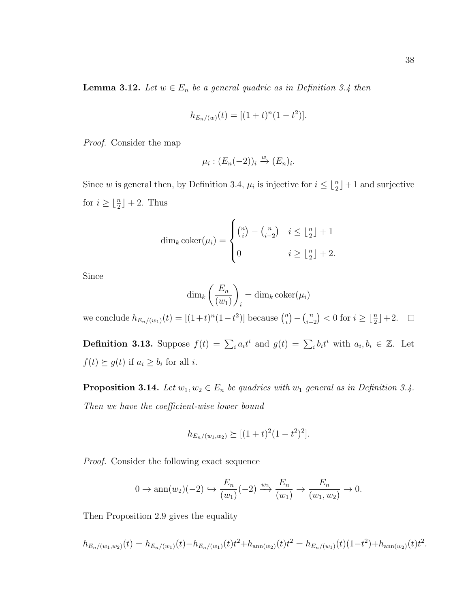<span id="page-44-0"></span>**Lemma 3.12.** Let  $w \in E_n$  be a general quadric as in Definition [3.4](#page-36-0) then

$$
h_{E_n/(w)}(t) = [(1+t)^n(1-t^2)].
$$

Proof. Consider the map

$$
\mu_i : (E_n(-2))_i \xrightarrow{w} (E_n)_i.
$$

Since w is general then, by Definition [3.4,](#page-36-0)  $\mu_i$  is injective for  $i \leq \lfloor \frac{n}{2} \rfloor + 1$  and surjective for  $i \geq \lfloor \frac{n}{2} \rfloor + 2$ . Thus

$$
\dim_k \operatorname{coker}(\mu_i) = \begin{cases} \binom{n}{i} - \binom{n}{i-2} & i \le \lfloor \frac{n}{2} \rfloor + 1 \\ 0 & i \ge \lfloor \frac{n}{2} \rfloor + 2. \end{cases}
$$

Since

$$
\dim_k\left(\frac{E_n}{(w_1)}\right)_i = \dim_k \mathrm{coker}(\mu_i)
$$

we conclude  $h_{E_n/(w_1)}(t) = [(1+t)^n(1-t^2)]$  because  $\binom{n}{i}$  $\binom{n}{i} - \binom{n}{i-1}$  $\binom{n}{i-2}$  < 0 for  $i \geq \lfloor \frac{n}{2} \rfloor + 2$ .

**Definition 3.13.** Suppose  $f(t) = \sum_i a_i t^i$  and  $g(t) = \sum_i b_i t^i$  with  $a_i, b_i \in \mathbb{Z}$ . Let  $f(t) \succeq g(t)$  if  $a_i \geq b_i$  for all *i*.

<span id="page-44-1"></span>**Proposition 3.14.** Let  $w_1, w_2 \in E_n$  be quadrics with  $w_1$  general as in Definition [3.4.](#page-36-0) Then we have the coefficient-wise lower bound

$$
h_{E_n/(w_1,w_2)} \succeq [(1+t)^2(1-t^2)^2].
$$

Proof. Consider the following exact sequence

$$
0 \to \operatorname{ann}(w_2)(-2) \hookrightarrow \frac{E_n}{(w_1)}(-2) \xrightarrow{w_2} \frac{E_n}{(w_1)} \to \frac{E_n}{(w_1, w_2)} \to 0.
$$

Then Proposition [2.9](#page-17-0) gives the equality

$$
h_{E_n/(w_1,w_2)}(t) = h_{E_n/(w_1)}(t) - h_{E_n/(w_1)}(t)t^2 + h_{\text{ann}(w_2)}(t)t^2 = h_{E_n/(w_1)}(t)(1-t^2) + h_{\text{ann}(w_2)}(t)t^2.
$$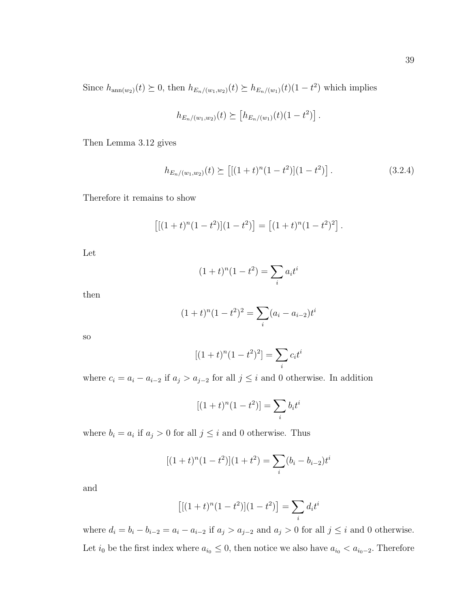Since  $h_{\text{ann}(w_2)}(t) \geq 0$ , then  $h_{E_n/(w_1,w_2)}(t) \geq h_{E_n/(w_1)}(t)$  (1 -  $t^2$ ) which implies

$$
h_{E_n/(w_1,w_2)}(t) \succeq [h_{E_n/(w_1)}(t)(1-t^2)].
$$

Then Lemma [3.12](#page-44-0) gives

<span id="page-45-0"></span>
$$
h_{E_n/(w_1,w_2)}(t) \succeq \left[ \left[ (1+t)^n (1-t^2) \right] (1-t^2) \right]. \tag{3.2.4}
$$

Therefore it remains to show

$$
[[(1 + t)^{n}(1 - t^2)](1 - t^2)] = [(1 + t)^{n}(1 - t^2)^2].
$$

Let

$$
(1+t)^{n}(1-t^{2}) = \sum_{i} a_{i}t^{i}
$$

then

$$
(1+t)^{n}(1-t^{2})^{2} = \sum_{i}(a_{i}-a_{i-2})t^{i}
$$

so

$$
[(1+t)^{n}(1-t^{2})^{2}] = \sum_{i} c_{i}t^{i}
$$

where  $c_i = a_i - a_{i-2}$  if  $a_j > a_{j-2}$  for all  $j \leq i$  and 0 otherwise. In addition

$$
[(1+t)^{n}(1-t^{2})] = \sum_{i} b_{i}t^{i}
$$

where  $b_i = a_i$  if  $a_j > 0$  for all  $j \leq i$  and 0 otherwise. Thus

$$
[(1+t)^{n}(1-t^2)](1+t^2) = \sum_{i} (b_i - b_{i-2})t^i
$$

and

$$
[[(1+t)^{n}(1-t^{2})](1-t^{2})] = \sum_{i} d_{i}t^{i}
$$

where  $d_i = b_i - b_{i-2} = a_i - a_{i-2}$  if  $a_j > a_{j-2}$  and  $a_j > 0$  for all  $j \leq i$  and 0 otherwise. Let  $i_0$  be the first index where  $a_{i_0} \leq 0$ , then notice we also have  $a_{i_0} < a_{i_0-2}$ . Therefore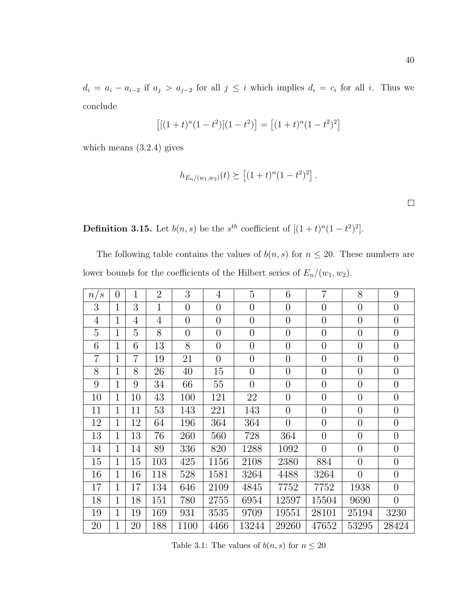$$
[[(1+t)^{n}(1-t^2)](1-t^2)] = [(1+t)^{n}(1-t^2)^2]
$$

which means [\(3.2.4\)](#page-45-0) gives

$$
h_{E_n/(w_1,w_2)}(t) \succeq \left[ (1+t)^n (1-t^2)^2 \right].
$$

**Definition 3.15.** Let  $b(n, s)$  be the  $s^{th}$  coefficient of  $[(1 + t)^n(1 - t^2)^2]$ .

The following table contains the values of  $b(n, s)$  for  $n \leq 20$ . These numbers are lower bounds for the coefficients of the Hilbert series of  $E_n/(w_1, w_2)$ .

<span id="page-46-0"></span>

| $\mathcal{S}$<br>n/ | $\theta$       | 1              | $\overline{2}$ | 3              | $\overline{4}$ | $\overline{5}$ | 6              | $\overline{7}$ | 8              | 9              |
|---------------------|----------------|----------------|----------------|----------------|----------------|----------------|----------------|----------------|----------------|----------------|
| 3                   | $\mathbf{1}$   | 3              | $\mathbf{1}$   | $\overline{0}$ | $\overline{0}$ | $\overline{0}$ | $\overline{0}$ | $\overline{0}$ | $\overline{0}$ | $\overline{0}$ |
| $\overline{4}$      | $\mathbf{1}$   | $\overline{4}$ | $\overline{4}$ | $\overline{0}$ | $\overline{0}$ | $\overline{0}$ | $\overline{0}$ | $\overline{0}$ | $\overline{0}$ | $\overline{0}$ |
| 5                   | $\mathbf{1}$   | 5              | 8              | $\overline{0}$ | $\overline{0}$ | $\overline{0}$ | $\overline{0}$ | $\overline{0}$ | $\overline{0}$ | $\overline{0}$ |
| 6                   | $\mathbf{1}$   | 6              | 13             | 8              | $\overline{0}$ | $\overline{0}$ | $\overline{0}$ | $\overline{0}$ | $\overline{0}$ | $\overline{0}$ |
| $\overline{7}$      | $\overline{1}$ | $\overline{7}$ | 19             | 21             | $\overline{0}$ | $\overline{0}$ | $\overline{0}$ | $\overline{0}$ | $\overline{0}$ | $\overline{0}$ |
| 8                   | $\mathbf{1}$   | 8              | 26             | 40             | 15             | $\overline{0}$ | $\overline{0}$ | $\overline{0}$ | $\overline{0}$ | $\overline{0}$ |
| 9                   | $\mathbf{1}$   | 9              | 34             | 66             | 55             | $\overline{0}$ | $\overline{0}$ | $\overline{0}$ | $\overline{0}$ | $\overline{0}$ |
| 10                  | $\mathbf{1}$   | 10             | 43             | 100            | 121            | 22             | $\overline{0}$ | $\overline{0}$ | $\overline{0}$ | $\overline{0}$ |
| 11                  | $\mathbf 1$    | 11             | 53             | 143            | 221            | 143            | $\overline{0}$ | $\overline{0}$ | $\overline{0}$ | $\overline{0}$ |
| 12                  | $\overline{1}$ | 12             | 64             | 196            | 364            | 364            | $\overline{0}$ | $\overline{0}$ | $\overline{0}$ | $\overline{0}$ |
| 13                  | 1              | 13             | 76             | 260            | 560            | 728            | 364            | $\overline{0}$ | $\overline{0}$ | $\theta$       |
| 14                  | $\overline{1}$ | 14             | 89             | 336            | 820            | 1288           | 1092           | $\overline{0}$ | $\overline{0}$ | $\overline{0}$ |
| 15                  | $\overline{1}$ | 15             | 103            | 425            | 1156           | 2108           | 2380           | 884            | $\overline{0}$ | $\overline{0}$ |
| 16                  | 1              | 16             | 118            | 528            | 1581           | 3264           | 4488           | 3264           | $\overline{0}$ | $\overline{0}$ |
| 17                  | $\mathbf 1$    | 17             | 134            | 646            | 2109           | 4845           | 7752           | 7752           | 1938           | $\overline{0}$ |
| 18                  | 1              | 18             | 151            | 780            | 2755           | 6954           | 12597          | 15504          | 9690           | $\overline{0}$ |
| 19                  | 1              | 19             | 169            | 931            | 3535           | 9709           | 19551          | 28101          | 25194          | 3230           |
| 20                  | 1              | 20             | 188            | 1100           | 4466           | 13244          | 29260          | 47652          | 53295          | 28424          |
|                     |                |                |                |                |                |                |                |                |                |                |

Table 3.1: The values of  $b(n,s)$  for  $n\leq 20$ 

 $\Box$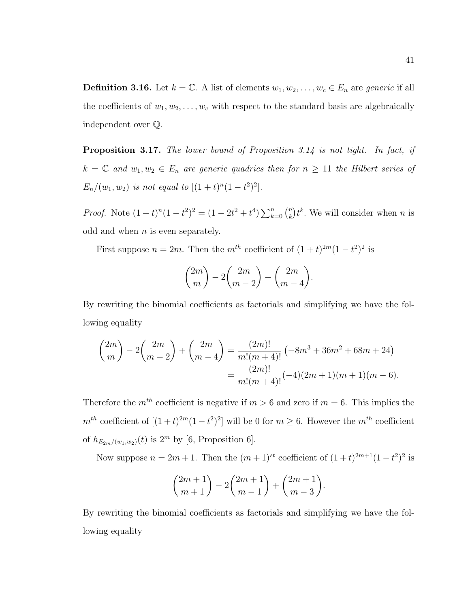<span id="page-47-0"></span>**Definition 3.16.** Let  $k = \mathbb{C}$ . A list of elements  $w_1, w_2, \ldots, w_c \in E_n$  are *generic* if all the coefficients of  $w_1, w_2, \ldots, w_c$  with respect to the standard basis are algebraically independent over Q.

**Proposition 3.17.** The lower bound of Proposition [3.14](#page-44-1) is not tight. In fact, if  $k = \mathbb{C}$  and  $w_1, w_2 \in E_n$  are generic quadrics then for  $n \geq 11$  the Hilbert series of  $E_n/(w_1, w_2)$  is not equal to  $[(1 + t)^n(1 - t^2)^2]$ .

*Proof.* Note  $(1+t)^n(1-t^2)^2 = (1-2t^2+t^4)\sum_{k=0}^n {n \choose k}$  $\binom{n}{k} t^k$ . We will consider when *n* is odd and when  $n$  is even separately.

First suppose  $n = 2m$ . Then the  $m^{th}$  coefficient of  $(1 + t)^{2m}(1 - t^2)^2$  is

$$
\binom{2m}{m} - 2\binom{2m}{m-2} + \binom{2m}{m-4}.
$$

By rewriting the binomial coefficients as factorials and simplifying we have the following equality

$$
\binom{2m}{m} - 2\binom{2m}{m-2} + \binom{2m}{m-4} = \frac{(2m)!}{m!(m+4)!} \left(-8m^3 + 36m^2 + 68m + 24\right)
$$

$$
= \frac{(2m)!}{m!(m+4)!} (-4)(2m+1)(m+1)(m-6).
$$

Therefore the  $m<sup>th</sup>$  coefficient is negative if  $m > 6$  and zero if  $m = 6$ . This implies the  $m^{th}$  coefficient of  $[(1+t)^{2m}(1-t^2)^2]$  will be 0 for  $m \geq 6$ . However the  $m^{th}$  coefficient of  $h_{E_{2m}/(w_1,w_2)}(t)$  is  $2^m$  by [\[6,](#page-110-1) Proposition 6].

Now suppose  $n = 2m + 1$ . Then the  $(m+1)^{st}$  coefficient of  $(1+t)^{2m+1}(1-t^2)^2$  is

$$
\binom{2m+1}{m+1} - 2\binom{2m+1}{m-1} + \binom{2m+1}{m-3}.
$$

By rewriting the binomial coefficients as factorials and simplifying we have the following equality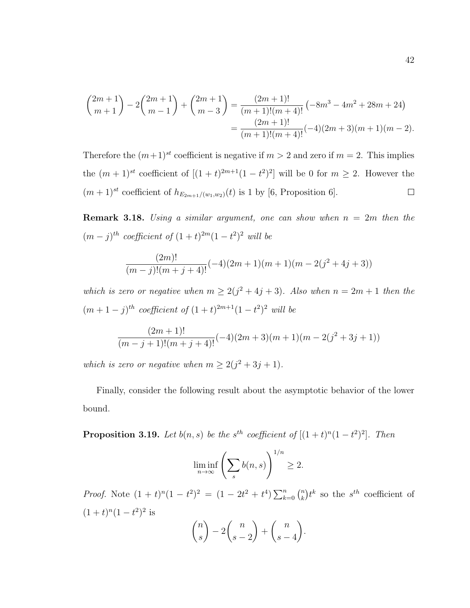$$
\binom{2m+1}{m+1} - 2\binom{2m+1}{m-1} + \binom{2m+1}{m-3} = \frac{(2m+1)!}{(m+1)!(m+4)!} \left(-8m^3 - 4m^2 + 28m + 24\right)
$$

$$
= \frac{(2m+1)!}{(m+1)!(m+4)!} (-4)(2m+3)(m+1)(m-2).
$$

Therefore the  $(m+1)^{st}$  coefficient is negative if  $m > 2$  and zero if  $m = 2$ . This implies the  $(m+1)^{st}$  coefficient of  $[(1+t)^{2m+1}(1-t^2)^2]$  will be 0 for  $m \geq 2$ . However the  $(m+1)^{st}$  coefficient of  $h_{E_{2m+1}/(w_1,w_2)}(t)$  is 1 by [\[6,](#page-110-1) Proposition 6].  $\Box$ 

<span id="page-48-0"></span>**Remark 3.18.** Using a similar argument, one can show when  $n = 2m$  then the  $(m-j)^{th}$  coefficient of  $(1+t)^{2m}(1-t^2)^2$  will be

$$
\frac{(2m)!}{(m-j)!(m+j+4)!}(-4)(2m+1)(m+1)(m-2(j^2+4j+3))
$$

which is zero or negative when  $m \geq 2(j^2 + 4j + 3)$ . Also when  $n = 2m + 1$  then the  $(m+1-j)^{th}$  coefficient of  $(1+t)^{2m+1}(1-t^2)^2$  will be

$$
\frac{(2m+1)!}{(m-j+1)!(m+j+4)!}(-4)(2m+3)(m+1)(m-2(j^2+3j+1))
$$

which is zero or negative when  $m \geq 2(j^2+3j+1)$ .

Finally, consider the following result about the asymptotic behavior of the lower bound.

<span id="page-48-1"></span>**Proposition 3.19.** Let  $b(n, s)$  be the s<sup>th</sup> coefficient of  $[(1 + t)^n(1 - t^2)^2]$ . Then

$$
\liminf_{n \to \infty} \left( \sum_s b(n, s) \right)^{1/n} \ge 2.
$$

*Proof.* Note  $(1 + t)^n (1 - t^2)^2 = (1 - 2t^2 + t^4) \sum_{k=0}^n {n \choose k}$  $\binom{n}{k}$  the s<sup>th</sup> coefficient of  $(1+t)^n(1-t^2)^2$  is

$$
\binom{n}{s} - 2\binom{n}{s-2} + \binom{n}{s-4}.
$$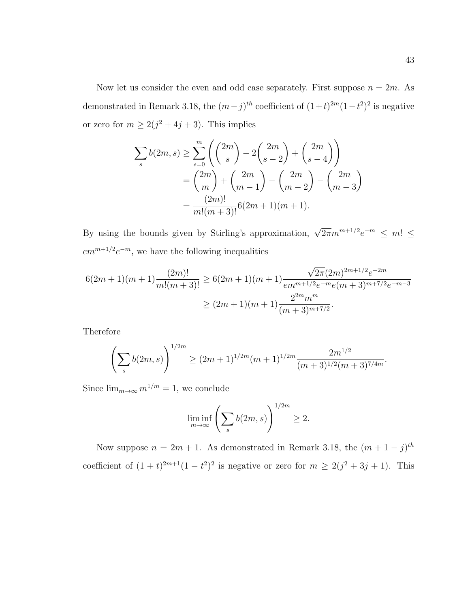Now let us consider the even and odd case separately. First suppose  $n = 2m$ . As demonstrated in Remark [3.18,](#page-48-0) the  $(m-j)^{th}$  coefficient of  $(1+t)^{2m}(1-t^2)^2$  is negative or zero for  $m \geq 2(j^2+4j+3)$ . This implies

$$
\sum_{s} b(2m, s) \ge \sum_{s=0}^{m} \left( {2m \choose s} - 2 {2m \choose s-2} + {2m \choose s-4} \right)
$$
  
=  ${2m \choose m} + {2m \choose m-1} - {2m \choose m-2} - {2m \choose m-3}$   
=  $\frac{(2m)!}{m!(m+3)!} 6(2m+1)(m+1).$ 

By using the bounds given by Stirling's approximation,  $\sqrt{2\pi}m^{m+1/2}e^{-m} \leq m! \leq$  $em^{m+1/2}e^{-m}$ , we have the following inequalities

$$
6(2m+1)(m+1)\frac{(2m)!}{m!(m+3)!} \ge 6(2m+1)(m+1)\frac{\sqrt{2\pi}(2m)^{2m+1/2}e^{-2m}}{em^{m+1/2}e^{-m}e(m+3)^{m+7/2}e^{-m-3}}
$$
  

$$
\ge (2m+1)(m+1)\frac{2^{2m}m^m}{(m+3)^{m+7/2}}.
$$

Therefore

$$
\left(\sum_{s} b(2m, s)\right)^{1/2m} \ge (2m + 1)^{1/2m} (m + 1)^{1/2m} \frac{2m^{1/2}}{(m + 3)^{1/2}(m + 3)^{7/4m}}.
$$

Since  $\lim_{m\to\infty} m^{1/m} = 1$ , we conclude

$$
\liminf_{m \to \infty} \left( \sum_{s} b(2m, s) \right)^{1/2m} \ge 2.
$$

Now suppose  $n = 2m + 1$ . As demonstrated in Remark [3.18,](#page-48-0) the  $(m + 1 - j)^{th}$ coefficient of  $(1 + t)^{2m+1}(1 - t^2)^2$  is negative or zero for  $m \ge 2(j^2 + 3j + 1)$ . This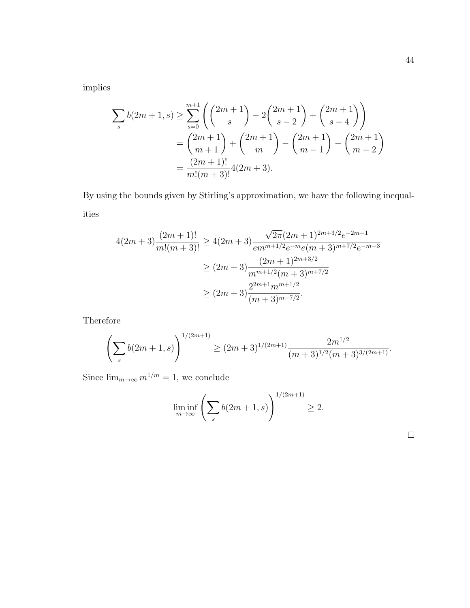implies

$$
\sum_{s} b(2m+1,s) \ge \sum_{s=0}^{m+1} \left( {2m+1 \choose s} - 2{2m+1 \choose s-2} + {2m+1 \choose s-4} \right)
$$
  
=  ${2m+1 \choose m+1} + {2m+1 \choose m} - {2m+1 \choose m-1} - {2m+1 \choose m-2}$   
=  $\frac{(2m+1)!}{m!(m+3)!} 4(2m+3).$ 

By using the bounds given by Stirling's approximation, we have the following inequalities

$$
4(2m+3)\frac{(2m+1)!}{m!(m+3)!} \ge 4(2m+3)\frac{\sqrt{2\pi}(2m+1)^{2m+3/2}e^{-2m-1}}{em^{m+1/2}e^{-m}e(m+3)^{m+7/2}e^{-m-3}}
$$
  

$$
\ge (2m+3)\frac{(2m+1)^{2m+3/2}}{m^{m+1/2}(m+3)^{m+7/2}}
$$
  

$$
\ge (2m+3)\frac{2^{2m+1}m^{m+1/2}}{(m+3)^{m+7/2}}.
$$

Therefore

$$
\left(\sum_{s} b(2m+1,s)\right)^{1/(2m+1)} \ge (2m+3)^{1/(2m+1)} \frac{2m^{1/2}}{(m+3)^{1/2}(m+3)^{3/(2m+1)}}.
$$

Since  $\lim_{m\to\infty}m^{1/m}=1,$  we conclude

$$
\liminf_{m \to \infty} \left( \sum_{s} b(2m+1, s) \right)^{1/(2m+1)} \ge 2.
$$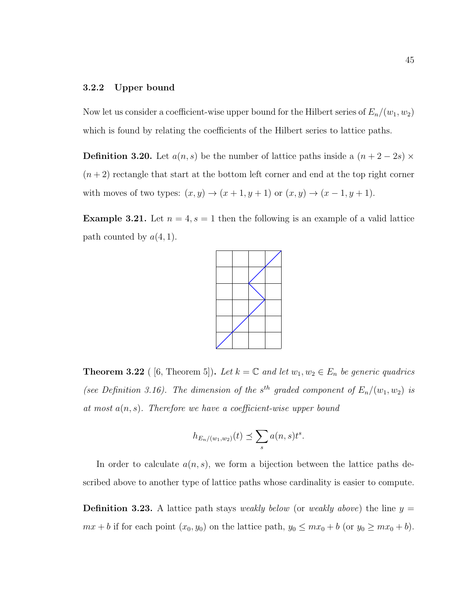#### 3.2.2 Upper bound

Now let us consider a coefficient-wise upper bound for the Hilbert series of  $E_n/(w_1, w_2)$ which is found by relating the coefficients of the Hilbert series to lattice paths.

**Definition 3.20.** Let  $a(n, s)$  be the number of lattice paths inside a  $(n + 2 - 2s) \times$  $(n+2)$  rectangle that start at the bottom left corner and end at the top right corner with moves of two types:  $(x, y) \rightarrow (x + 1, y + 1)$  or  $(x, y) \rightarrow (x - 1, y + 1)$ .

**Example 3.21.** Let  $n = 4$ ,  $s = 1$  then the following is an example of a valid lattice path counted by  $a(4, 1)$ .



<span id="page-51-0"></span>**Theorem 3.22** ( [\[6,](#page-110-1) Theorem 5]). Let  $k = \mathbb{C}$  and let  $w_1, w_2 \in E_n$  be generic quadrics (see Definition [3.16\)](#page-47-0). The dimension of the s<sup>th</sup> graded component of  $E_n/(w_1, w_2)$  is at most  $a(n, s)$ . Therefore we have a coefficient-wise upper bound

$$
h_{E_n/(w_1,w_2)}(t) \preceq \sum_s a(n,s)t^s.
$$

In order to calculate  $a(n, s)$ , we form a bijection between the lattice paths described above to another type of lattice paths whose cardinality is easier to compute.

**Definition 3.23.** A lattice path stays *weakly below* (or *weakly above*) the line  $y =$  $mx + b$  if for each point  $(x_0, y_0)$  on the lattice path,  $y_0 \leq mx_0 + b$  (or  $y_0 \geq mx_0 + b$ ).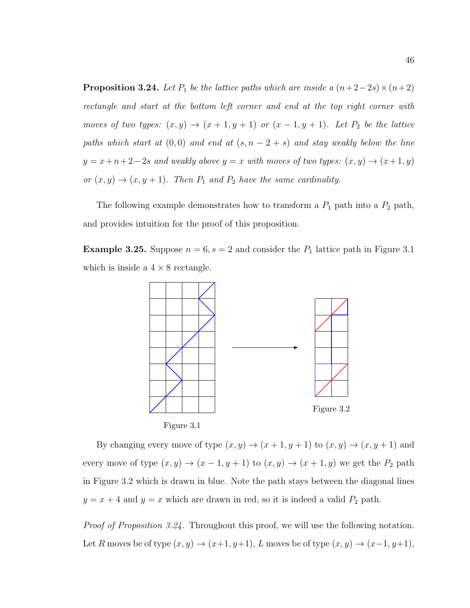<span id="page-52-2"></span>**Proposition 3.24.** Let  $P_1$  be the lattice paths which are inside a  $(n+2-2s)\times(n+2)$ rectangle and start at the bottom left corner and end at the top right corner with moves of two types:  $(x, y) \rightarrow (x + 1, y + 1)$  or  $(x - 1, y + 1)$ . Let  $P_2$  be the lattice paths which start at  $(0, 0)$  and end at  $(s, n - 2 + s)$  and stay weakly below the line  $y = x+n+2-2s$  and weakly above  $y = x$  with moves of two types:  $(x, y) \rightarrow (x+1, y)$ or  $(x, y) \rightarrow (x, y + 1)$ . Then  $P_1$  and  $P_2$  have the same cardinality.

The following example demonstrates how to transform a  $P_1$  path into a  $P_2$  path, and provides intuition for the proof of this proposition.

<span id="page-52-3"></span>**Example 3.25.** Suppose  $n = 6$ ,  $s = 2$  and consider the  $P_1$  lattice path in Figure [3.1](#page-52-0) which is inside a  $4 \times 8$  rectangle.

<span id="page-52-1"></span>

<span id="page-52-0"></span>By changing every move of type  $(x, y) \rightarrow (x + 1, y + 1)$  to  $(x, y) \rightarrow (x, y + 1)$  and every move of type  $(x, y) \rightarrow (x - 1, y + 1)$  to  $(x, y) \rightarrow (x + 1, y)$  we get the  $P_2$  path in Figure [3.2](#page-52-1) which is drawn in blue. Note the path stays between the diagonal lines  $y = x + 4$  and  $y = x$  which are drawn in red, so it is indeed a valid  $P_2$  path.

Proof of Proposition [3.24.](#page-52-2) Throughout this proof, we will use the following notation. Let R moves be of type  $(x, y) \rightarrow (x+1, y+1)$ , L moves be of type  $(x, y) \rightarrow (x-1, y+1)$ ,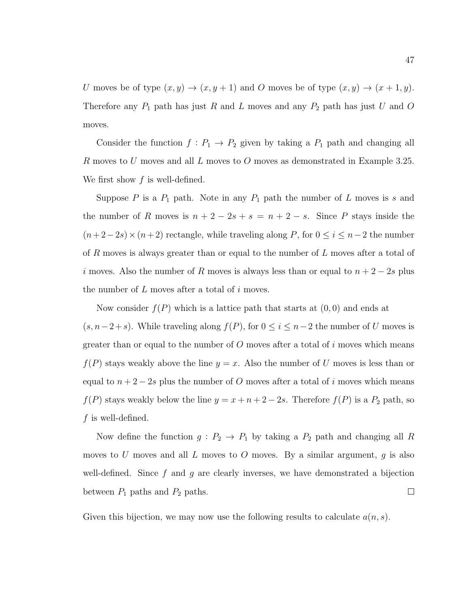U moves be of type  $(x, y) \rightarrow (x, y + 1)$  and O moves be of type  $(x, y) \rightarrow (x + 1, y)$ . Therefore any  $P_1$  path has just R and L moves and any  $P_2$  path has just U and O moves.

Consider the function  $f: P_1 \to P_2$  given by taking a  $P_1$  path and changing all R moves to U moves and all L moves to O moves as demonstrated in Example [3.25.](#page-52-3) We first show  $f$  is well-defined.

Suppose P is a  $P_1$  path. Note in any  $P_1$  path the number of L moves is s and the number of R moves is  $n + 2 - 2s + s = n + 2 - s$ . Since P stays inside the  $(n+2-2s)\times(n+2)$  rectangle, while traveling along P, for  $0 \le i \le n-2$  the number of R moves is always greater than or equal to the number of L moves after a total of i moves. Also the number of R moves is always less than or equal to  $n + 2 - 2s$  plus the number of  $L$  moves after a total of  $i$  moves.

Now consider  $f(P)$  which is a lattice path that starts at  $(0,0)$  and ends at  $(s, n-2+s)$ . While traveling along  $f(P)$ , for  $0 \le i \le n-2$  the number of U moves is greater than or equal to the number of  $O$  moves after a total of i moves which means  $f(P)$  stays weakly above the line  $y = x$ . Also the number of U moves is less than or equal to  $n + 2 - 2s$  plus the number of O moves after a total of i moves which means  $f(P)$  stays weakly below the line  $y = x + n + 2 - 2s$ . Therefore  $f(P)$  is a  $P_2$  path, so  $f$  is well-defined.

Now define the function  $g: P_2 \to P_1$  by taking a  $P_2$  path and changing all R moves to U moves and all L moves to O moves. By a similar argument,  $g$  is also well-defined. Since  $f$  and  $g$  are clearly inverses, we have demonstrated a bijection  $\Box$ between  $P_1$  paths and  $P_2$  paths.

Given this bijection, we may now use the following results to calculate  $a(n, s)$ .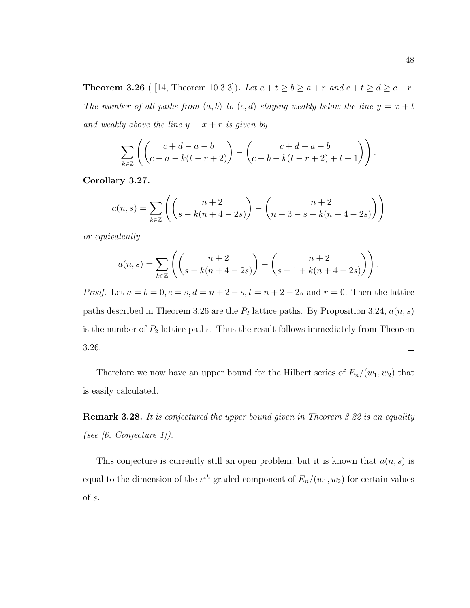<span id="page-54-0"></span>**Theorem 3.26** ( [\[14,](#page-111-4) Theorem 10.3.3]). Let  $a + t \ge b \ge a + r$  and  $c + t \ge d \ge c + r$ . The number of all paths from  $(a, b)$  to  $(c, d)$  staying weakly below the line  $y = x + t$ and weakly above the line  $y = x + r$  is given by

$$
\sum_{k\in\mathbb{Z}}\left(\begin{pmatrix}c+d-a-b\\c-a-k(t-r+2)\end{pmatrix}-\begin{pmatrix}c+d-a-b\\c-b-k(t-r+2)+t+1\end{pmatrix}\right).
$$

<span id="page-54-1"></span>Corollary 3.27.

$$
a(n,s) = \sum_{k \in \mathbb{Z}} \left( \binom{n+2}{s - k(n+4-2s)} - \binom{n+2}{n+3 - s - k(n+4-2s)} \right)
$$

or equivalently

$$
a(n,s) = \sum_{k \in \mathbb{Z}} \left( \binom{n+2}{s - k(n+4-2s)} - \binom{n+2}{s - 1 + k(n+4-2s)} \right)
$$

*Proof.* Let  $a = b = 0, c = s, d = n + 2 - s, t = n + 2 - 2s$  and  $r = 0$ . Then the lattice paths described in Theorem [3.26](#page-54-0) are the  $P_2$  lattice paths. By Proposition [3.24,](#page-52-2)  $a(n, s)$ is the number of  $P_2$  lattice paths. Thus the result follows immediately from Theorem [3.26.](#page-54-0)  $\Box$ 

Therefore we now have an upper bound for the Hilbert series of  $E_n/(w_1, w_2)$  that is easily calculated.

Remark 3.28. It is conjectured the upper bound given in Theorem [3.22](#page-51-0) is an equality (see  $[6, Conjecture 1]$  $[6, Conjecture 1]$ ).

This conjecture is currently still an open problem, but it is known that  $a(n, s)$  is equal to the dimension of the  $s^{th}$  graded component of  $E_n/(w_1, w_2)$  for certain values of s.

.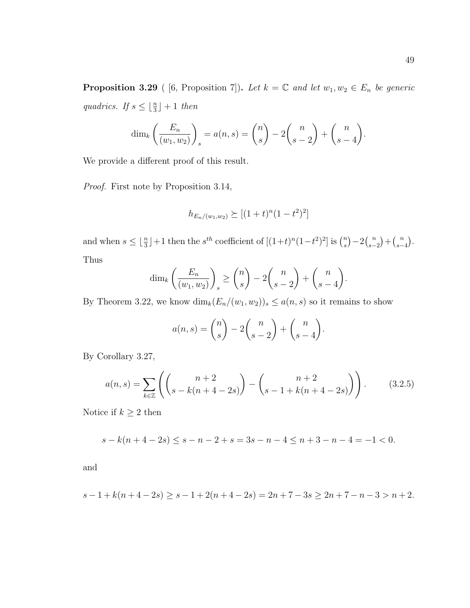<span id="page-55-1"></span>**Proposition 3.29** ( [\[6,](#page-110-1) Proposition 7]). Let  $k = \mathbb{C}$  and let  $w_1, w_2 \in E_n$  be generic quadrics. If  $s \leq \lfloor \frac{n}{3} \rfloor + 1$  then

$$
\dim_k\left(\frac{E_n}{(w_1, w_2)}\right)_s = a(n, s) = \binom{n}{s} - 2\binom{n}{s-2} + \binom{n}{s-4}.
$$

We provide a different proof of this result.

Proof. First note by Proposition [3.14,](#page-44-1)

$$
h_{E_n/(w_1,w_2)} \succeq [(1+t)^n(1-t^2)^2]
$$

and when  $s \leq \lfloor \frac{n}{3} \rfloor + 1$  then the  $s^{th}$  coefficient of  $[(1+t)^n(1-t^2)^2]$  is  $\binom{n}{s}$  $\binom{n}{s} - 2\binom{n}{s-1}$  $\binom{n}{s-2} + \binom{n}{s-1}$  $\binom{n}{s-4}$ . Thus

$$
\dim_k\left(\frac{E_n}{(w_1, w_2)}\right)_s \ge \binom{n}{s} - 2\binom{n}{s-2} + \binom{n}{s-4}.
$$

By Theorem [3.22,](#page-51-0) we know  $\dim_k(E_n/(w_1, w_2))_s \leq a(n, s)$  so it remains to show

$$
a(n,s) = \binom{n}{s} - 2\binom{n}{s-2} + \binom{n}{s-4}.
$$

By Corollary [3.27,](#page-54-1)

<span id="page-55-0"></span>
$$
a(n,s) = \sum_{k \in \mathbb{Z}} \left( \binom{n+2}{s - k(n+4-2s)} - \binom{n+2}{s-1 + k(n+4-2s)} \right). \tag{3.2.5}
$$

Notice if  $k\geq 2$  then

$$
s - k(n + 4 - 2s) \le s - n - 2 + s = 3s - n - 4 \le n + 3 - n - 4 = -1 < 0.
$$

and

$$
s-1+k(n+4-2s) \ge s-1+2(n+4-2s) = 2n+7-3s \ge 2n+7-n-3 > n+2.
$$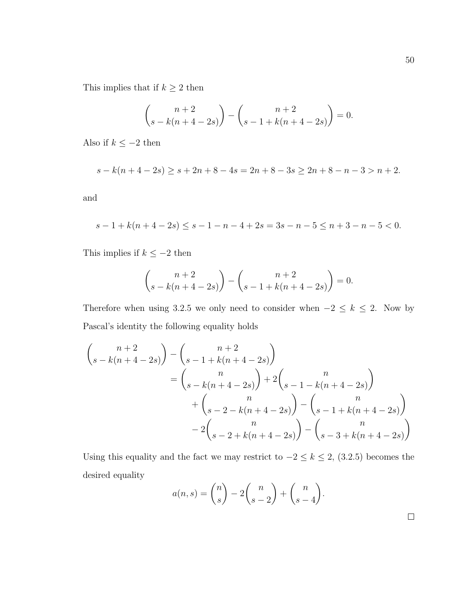$$
\binom{n+2}{s-k(n+4-2s)} - \binom{n+2}{s-1+k(n+4-2s)} = 0.
$$

Also if  $k\leq -2$  then

$$
s - k(n + 4 - 2s) \ge s + 2n + 8 - 4s = 2n + 8 - 3s \ge 2n + 8 - n - 3 > n + 2.
$$

and

$$
s - 1 + k(n + 4 - 2s) \le s - 1 - n - 4 + 2s = 3s - n - 5 \le n + 3 - n - 5 < 0.
$$

This implies if  $k \le -2$  then

$$
\binom{n+2}{s-k(n+4-2s)} - \binom{n+2}{s-1+k(n+4-2s)} = 0.
$$

Therefore when using [3.2.5](#page-55-0) we only need to consider when  $-2 \le k \le 2$ . Now by Pascal's identity the following equality holds

$$
\begin{pmatrix} n+2 \ s-k(n+4-2s) \end{pmatrix} - \begin{pmatrix} n+2 \ s-1+k(n+4-2s) \end{pmatrix}
$$
  
=  $\begin{pmatrix} n \ s-k(n+4-2s) \end{pmatrix} + 2 \begin{pmatrix} n \ s-1-k(n+4-2s) \end{pmatrix}$   
+  $\begin{pmatrix} n \ s-2-k(n+4-2s) \end{pmatrix} - \begin{pmatrix} n \ s-1+k(n+4-2s) \end{pmatrix}$   
-  $2 \begin{pmatrix} n \ s-2+k(n+4-2s) \end{pmatrix} - \begin{pmatrix} n \ s-3+k(n+4-2s) \end{pmatrix}$ 

Using this equality and the fact we may restrict to  $-2 \le k \le 2$ , [\(3.2.5\)](#page-55-0) becomes the desired equality

$$
a(n,s) = \binom{n}{s} - 2\binom{n}{s-2} + \binom{n}{s-4}.
$$

 $\Box$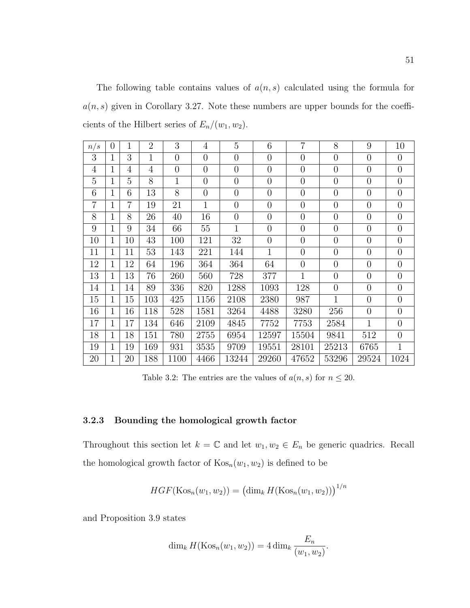The following table contains values of  $a(n, s)$  calculated using the formula for  $a(n, s)$  given in Corollary [3.27.](#page-54-1) Note these numbers are upper bounds for the coefficients of the Hilbert series of  $E_n/(w_1, w_2)$ .

<span id="page-57-0"></span>

| n/s            | $\theta$       | 1              | $\overline{2}$ | 3              | $\overline{4}$ | $\overline{5}$ | 6              | $\overline{7}$ | 8              | 9              | 10             |
|----------------|----------------|----------------|----------------|----------------|----------------|----------------|----------------|----------------|----------------|----------------|----------------|
| 3              | 1              | 3              | $\mathbf{1}$   | $\overline{0}$ | $\overline{0}$ | $\overline{0}$ | $\overline{0}$ | $\overline{0}$ | $\overline{0}$ | $\overline{0}$ | $\overline{0}$ |
| $\overline{4}$ | $\mathbf 1$    | $\overline{4}$ | $\overline{4}$ | $\overline{0}$ | $\overline{0}$ | $\overline{0}$ | $\overline{0}$ | $\overline{0}$ | $\overline{0}$ | $\overline{0}$ | $\overline{0}$ |
| 5              | $\mathbf 1$    | 5              | 8              | $\mathbf 1$    | $\theta$       | $\overline{0}$ | $\overline{0}$ | $\overline{0}$ | $\overline{0}$ | $\overline{0}$ | $\overline{0}$ |
| 6              | $\overline{1}$ | 6              | 13             | 8              | $\theta$       | $\overline{0}$ | $\overline{0}$ | $\overline{0}$ | $\overline{0}$ | $\overline{0}$ | $\overline{0}$ |
| $\overline{7}$ | $\overline{1}$ | $\overline{7}$ | 19             | 21             | $\mathbf{1}$   | $\overline{0}$ | $\overline{0}$ | $\overline{0}$ | $\overline{0}$ | $\overline{0}$ | $\overline{0}$ |
| 8              | $\mathbf{1}$   | 8              | 26             | 40             | 16             | $\overline{0}$ | $\overline{0}$ | $\overline{0}$ | $\overline{0}$ | $\overline{0}$ | $\overline{0}$ |
| 9              | $\overline{1}$ | 9              | 34             | 66             | 55             | $\mathbf{1}$   | $\overline{0}$ | $\overline{0}$ | $\overline{0}$ | $\overline{0}$ | $\overline{0}$ |
| 10             | $\mathbf{1}$   | 10             | 43             | 100            | 121            | 32             | $\overline{0}$ | $\overline{0}$ | $\overline{0}$ | $\overline{0}$ | $\overline{0}$ |
| 11             | $\mathbf{1}$   | 11             | 53             | 143            | 221            | 144            | $\mathbf{1}$   | $\overline{0}$ | $\overline{0}$ | $\overline{0}$ | $\overline{0}$ |
| 12             | $\mathbf{1}$   | 12             | 64             | 196            | 364            | 364            | 64             | $\overline{0}$ | $\overline{0}$ | $\overline{0}$ | $\overline{0}$ |
| 13             | $\mathbf{1}$   | 13             | 76             | 260            | 560            | 728            | 377            | $\mathbf{1}$   | $\overline{0}$ | $\overline{0}$ | $\overline{0}$ |
| 14             | $\mathbf 1$    | 14             | 89             | 336            | 820            | 1288           | 1093           | 128            | $\overline{0}$ | $\overline{0}$ | $\overline{0}$ |
| 15             | 1              | 15             | 103            | 425            | 1156           | 2108           | 2380           | 987            | $\mathbf{1}$   | $\overline{0}$ | $\overline{0}$ |
| 16             | 1              | 16             | 118            | 528            | 1581           | 3264           | 4488           | 3280           | 256            | $\overline{0}$ | $\overline{0}$ |
| 17             | $\overline{1}$ | 17             | 134            | 646            | 2109           | 4845           | 7752           | 7753           | 2584           | $\mathbf{1}$   | $\overline{0}$ |
| 18             | $\mathbf{1}$   | 18             | 151            | 780            | 2755           | 6954           | 12597          | 15504          | 9841           | 512            | $\overline{0}$ |
| 19             | $\overline{1}$ | 19             | 169            | 931            | 3535           | 9709           | 19551          | 28101          | 25213          | 6765           | $\mathbf{1}$   |
| 20             | $\mathbf{1}$   | 20             | 188            | 1100           | 4466           | 13244          | 29260          | 47652          | 53296          | 29524          | 1024           |

Table 3.2: The entries are the values of  $a(n, s)$  for  $n \leq 20$ .

#### 3.2.3 Bounding the homological growth factor

Throughout this section let  $k = \mathbb{C}$  and let  $w_1, w_2 \in E_n$  be generic quadrics. Recall the homological growth factor of  $Kos_n(w_1, w_2)$  is defined to be

$$
HGF(\text{Kos}_n(w_1, w_2)) = (\dim_k H(\text{Kos}_n(w_1, w_2)))^{1/n}
$$

and Proposition [3.9](#page-42-2) states

$$
\dim_k H(\text{Kos}_n(w_1, w_2)) = 4 \dim_k \frac{E_n}{(w_1, w_2)}.
$$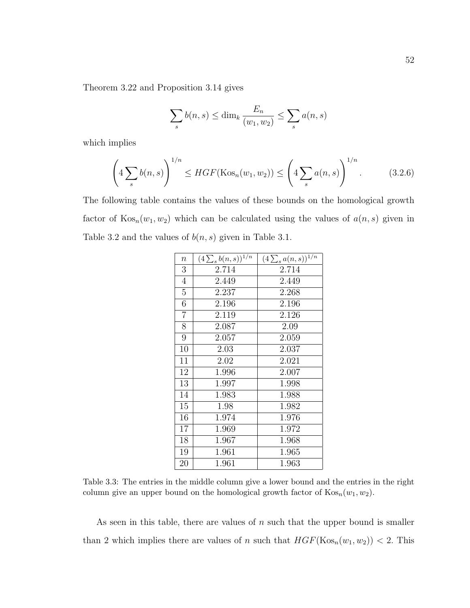Theorem [3.22](#page-51-0) and Proposition [3.14](#page-44-1) gives

$$
\sum_{s} b(n, s) \le \dim_k \frac{E_n}{(w_1, w_2)} \le \sum_{s} a(n, s)
$$

which implies

<span id="page-58-0"></span>
$$
\left(4\sum_{s} b(n,s)\right)^{1/n} \le HGF(\text{Kos}_n(w_1,w_2)) \le \left(4\sum_{s} a(n,s)\right)^{1/n}.
$$
 (3.2.6)

The following table contains the values of these bounds on the homological growth factor of  $\text{Kos}_n(w_1, w_2)$  which can be calculated using the values of  $a(n, s)$  given in Table [3.2](#page-57-0) and the values of  $b(n, s)$  given in Table [3.1.](#page-46-0)

| $\boldsymbol{n}$ | $(4\sum_{s} b(n,s))^{1/n}$ | $(4\sum_{s}a(n,s))^{1/n}$ |
|------------------|----------------------------|---------------------------|
| 3                | 2.714                      | 2.714                     |
| 4                | 2.449                      | 2.449                     |
| 5                | 2.237                      | 2.268                     |
| 6                | 2.196                      | 2.196                     |
| $\overline{7}$   | 2.119                      | 2.126                     |
| 8                | 2.087                      | 2.09                      |
| 9                | 2.057                      | 2.059                     |
| 10               | 2.03                       | 2.037                     |
| 11               | 2.02                       | 2.021                     |
| 12               | 1.996                      | 2.007                     |
| 13               | 1.997                      | 1.998                     |
| 14               | 1.983                      | 1.988                     |
| 15               | 1.98                       | 1.982                     |
| 16               | 1.974                      | 1.976                     |
| 17               | 1.969                      | 1.972                     |
| 18               | 1.967                      | 1.968                     |
| 19               | 1.961                      | 1.965                     |
| 20               | 1.961                      | 1.963                     |

Table 3.3: The entries in the middle column give a lower bound and the entries in the right column give an upper bound on the homological growth factor of  $\text{Kos}_n(w_1, w_2)$ .

As seen in this table, there are values of  $n$  such that the upper bound is smaller than 2 which implies there are values of n such that  $HGF(Kos_n(w_1, w_2)) < 2$ . This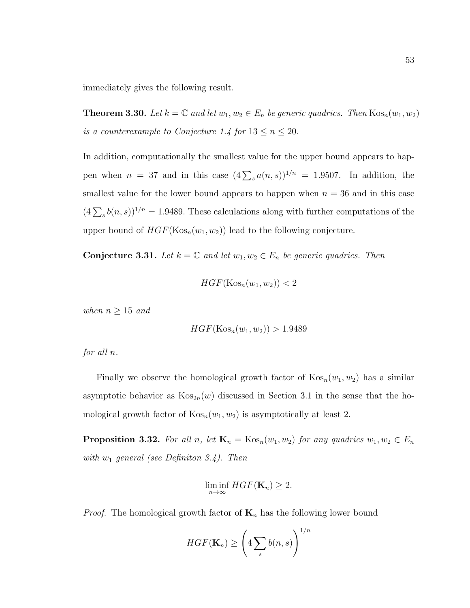immediately gives the following result.

**Theorem 3.30.** Let  $k = \mathbb{C}$  and let  $w_1, w_2 \in E_n$  be generic quadrics. Then  $\text{Kos}_n(w_1, w_2)$ is a counterexample to Conjecture [1.4](#page-9-0) for  $13 \le n \le 20$ .

In addition, computationally the smallest value for the upper bound appears to happen when  $n = 37$  and in this case  $(4\sum_{s} a(n,s))^{1/n} = 1.9507$ . In addition, the smallest value for the lower bound appears to happen when  $n = 36$  and in this case  $(4\sum_{s} b(n,s))^{1/n} = 1.9489$ . These calculations along with further computations of the upper bound of  $HGF(Kos_n(w_1, w_2))$  lead to the following conjecture.

**Conjecture 3.31.** Let  $k = \mathbb{C}$  and let  $w_1, w_2 \in E_n$  be generic quadrics. Then

$$
HGF(\mathrm{Kos}_n(w_1, w_2)) < 2
$$

when  $n \geq 15$  and

$$
HGF(\mathrm{Kos}_n(w_1, w_2)) > 1.9489
$$

for all n.

Finally we observe the homological growth factor of  $\text{Kos}_n(w_1, w_2)$  has a similar asymptotic behavior as  $Kos_{2n}(w)$  discussed in Section [3.1](#page-35-1) in the sense that the homological growth factor of  $Kos_n(w_1, w_2)$  is asymptotically at least 2.

**Proposition 3.32.** For all n, let  $\mathbf{K}_n = \text{Kos}_n(w_1, w_2)$  for any quadrics  $w_1, w_2 \in E_n$ with  $w_1$  general (see Definiton [3.4\)](#page-36-0). Then

$$
\liminf_{n\to\infty} HGF(\mathbf{K}_n) \geq 2.
$$

*Proof.* The homological growth factor of  $\mathbf{K}_n$  has the following lower bound

$$
HGF(\mathbf{K}_n) \ge \left(4\sum_s b(n,s)\right)^{1/n}
$$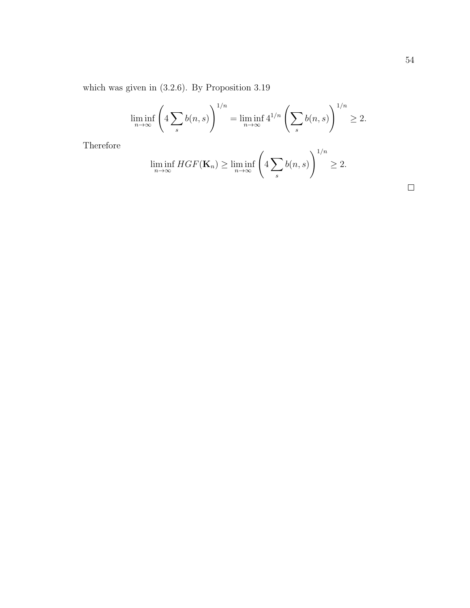which was given in [\(3.2.6\)](#page-58-0). By Proposition [3.19](#page-48-1)

$$
\liminf_{n \to \infty} \left( 4 \sum_{s} b(n, s) \right)^{1/n} = \liminf_{n \to \infty} 4^{1/n} \left( \sum_{s} b(n, s) \right)^{1/n} \ge 2.
$$

Therefore

$$
\liminf_{n \to \infty} HGF(\mathbf{K}_n) \ge \liminf_{n \to \infty} \left( 4 \sum_{s} b(n, s) \right)^{1/n} \ge 2.
$$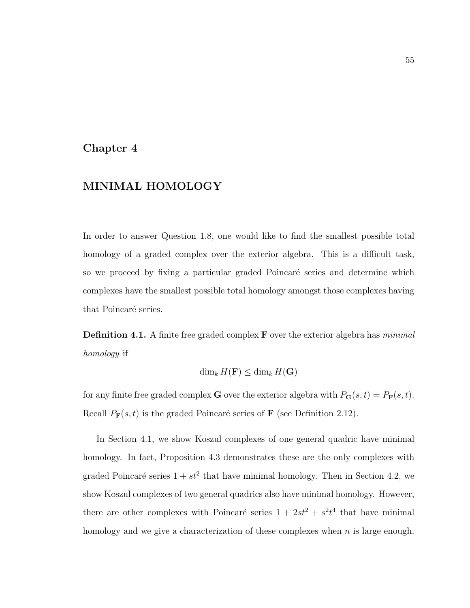### Chapter 4

## MINIMAL HOMOLOGY

In order to answer Question [1.8,](#page-10-1) one would like to find the smallest possible total homology of a graded complex over the exterior algebra. This is a difficult task, so we proceed by fixing a particular graded Poincaré series and determine which complexes have the smallest possible total homology amongst those complexes having that Poincaré series.

**Definition 4.1.** A finite free graded complex  $\bf{F}$  over the exterior algebra has *minimal* homology if

$$
\dim_k H(\mathbf{F}) \le \dim_k H(\mathbf{G})
$$

for any finite free graded complex **G** over the exterior algebra with  $P_G(s, t) = P_F(s, t)$ . Recall  $P_{\mathbf{F}}(s,t)$  is the graded Poincaré series of **F** (see Definition [2.12\)](#page-17-1).

In Section [4.1,](#page-62-0) we show Koszul complexes of one general quadric have minimal homology. In fact, Proposition [4.3](#page-62-1) demonstrates these are the only complexes with graded Poincaré series  $1 + st^2$  that have minimal homology. Then in Section [4.2,](#page-63-0) we show Koszul complexes of two general quadrics also have minimal homology. However, there are other complexes with Poincaré series  $1 + 2st^2 + s^2t^4$  that have minimal homology and we give a characterization of these complexes when  $n$  is large enough.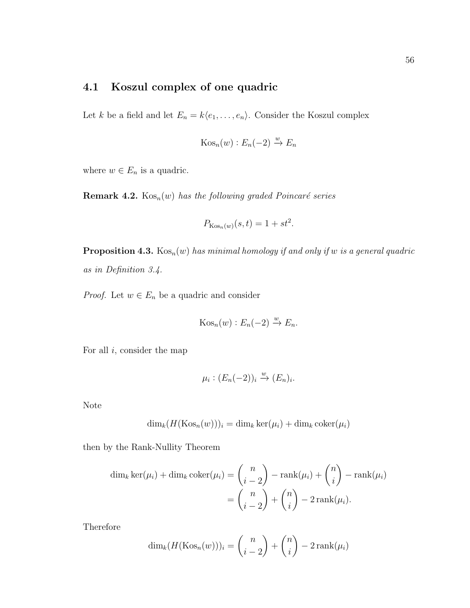# <span id="page-62-0"></span>4.1 Koszul complex of one quadric

Let k be a field and let  $E_n = k\langle e_1, \ldots, e_n \rangle$ . Consider the Koszul complex

$$
Kos_n(w) : E_n(-2) \xrightarrow{w} E_n
$$

where  $w \in E_n$  is a quadric.

**Remark 4.2.**  $Kos_n(w)$  has the following graded Poincaré series

$$
P_{\text{Kos}_n(w)}(s,t) = 1 + st^2.
$$

<span id="page-62-1"></span>**Proposition 4.3.**  $\text{Kos}_n(w)$  has minimal homology if and only if w is a general quadric as in Definition [3.4.](#page-36-0)

*Proof.* Let  $w \in E_n$  be a quadric and consider

$$
Kos_n(w): E_n(-2) \xrightarrow{w} E_n.
$$

For all  $i$ , consider the map

$$
\mu_i : (E_n(-2))_i \xrightarrow{w} (E_n)_i.
$$

Note

$$
\dim_k (H(\mathrm{Kos}_n(w)))_i = \dim_k \ker(\mu_i) + \dim_k \mathrm{coker}(\mu_i)
$$

then by the Rank-Nullity Theorem

$$
\dim_k \ker(\mu_i) + \dim_k \operatorname{coker}(\mu_i) = {n \choose i-2} - \operatorname{rank}(\mu_i) + {n \choose i} - \operatorname{rank}(\mu_i)
$$

$$
= {n \choose i-2} + {n \choose i} - 2\operatorname{rank}(\mu_i).
$$

Therefore

$$
\dim_k(H(\mathrm{Kos}_n(w)))_i = \binom{n}{i-2} + \binom{n}{i} - 2\operatorname{rank}(\mu_i)
$$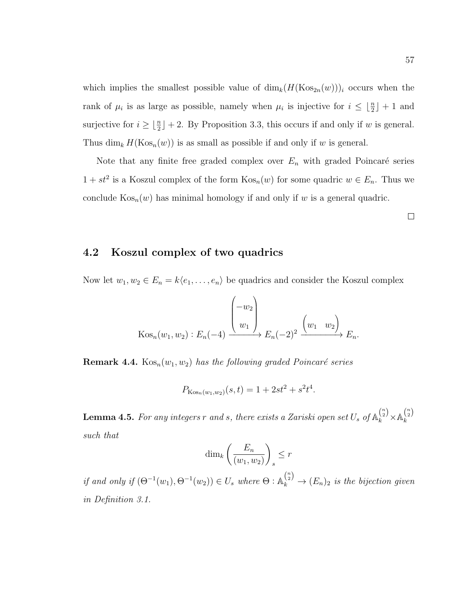which implies the smallest possible value of  $\dim_k(H(Kos_{2n}(w)))_i$  occurs when the rank of  $\mu_i$  is as large as possible, namely when  $\mu_i$  is injective for  $i \leq \lfloor \frac{n}{2} \rfloor + 1$  and surjective for  $i \geq \lfloor \frac{n}{2} \rfloor + 2$ . By Proposition [3.3,](#page-35-0) this occurs if and only if w is general. Thus  $\dim_k H(Kos_n(w))$  is as small as possible if and only if w is general.

Note that any finite free graded complex over  $E_n$  with graded Poincaré series  $1 + st^2$  is a Koszul complex of the form  $\text{Kos}_n(w)$  for some quadric  $w \in E_n$ . Thus we conclude  $\text{Kos}_n(w)$  has minimal homology if and only if w is a general quadric.

<span id="page-63-0"></span>4.2 Koszul complex of two quadrics

Now let  $w_1, w_2 \in E_n = k\langle e_1, \ldots, e_n \rangle$  be quadrics and consider the Koszul complex

$$
\operatorname{Kos}_n(w_1, w_2) : E_n(-4) \xrightarrow{w_1} E_n(-2)^2 \xrightarrow{w_1} E_n.
$$

**Remark 4.4.**  $\text{Kos}_n(w_1, w_2)$  has the following graded Poincaré series

$$
P_{\text{Kos}_n(w_1, w_2)}(s, t) = 1 + 2st^2 + s^2t^4.
$$

<span id="page-63-1"></span>**Lemma 4.5.** For any integers  $r$  and  $s$ , there exists a Zariski open set  $U_s$  of  $\mathbb{A}_k^{\binom{n}{2}}\times \mathbb{A}_k^{\binom{n}{2}}$ k such that

$$
\dim_k\left(\frac{E_n}{(w_1, w_2)}\right)_s \le r
$$

if and only if  $(\Theta^{-1}(w_1), \Theta^{-1}(w_2)) \in U_s$  where  $\Theta : \mathbb{A}_k^{n \choose 2} \to (E_n)_2$  is the bijection given in Definition [3.1.](#page-35-2)

 $\Box$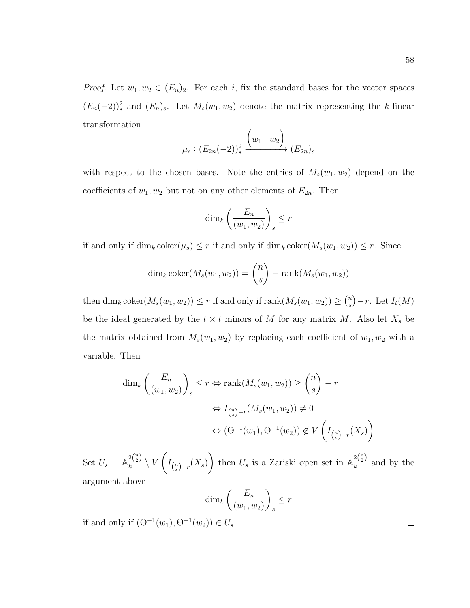*Proof.* Let  $w_1, w_2 \in (E_n)_2$ . For each i, fix the standard bases for the vector spaces

 $(E_n(-2))^2$  and  $(E_n)_s$ . Let  $M_s(w_1, w_2)$  denote the matrix representing the k-linear transformation  $\overline{ }$  $\Delta$ 

$$
\mu_s: (E_{2n}(-2))^2_s \xrightarrow{(w_1 \quad w_2)} (E_{2n})_s
$$

with respect to the chosen bases. Note the entries of  $M_s(w_1, w_2)$  depend on the coefficients of  $w_1, w_2$  but not on any other elements of  $E_{2n}$ . Then

$$
\dim_k\left(\frac{E_n}{(w_1, w_2)}\right)_s \le r
$$

if and only if  $\dim_k \text{coker}(\mu_s) \leq r$  if and only if  $\dim_k \text{coker}(M_s(w_1, w_2)) \leq r$ . Since

$$
\dim_k \operatorname{coker}(M_s(w_1, w_2)) = \binom{n}{s} - \operatorname{rank}(M_s(w_1, w_2))
$$

then  $\dim_k \text{coker}(M_s(w_1, w_2)) \leq r$  if and only if  $\text{rank}(M_s(w_1, w_2)) \geq {n \choose s}$  $\binom{n}{s} - r$ . Let  $I_t(M)$ be the ideal generated by the  $t \times t$  minors of M for any matrix M. Also let  $X_s$  be the matrix obtained from  $M_s(w_1, w_2)$  by replacing each coefficient of  $w_1, w_2$  with a variable. Then

$$
\dim_k \left( \frac{E_n}{(w_1, w_2)} \right)_s \le r \Leftrightarrow \operatorname{rank}(M_s(w_1, w_2)) \ge \binom{n}{s} - r
$$

$$
\Leftrightarrow I_{\binom{n}{s}-r}(M_s(w_1, w_2)) \ne 0
$$

$$
\Leftrightarrow (\Theta^{-1}(w_1), \Theta^{-1}(w_2)) \notin V\left(I_{\binom{n}{s}-r}(X_s)\right)
$$

Set  $U_s = \mathbb{A}_k^{2\binom{n}{2}}$  $\binom{2}{k} \setminus V$  $\sqrt{ }$  $I_{\binom{n}{s}-r}(X_s)$ then  $U_s$  is a Zariski open set in  $\mathbb{A}_k^{2{n \choose 2}}$  $\int_{k}^{2\sqrt{2}}$  and by the argument above

$$
\dim_k\left(\frac{E_n}{(w_1, w_2)}\right)_s \le r
$$

if and only if  $(\Theta^{-1}(w_1), \Theta^{-1}(w_2)) \in U_s$ .

 $\Box$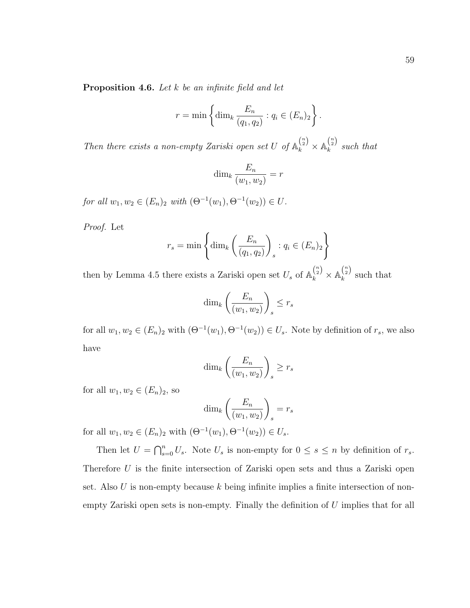$$
r = \min\left\{\dim_k \frac{E_n}{(q_1, q_2)} : q_i \in (E_n)_2\right\}.
$$

<span id="page-65-0"></span>Then there exists a non-empty Zariski open set U of  $\mathbb{A}_k^{n \choose 2} \times \mathbb{A}_k^{n \choose 2}$  $\lambda_k^{(2)}$  such that

$$
\dim_k \frac{E_n}{(w_1, w_2)} = r
$$

for all  $w_1, w_2 \in (E_n)_2$  with  $(\Theta^{-1}(w_1), \Theta^{-1}(w_2)) \in U$ .

Proof. Let

$$
r_s = \min\left\{\dim_k\left(\frac{E_n}{(q_1, q_2)}\right)_s : q_i \in (E_n)_2\right\}
$$

then by Lemma [4.5](#page-63-1) there exists a Zariski open set  $U_s$  of  $\mathbb{A}_k^{n \choose 2} \times \mathbb{A}_k^{n \choose 2}$  $\lambda_k^{(2)}$  such that

$$
\dim_k\left(\frac{E_n}{(w_1, w_2)}\right)_s \le r_s
$$

for all  $w_1, w_2 \in (E_n)_2$  with  $(\Theta^{-1}(w_1), \Theta^{-1}(w_2)) \in U_s$ . Note by definition of  $r_s$ , we also have

$$
\dim_k\left(\frac{E_n}{(w_1, w_2)}\right)_s \ge r_s
$$

for all  $w_1, w_2 \in (E_n)_2$ , so

$$
\dim_k\left(\frac{E_n}{(w_1, w_2)}\right)_s = r_s
$$

for all  $w_1, w_2 \in (E_n)_2$  with  $(\Theta^{-1}(w_1), \Theta^{-1}(w_2)) \in U_s$ .

Then let  $U = \bigcap_{s=0}^n U_s$ . Note  $U_s$  is non-empty for  $0 \le s \le n$  by definition of  $r_s$ . Therefore U is the finite intersection of Zariski open sets and thus a Zariski open set. Also U is non-empty because k being infinite implies a finite intersection of nonempty Zariski open sets is non-empty. Finally the definition of U implies that for all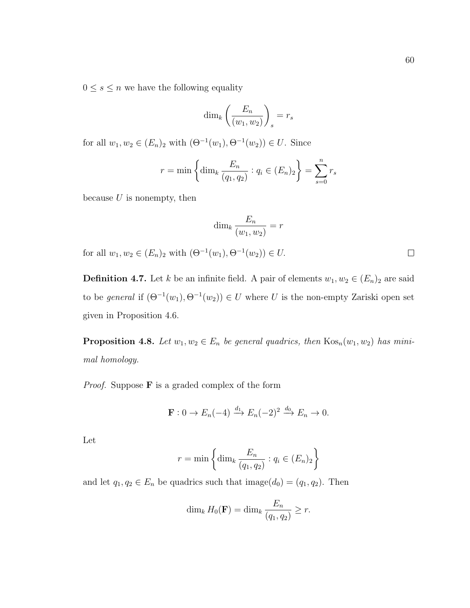$0\leq s\leq n$  we have the following equality

$$
\dim_k\left(\frac{E_n}{(w_1, w_2)}\right)_s = r_s
$$

for all  $w_1, w_2 \in (E_n)_2$  with  $(\Theta^{-1}(w_1), \Theta^{-1}(w_2)) \in U$ . Since

$$
r = \min \left\{ \dim_k \frac{E_n}{(q_1, q_2)} : q_i \in (E_n)_2 \right\} = \sum_{s=0}^n r_s
$$

because  $U$  is nonempty, then

$$
\dim_k \frac{E_n}{(w_1, w_2)} = r
$$

for all  $w_1, w_2 \in (E_n)_2$  with  $(\Theta^{-1}(w_1), \Theta^{-1}(w_2)) \in U$ .

<span id="page-66-0"></span>**Definition 4.7.** Let k be an infinite field. A pair of elements  $w_1, w_2 \in (E_n)_2$  are said to be *general* if  $(\Theta^{-1}(w_1), \Theta^{-1}(w_2)) \in U$  where U is the non-empty Zariski open set given in Proposition [4.6.](#page-65-0)

**Proposition 4.8.** Let  $w_1, w_2 \in E_n$  be general quadrics, then  $\text{Kos}_n(w_1, w_2)$  has minimal homology.

*Proof.* Suppose  $\bf{F}$  is a graded complex of the form

$$
\mathbf{F}: 0 \to E_n(-4) \xrightarrow{d_1} E_n(-2)^2 \xrightarrow{d_0} E_n \to 0.
$$

Let

$$
r = \min\left\{\dim_k \frac{E_n}{(q_1, q_2)} : q_i \in (E_n)_2\right\}
$$

and let  $q_1, q_2 \in E_n$  be quadrics such that image $(d_0) = (q_1, q_2)$ . Then

$$
\dim_k H_0(\mathbf{F}) = \dim_k \frac{E_n}{(q_1, q_2)} \ge r.
$$

 $\Box$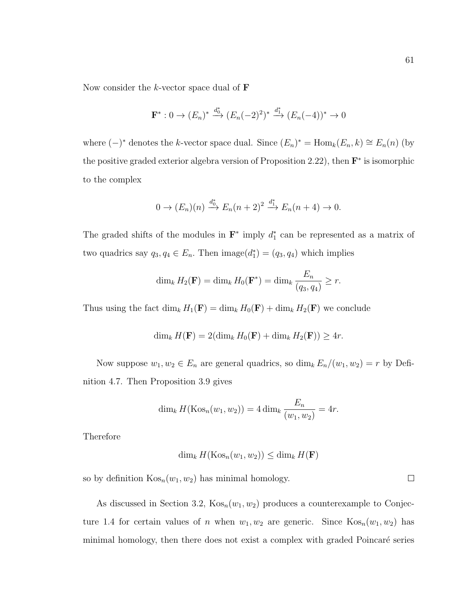Now consider the k-vector space dual of  $$ 

$$
\mathbf{F}^* : 0 \to (E_n)^* \xrightarrow{d_0^*} (E_n(-2)^2)^* \xrightarrow{d_1^*} (E_n(-4))^* \to 0
$$

where  $(-)^*$  denotes the k-vector space dual. Since  $(E_n)^* = \text{Hom}_k(E_n, k) \cong E_n(n)$  (by the positive graded exterior algebra version of Proposition [2.22\)](#page-21-0), then  $\mathbf{F}^*$  is isomorphic to the complex

$$
0 \to (E_n)(n) \xrightarrow{d_0^*} E_n(n+2)^2 \xrightarrow{d_1^*} E_n(n+4) \to 0.
$$

The graded shifts of the modules in  $\mathbf{F}^*$  imply  $d_1^*$  can be represented as a matrix of two quadrics say  $q_3, q_4 \in E_n$ . Then  $\text{image}(d_1^*) = (q_3, q_4)$  which implies

$$
\dim_k H_2(\mathbf{F}) = \dim_k H_0(\mathbf{F}^*) = \dim_k \frac{E_n}{(q_3, q_4)} \ge r.
$$

Thus using the fact  $\dim_k H_1(\mathbf{F}) = \dim_k H_0(\mathbf{F}) + \dim_k H_2(\mathbf{F})$  we conclude

$$
\dim_k H(\mathbf{F}) = 2(\dim_k H_0(\mathbf{F}) + \dim_k H_2(\mathbf{F})) \ge 4r.
$$

Now suppose  $w_1, w_2 \in E_n$  are general quadrics, so  $\dim_k E_n/(w_1, w_2) = r$  by Definition [4.7.](#page-66-0) Then Proposition [3.9](#page-42-2) gives

$$
\dim_k H(\text{Kos}_n(w_1, w_2)) = 4 \dim_k \frac{E_n}{(w_1, w_2)} = 4r.
$$

Therefore

$$
\dim_k H(\mathrm{Kos}_n(w_1, w_2)) \le \dim_k H(\mathbf{F})
$$

so by definition  $\text{Kos}_n(w_1, w_2)$  has minimal homology.

As discussed in Section [3.2,](#page-41-2)  $\text{Kos}_n(w_1, w_2)$  produces a counterexample to Conjec-ture [1.4](#page-9-0) for certain values of n when  $w_1, w_2$  are generic. Since  $\text{Kos}_n(w_1, w_2)$  has minimal homology, then there does not exist a complex with graded Poincaré series

 $\Box$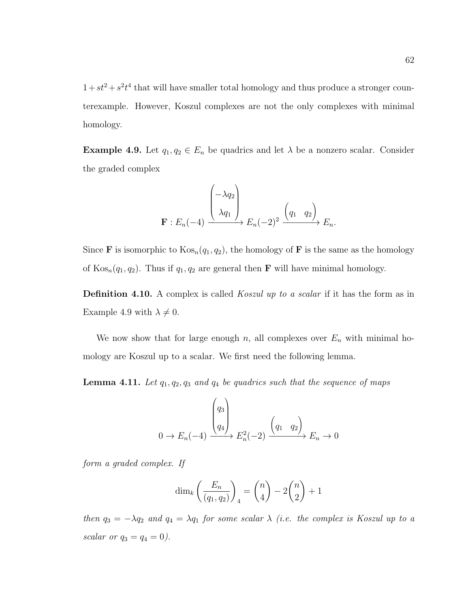$1+st^2 + s^2t^4$  that will have smaller total homology and thus produce a stronger counterexample. However, Koszul complexes are not the only complexes with minimal homology.

<span id="page-68-0"></span>**Example 4.9.** Let  $q_1, q_2 \in E_n$  be quadrics and let  $\lambda$  be a nonzero scalar. Consider the graded complex

$$
\mathbf{F}: E_n(-4) \xrightarrow{\begin{pmatrix} -\lambda q_2 \\ \lambda q_1 \end{pmatrix}} E_n(-2)^2 \xrightarrow{\begin{pmatrix} q_1 & q_2 \end{pmatrix}} E_n.
$$

Since **F** is isomorphic to  $\text{Kos}_n(q_1, q_2)$ , the homology of **F** is the same as the homology of  $\text{Kos}_n(q_1, q_2)$ . Thus if  $q_1, q_2$  are general then **F** will have minimal homology.

**Definition 4.10.** A complex is called *Koszul up to a scalar* if it has the form as in Example [4.9](#page-68-0) with  $\lambda \neq 0$ .

We now show that for large enough n, all complexes over  $E_n$  with minimal homology are Koszul up to a scalar. We first need the following lemma.

<span id="page-68-1"></span>**Lemma 4.11.** Let  $q_1, q_2, q_3$  and  $q_4$  be quadrics such that the sequence of maps

$$
0 \to E_n(-4) \xrightarrow{\begin{pmatrix} q_3 \\ q_4 \end{pmatrix}} E_n^2(-2) \xrightarrow{\begin{pmatrix} q_1 & q_2 \end{pmatrix}} E_n \to 0
$$

form a graded complex. If

$$
\dim_k\left(\frac{E_n}{(q_1, q_2)}\right)_4 = \binom{n}{4} - 2\binom{n}{2} + 1
$$

then  $q_3 = -\lambda q_2$  and  $q_4 = \lambda q_1$  for some scalar  $\lambda$  (i.e. the complex is Koszul up to a scalar or  $q_3 = q_4 = 0$ ).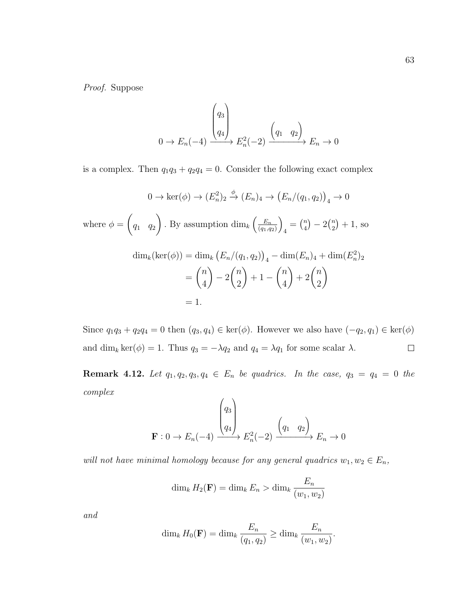Proof. Suppose

$$
0 \to E_n(-4) \xrightarrow{\begin{pmatrix} q_3\\q_4 \end{pmatrix}} E_n^2(-2) \xrightarrow{\begin{pmatrix} q_1 & q_2 \end{pmatrix}} E_n \to 0
$$

is a complex. Then  $q_1q_3 + q_2q_4 = 0$ . Consider the following exact complex

$$
0 \to \ker(\phi) \to (E_n^2)_2 \xrightarrow{\phi} (E_n)_4 \to (E_n/(q_1, q_2))_4 \to 0
$$
  
where  $\phi = \begin{pmatrix} q_1 & q_2 \end{pmatrix}$ . By assumption  $\dim_k \left(\frac{E_n}{(q_1, q_2)}\right)_4 = \binom{n}{4} - 2\binom{n}{2} + 1$ , so  

$$
\dim_k(\ker(\phi)) = \dim_k \left(E_n/(q_1, q_2)\right)_4 - \dim(E_n)_4 + \dim(E_n^2)_2
$$

$$
= \binom{n}{4} - 2\binom{n}{2} + 1 - \binom{n}{4} + 2\binom{n}{2}
$$

$$
= 1.
$$

Since  $q_1q_3 + q_2q_4 = 0$  then  $(q_3, q_4) \in \text{ker}(\phi)$ . However we also have  $(-q_2, q_1) \in \text{ker}(\phi)$ and  $\dim_k \ker(\phi) = 1$ . Thus  $q_3 = -\lambda q_2$  and  $q_4 = \lambda q_1$  for some scalar  $\lambda$ .  $\Box$ 

**Remark 4.12.** Let  $q_1, q_2, q_3, q_4 \in E_n$  be quadrics. In the case,  $q_3 = q_4 = 0$  the complex

$$
\mathbf{F}: 0 \to E_n(-4) \xrightarrow{\begin{pmatrix} q_3 \\ q_4 \end{pmatrix}} E_n^2(-2) \xrightarrow{\begin{pmatrix} q_1 & q_2 \end{pmatrix}} E_n \to 0
$$

will not have minimal homology because for any general quadrics  $w_1, w_2 \in E_n$ ,

$$
\dim_k H_2(\mathbf{F}) = \dim_k E_n > \dim_k \frac{E_n}{(w_1, w_2)}
$$

and

$$
\dim_k H_0(\mathbf{F}) = \dim_k \frac{E_n}{(q_1, q_2)} \ge \dim_k \frac{E_n}{(w_1, w_2)}.
$$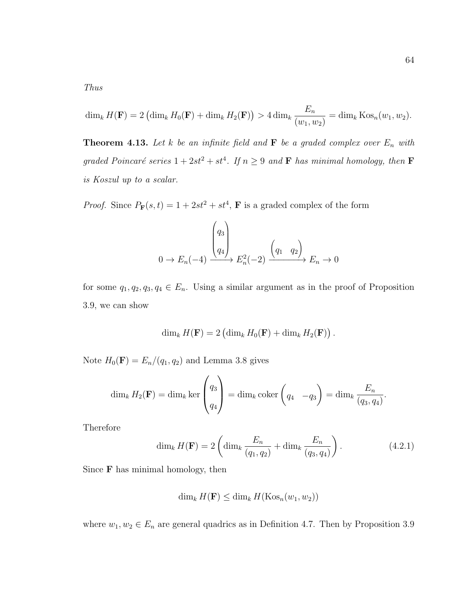Thus

$$
\dim_k H(\mathbf{F}) = 2 \left( \dim_k H_0(\mathbf{F}) + \dim_k H_2(\mathbf{F}) \right) > 4 \dim_k \frac{E_n}{(w_1, w_2)} = \dim_k \text{Kos}_n(w_1, w_2).
$$

**Theorem 4.13.** Let k be an infinite field and  $\mathbf{F}$  be a graded complex over  $E_n$  with graded Poincaré series  $1 + 2st^2 + st^4$ . If  $n \geq 9$  and **F** has minimal homology, then **F** is Koszul up to a scalar.

*Proof.* Since  $P_{\mathbf{F}}(s,t) = 1 + 2st^2 + st^4$ , **F** is a graded complex of the form

$$
0 \to E_n(-4) \xrightarrow{\begin{pmatrix} q_3 \\ q_4 \end{pmatrix}} E_n^2(-2) \xrightarrow{\begin{pmatrix} q_1 & q_2 \end{pmatrix}} E_n \to 0
$$

for some  $q_1, q_2, q_3, q_4 \in E_n$ . Using a similar argument as in the proof of Proposition [3.9,](#page-42-2) we can show

$$
\dim_k H(\mathbf{F}) = 2 \left( \dim_k H_0(\mathbf{F}) + \dim_k H_2(\mathbf{F}) \right).
$$

Note  $H_0(\mathbf{F}) = E_n/(q_1, q_2)$  and Lemma [3.8](#page-41-1) gives

$$
\dim_k H_2(\mathbf{F}) = \dim_k \ker \begin{pmatrix} q_3 \\ q_4 \end{pmatrix} = \dim_k \operatorname{coker} \begin{pmatrix} q_4 & -q_3 \end{pmatrix} = \dim_k \frac{E_n}{(q_3, q_4)}.
$$

Therefore

<span id="page-70-0"></span>
$$
\dim_k H(\mathbf{F}) = 2 \left( \dim_k \frac{E_n}{(q_1, q_2)} + \dim_k \frac{E_n}{(q_3, q_4)} \right). \tag{4.2.1}
$$

Since  **has minimal homology, then** 

$$
\dim_k H(\mathbf{F}) \le \dim_k H(\mathrm{Kos}_n(w_1, w_2))
$$

where  $w_1, w_2 \in E_n$  are general quadrics as in Definition [4.7.](#page-66-0) Then by Proposition [3.9](#page-42-2)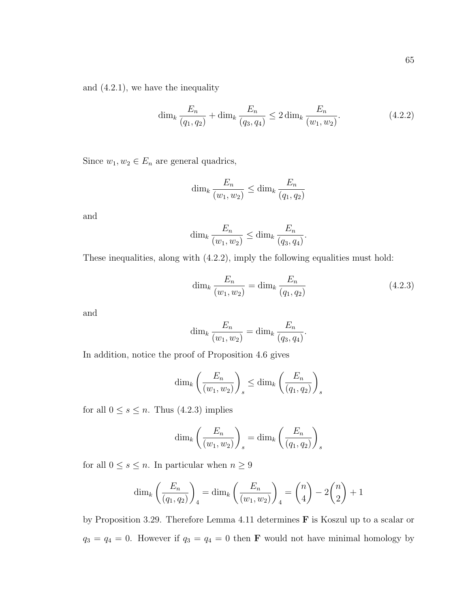and [\(4.2.1\)](#page-70-0), we have the inequality

<span id="page-71-0"></span>
$$
\dim_k \frac{E_n}{(q_1, q_2)} + \dim_k \frac{E_n}{(q_3, q_4)} \le 2 \dim_k \frac{E_n}{(w_1, w_2)}.
$$
\n(4.2.2)

Since  $w_1, w_2 \in E_n$  are general quadrics,

$$
\dim_k \frac{E_n}{(w_1, w_2)} \le \dim_k \frac{E_n}{(q_1, q_2)}
$$

and

$$
\dim_k \frac{E_n}{(w_1, w_2)} \le \dim_k \frac{E_n}{(q_3, q_4)}.
$$

These inequalities, along with [\(4.2.2\)](#page-71-0), imply the following equalities must hold:

<span id="page-71-1"></span>
$$
\dim_k \frac{E_n}{(w_1, w_2)} = \dim_k \frac{E_n}{(q_1, q_2)}
$$
\n(4.2.3)

and

$$
\dim_k \frac{E_n}{(w_1, w_2)} = \dim_k \frac{E_n}{(q_3, q_4)}.
$$

In addition, notice the proof of Proposition [4.6](#page-65-0) gives

$$
\dim_k\left(\frac{E_n}{(w_1, w_2)}\right)_s \le \dim_k\left(\frac{E_n}{(q_1, q_2)}\right)_s
$$

for all  $0 \leq s \leq n$ . Thus [\(4.2.3\)](#page-71-1) implies

$$
\dim_k\left(\frac{E_n}{(w_1, w_2)}\right)_s = \dim_k\left(\frac{E_n}{(q_1, q_2)}\right)_s
$$

for all  $0\leq s\leq n.$  In particular when  $n\geq 9$ 

$$
\dim_k \left( \frac{E_n}{(q_1, q_2)} \right)_4 = \dim_k \left( \frac{E_n}{(w_1, w_2)} \right)_4 = {n \choose 4} - 2{n \choose 2} + 1
$$

by Proposition [3.29.](#page-55-1) Therefore Lemma [4.11](#page-68-1) determines F is Koszul up to a scalar or  $q_3 = q_4 = 0$ . However if  $q_3 = q_4 = 0$  then **F** would not have minimal homology by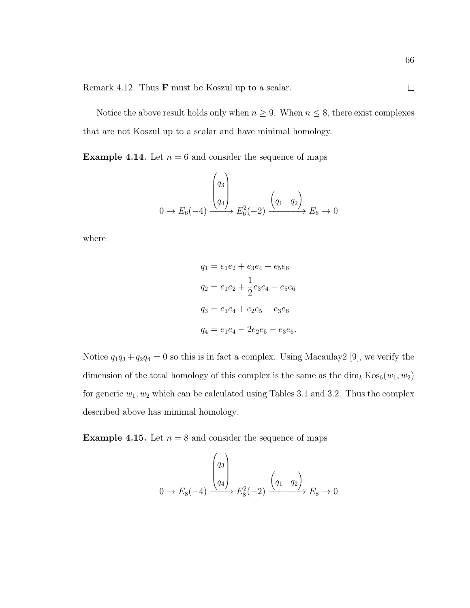Remark [4.12.](#page-69-0) Thus F must be Koszul up to a scalar.

Notice the above result holds only when  $n \geq 9$ . When  $n \leq 8$ , there exist complexes that are not Koszul up to a scalar and have minimal homology.

**Example 4.14.** Let  $n = 6$  and consider the sequence of maps

$$
0 \to E_6(-4) \xrightarrow{\begin{pmatrix} q_3\\q_4 \end{pmatrix}} E_6^2(-2) \xrightarrow{\begin{pmatrix} q_1 & q_2 \end{pmatrix}} E_6 \to 0
$$

where

$$
q_1 = e_1e_2 + e_3e_4 + e_5e_6
$$
  
\n
$$
q_2 = e_1e_2 + \frac{1}{2}e_3e_4 - e_5e_6
$$
  
\n
$$
q_3 = e_1e_4 + e_2e_5 + e_3e_6
$$
  
\n
$$
q_4 = e_1e_4 - 2e_2e_5 - e_3e_6.
$$

Notice  $q_1q_3 + q_2q_4 = 0$  so this is in fact a complex. Using Macaulay2 [\[9\]](#page-111-0), we verify the dimension of the total homology of this complex is the same as the  $\dim_k \text{Kos}_6(w_1, w_2)$ for generic  $w_1, w_2$  which can be calculated using Tables [3.1](#page-46-0) and [3.2.](#page-57-0) Thus the complex described above has minimal homology.

**Example 4.15.** Let  $n = 8$  and consider the sequence of maps

$$
0 \to E_8(-4) \xrightarrow{\begin{pmatrix} q_3\\q_4 \end{pmatrix}} E_8^2(-2) \xrightarrow{\begin{pmatrix} q_1 & q_2 \end{pmatrix}} E_8 \to 0
$$

 $\Box$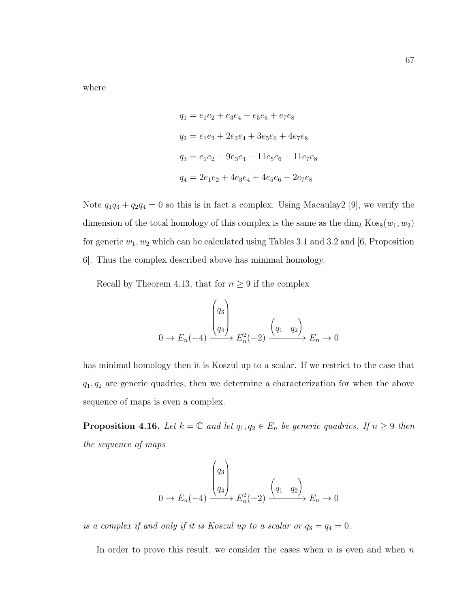where

$$
q_1 = e_1e_2 + e_3e_4 + e_5e_6 + e_7e_8
$$
  
\n
$$
q_2 = e_1e_2 + 2e_3e_4 + 3e_5e_6 + 4e_7e_8
$$
  
\n
$$
q_3 = e_1e_2 - 9e_3e_4 - 11e_5e_6 - 11e_7e_8
$$
  
\n
$$
q_4 = 2e_1e_2 + 4e_3e_4 + 4e_5e_6 + 2e_7e_8
$$

Note  $q_1q_3 + q_2q_4 = 0$  so this is in fact a complex. Using Macaulay2 [\[9\]](#page-111-0), we verify the dimension of the total homology of this complex is the same as the  $\dim_k \text{Kos}_8(w_1, w_2)$ for generic  $w_1, w_2$  which can be calculated using Tables [3.1](#page-46-0) and [3.2](#page-57-0) and [\[6,](#page-110-0) Proposition 6]. Thus the complex described above has minimal homology.

Recall by Theorem [4.13,](#page-70-0) that for  $n \geq 9$  if the complex

$$
0 \to E_n(-4) \xrightarrow{\begin{pmatrix} q_3 \\ q_4 \end{pmatrix}} E_n^2(-2) \xrightarrow{\begin{pmatrix} q_1 & q_2 \end{pmatrix}} E_n \to 0
$$

has minimal homology then it is Koszul up to a scalar. If we restrict to the case that  $q_1, q_2$  are generic quadrics, then we determine a characterization for when the above sequence of maps is even a complex.

<span id="page-73-0"></span>**Proposition 4.16.** Let  $k = \mathbb{C}$  and let  $q_1, q_2 \in E_n$  be generic quadrics. If  $n \geq 9$  then the sequence of maps

$$
0 \to E_n(-4) \xrightarrow{\begin{pmatrix} q_3 \\ q_4 \end{pmatrix}} E_n^2(-2) \xrightarrow{\begin{pmatrix} q_1 & q_2 \end{pmatrix}} E_n \to 0
$$

is a complex if and only if it is Koszul up to a scalar or  $q_3 = q_4 = 0$ .

In order to prove this result, we consider the cases when  $n$  is even and when  $n$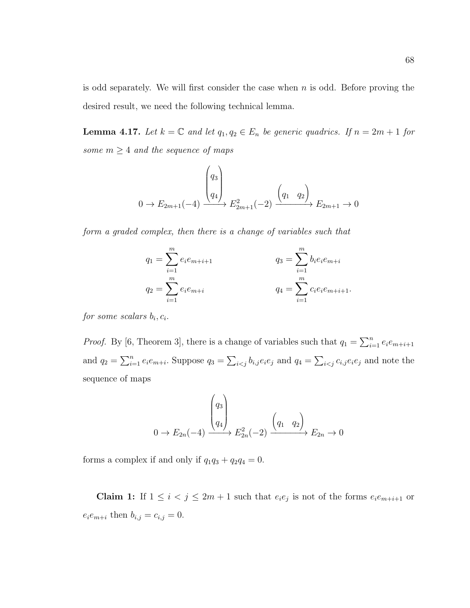is odd separately. We will first consider the case when  $n$  is odd. Before proving the desired result, we need the following technical lemma.

<span id="page-74-0"></span>**Lemma 4.17.** Let  $k = \mathbb{C}$  and let  $q_1, q_2 \in E_n$  be generic quadrics. If  $n = 2m + 1$  for some  $m \geq 4$  and the sequence of maps

$$
0 \to E_{2m+1}(-4) \xrightarrow{\begin{pmatrix} q_3\\q_4 \end{pmatrix}} E_{2m+1}^2(-2) \xrightarrow{\begin{pmatrix} q_1 & q_2 \end{pmatrix}} E_{2m+1} \to 0
$$

form a graded complex, then there is a change of variables such that

$$
q_1 = \sum_{i=1}^m e_i e_{m+i+1}
$$
  
\n
$$
q_2 = \sum_{i=1}^m e_i e_{m+i}
$$
  
\n
$$
q_3 = \sum_{i=1}^m b_i e_i e_{m+i}
$$
  
\n
$$
q_4 = \sum_{i=1}^m c_i e_i e_{m+i+1}.
$$

 $for some scalars b_i, c_i.$ 

*Proof.* By [\[6,](#page-110-0) Theorem 3], there is a change of variables such that  $q_1 = \sum_{i=1}^n e_i e_{m+i+1}$ and  $q_2 = \sum_{i=1}^n e_i e_{m+i}$ . Suppose  $q_3 = \sum_{i < j} b_{i,j} e_i e_j$  and  $q_4 = \sum_{i < j} c_{i,j} e_i e_j$  and note the sequence of maps

$$
0 \to E_{2n}(-4) \xrightarrow{\begin{pmatrix} q_3\\q_4 \end{pmatrix}} E_{2n}^2(-2) \xrightarrow{\begin{pmatrix} q_1 & q_2 \end{pmatrix}} E_{2n} \to 0
$$

forms a complex if and only if  $q_1q_3 + q_2q_4 = 0$ .

**Claim 1:** If  $1 \leq i < j \leq 2m+1$  such that  $e_i e_j$  is not of the forms  $e_i e_{m+i+1}$  or  $e_i e_{m+i}$  then  $b_{i,j} = c_{i,j} = 0$ .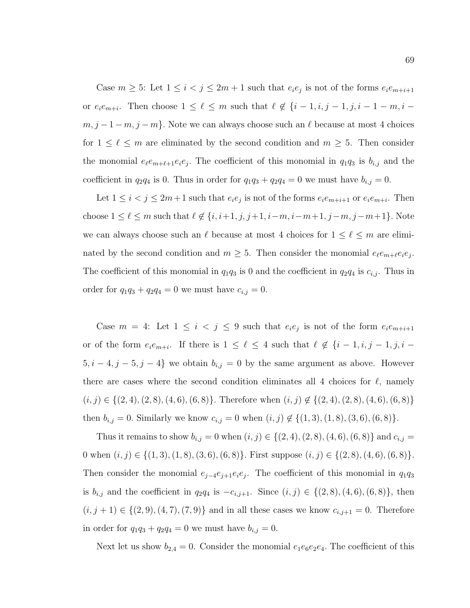Case  $m \geq 5$ : Let  $1 \leq i < j \leq 2m+1$  such that  $e_i e_j$  is not of the forms  $e_i e_{m+i+1}$ or  $e_i e_{m+i}$ . Then choose  $1 \leq \ell \leq m$  such that  $\ell \notin \{i-1, i, j-1, j, i-1-m, i-1\}$  $m, j - 1 - m, j - m$ . Note we can always choose such an  $\ell$  because at most 4 choices for  $1 \leq \ell \leq m$  are eliminated by the second condition and  $m \geq 5$ . Then consider the monomial  $e_{\ell}e_{m+\ell+1}e_{i}e_{j}$ . The coefficient of this monomial in  $q_{1}q_{3}$  is  $b_{i,j}$  and the coefficient in  $q_2q_4$  is 0. Thus in order for  $q_1q_3 + q_2q_4 = 0$  we must have  $b_{i,j} = 0$ .

Let  $1 \leq i < j \leq 2m+1$  such that  $e_i e_j$  is not of the forms  $e_i e_{m+i+1}$  or  $e_i e_{m+i}$ . Then choose  $1 \le \ell \le m$  such that  $\ell \notin \{i, i+1, j, j+1, i-m, i-m+1, j-m, j-m+1\}$ . Note we can always choose such an  $\ell$  because at most 4 choices for  $1 \leq \ell \leq m$  are eliminated by the second condition and  $m \geq 5$ . Then consider the monomial  $e_{\ell}e_{m+\ell}e_{i}e_{j}$ . The coefficient of this monomial in  $q_1q_3$  is 0 and the coefficient in  $q_2q_4$  is  $c_{i,j}$ . Thus in order for  $q_1q_3 + q_2q_4 = 0$  we must have  $c_{i,j} = 0$ .

Case  $m = 4$ : Let  $1 \leq i < j \leq 9$  such that  $e_i e_j$  is not of the form  $e_i e_{m+i+1}$ or of the form  $e_i e_{m+i}$ . If there is  $1 \leq \ell \leq 4$  such that  $\ell \notin \{i-1, i, j-1, j, i-1\}$  $5, i - 4, j - 5, j - 4$ } we obtain  $b_{i,j} = 0$  by the same argument as above. However there are cases where the second condition eliminates all 4 choices for  $\ell$ , namely  $(i, j) \in \{(2, 4), (2, 8), (4, 6), (6, 8)\}.$  Therefore when  $(i, j) \notin \{(2, 4), (2, 8), (4, 6), (6, 8)\}\.$ then  $b_{i,j} = 0$ . Similarly we know  $c_{i,j} = 0$  when  $(i, j) \notin \{(1, 3), (1, 8), (3, 6), (6, 8)\}.$ 

Thus it remains to show  $b_{i,j} = 0$  when  $(i, j) \in \{(2, 4), (2, 8), (4, 6), (6, 8)\}$  and  $c_{i,j} =$ 0 when  $(i, j) \in \{(1, 3), (1, 8), (3, 6), (6, 8)\}.$  First suppose  $(i, j) \in \{(2, 8), (4, 6), (6, 8)\}.$ Then consider the monomial  $e_{j-4}e_{j+1}e_ie_j$ . The coefficient of this monomial in  $q_1q_3$ is  $b_{i,j}$  and the coefficient in  $q_2q_4$  is  $-c_{i,j+1}$ . Since  $(i, j) \in \{(2, 8), (4, 6), (6, 8)\}\,$ , then  $(i, j + 1) \in \{(2, 9), (4, 7), (7, 9)\}\$ and in all these cases we know  $c_{i,j+1} = 0$ . Therefore in order for  $q_1q_3 + q_2q_4 = 0$  we must have  $b_{i,j} = 0$ .

Next let us show  $b_{2,4} = 0$ . Consider the monomial  $e_1e_6e_2e_4$ . The coefficient of this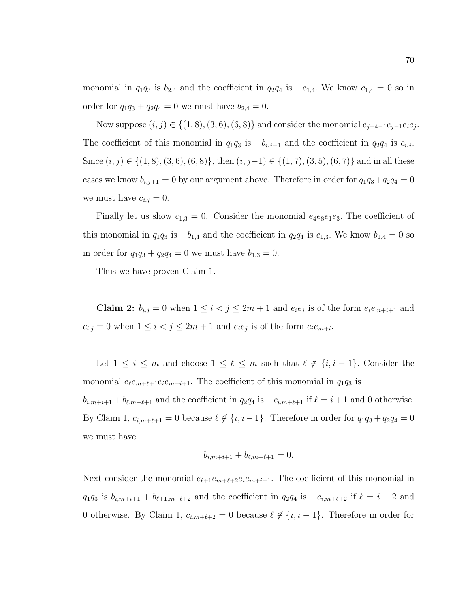monomial in  $q_1q_3$  is  $b_{2,4}$  and the coefficient in  $q_2q_4$  is  $-c_{1,4}$ . We know  $c_{1,4} = 0$  so in order for  $q_1q_3 + q_2q_4 = 0$  we must have  $b_{2,4} = 0$ .

Now suppose  $(i, j) \in \{(1, 8), (3, 6), (6, 8)\}\$ and consider the monomial  $e_{j-4-1}e_{j-1}e_i e_j$ . The coefficient of this monomial in  $q_1q_3$  is  $-b_{i,j-1}$  and the coefficient in  $q_2q_4$  is  $c_{i,j}$ . Since  $(i, j) \in \{(1, 8), (3, 6), (6, 8)\}\$ , then  $(i, j-1) \in \{(1, 7), (3, 5), (6, 7)\}\$  and in all these cases we know  $b_{i,j+1} = 0$  by our argument above. Therefore in order for  $q_1q_3+q_2q_4 = 0$ we must have  $c_{i,j} = 0$ .

Finally let us show  $c_{1,3} = 0$ . Consider the monomial  $e_4e_8e_1e_3$ . The coefficient of this monomial in  $q_1q_3$  is  $-b_{1,4}$  and the coefficient in  $q_2q_4$  is  $c_{1,3}$ . We know  $b_{1,4} = 0$  so in order for  $q_1q_3 + q_2q_4 = 0$  we must have  $b_{1,3} = 0$ .

Thus we have proven Claim 1.

**Claim 2:**  $b_{i,j} = 0$  when  $1 \leq i < j \leq 2m+1$  and  $e_i e_j$  is of the form  $e_i e_{m+i+1}$  and  $c_{i,j} = 0$  when  $1 \leq i < j \leq 2m+1$  and  $e_i e_j$  is of the form  $e_i e_{m+i}$ .

Let  $1 \leq i \leq m$  and choose  $1 \leq \ell \leq m$  such that  $\ell \notin \{i, i - 1\}$ . Consider the monomial  $e_{\ell}e_{m+\ell+1}e_{i}e_{m+i+1}$ . The coefficient of this monomial in  $q_1q_3$  is  $b_{i,m+i+1} + b_{\ell,m+\ell+1}$  and the coefficient in  $q_2q_4$  is  $-c_{i,m+\ell+1}$  if  $\ell = i + 1$  and 0 otherwise. By Claim 1,  $c_{i,m+\ell+1} = 0$  because  $\ell \notin \{i, i-1\}$ . Therefore in order for  $q_1q_3 + q_2q_4 = 0$ we must have

$$
b_{i,m+i+1} + b_{\ell,m+\ell+1} = 0.
$$

Next consider the monomial  $e_{\ell+1}e_{m+\ell+2}e_ie_{m+i+1}$ . The coefficient of this monomial in  $q_1q_3$  is  $b_{i,m+i+1} + b_{\ell+1,m+\ell+2}$  and the coefficient in  $q_2q_4$  is  $-c_{i,m+\ell+2}$  if  $\ell = i - 2$  and 0 otherwise. By Claim 1,  $c_{i,m+\ell+2} = 0$  because  $\ell \notin \{i, i - 1\}$ . Therefore in order for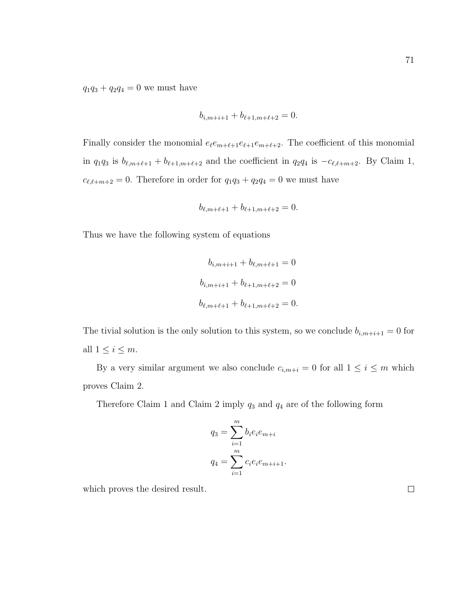$q_1q_3 + q_2q_4 = 0$  we must have

$$
b_{i,m+i+1} + b_{\ell+1,m+\ell+2} = 0.
$$

Finally consider the monomial  $e_{\ell}e_{m+\ell+1}e_{\ell+1}e_{m+\ell+2}$ . The coefficient of this monomial in  $q_1q_3$  is  $b_{\ell,m+\ell+1} + b_{\ell+1,m+\ell+2}$  and the coefficient in  $q_2q_4$  is  $-c_{\ell,\ell+m+2}$ . By Claim 1,  $c_{\ell,\ell+m+2} = 0$ . Therefore in order for  $q_1q_3 + q_2q_4 = 0$  we must have

$$
b_{\ell,m+\ell+1} + b_{\ell+1,m+\ell+2} = 0.
$$

Thus we have the following system of equations

$$
b_{i,m+i+1} + b_{\ell,m+\ell+1} = 0
$$
  

$$
b_{i,m+i+1} + b_{\ell+1,m+\ell+2} = 0
$$
  

$$
b_{\ell,m+\ell+1} + b_{\ell+1,m+\ell+2} = 0.
$$

The tivial solution is the only solution to this system, so we conclude  $b_{i,m+i+1} = 0$  for all  $1 \leq i \leq m$ .

By a very similar argument we also conclude  $c_{i,m+i} = 0$  for all  $1 \leq i \leq m$  which proves Claim 2.

Therefore Claim 1 and Claim 2 imply  $q_3$  and  $q_4$  are of the following form

$$
q_3 = \sum_{i=1}^{m} b_i e_i e_{m+i}
$$
  

$$
q_4 = \sum_{i=1}^{m} c_i e_i e_{m+i+1}.
$$

which proves the desired result.

71

 $\Box$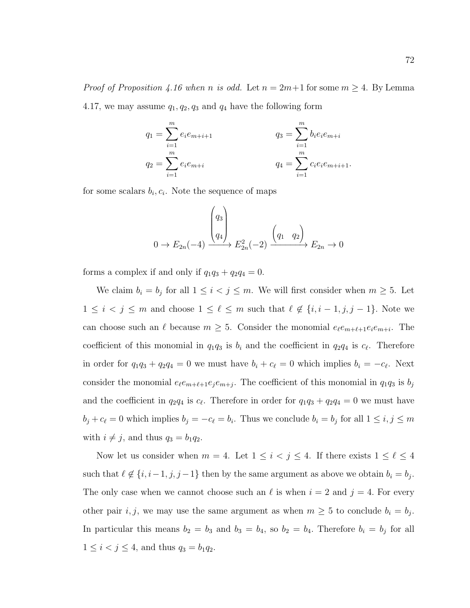*Proof of Proposition [4.16](#page-73-0) when n is odd.* Let  $n = 2m+1$  for some  $m \geq 4$ . By Lemma [4.17,](#page-74-0) we may assume  $q_1, q_2, q_3$  and  $q_4$  have the following form

$$
q_1 = \sum_{i=1}^m e_i e_{m+i+1}
$$
  
\n
$$
q_2 = \sum_{i=1}^m e_i e_{m+i}
$$
  
\n
$$
q_3 = \sum_{i=1}^m b_i e_i e_{m+i}
$$
  
\n
$$
q_4 = \sum_{i=1}^m c_i e_i e_{m+i+1}.
$$

for some scalars  $b_i, c_i$ . Note the sequence of maps

$$
0 \to E_{2n}(-4) \xrightarrow{\begin{pmatrix} q_3\\q_4 \end{pmatrix}} E_{2n}^2(-2) \xrightarrow{\begin{pmatrix} q_1 & q_2 \end{pmatrix}} E_{2n} \to 0
$$

forms a complex if and only if  $q_1q_3 + q_2q_4 = 0$ .

We claim  $b_i = b_j$  for all  $1 \leq i < j \leq m$ . We will first consider when  $m \geq 5$ . Let  $1 \leq i < j \leq m$  and choose  $1 \leq \ell \leq m$  such that  $\ell \notin \{i, i-1, j, j-1\}$ . Note we can choose such an  $\ell$  because  $m \geq 5$ . Consider the monomial  $e_{\ell}e_{m+\ell+1}e_{i}e_{m+i}$ . The coefficient of this monomial in  $q_1q_3$  is  $b_i$  and the coefficient in  $q_2q_4$  is  $c_\ell$ . Therefore in order for  $q_1q_3 + q_2q_4 = 0$  we must have  $b_i + c_\ell = 0$  which implies  $b_i = -c_\ell$ . Next consider the monomial  $e_{\ell}e_{m+\ell+1}e_{j}e_{m+j}$ . The coefficient of this monomial in  $q_{1}q_{3}$  is  $b_{j}$ and the coefficient in  $q_2q_4$  is  $c_\ell$ . Therefore in order for  $q_1q_3 + q_2q_4 = 0$  we must have  $b_j + c_\ell = 0$  which implies  $b_j = -c_\ell = b_i$ . Thus we conclude  $b_i = b_j$  for all  $1 \le i, j \le m$ with  $i \neq j$ , and thus  $q_3 = b_1 q_2$ .

Now let us consider when  $m = 4$ . Let  $1 \leq i < j \leq 4$ . If there exists  $1 \leq \ell \leq 4$ such that  $\ell \notin \{i, i-1, j, j-1\}$  then by the same argument as above we obtain  $b_i = b_j$ . The only case when we cannot choose such an  $\ell$  is when  $i = 2$  and  $j = 4$ . For every other pair i, j, we may use the same argument as when  $m \geq 5$  to conclude  $b_i = b_j$ . In particular this means  $b_2 = b_3$  and  $b_3 = b_4$ , so  $b_2 = b_4$ . Therefore  $b_i = b_j$  for all  $1 \le i < j \le 4$ , and thus  $q_3 = b_1 q_2$ .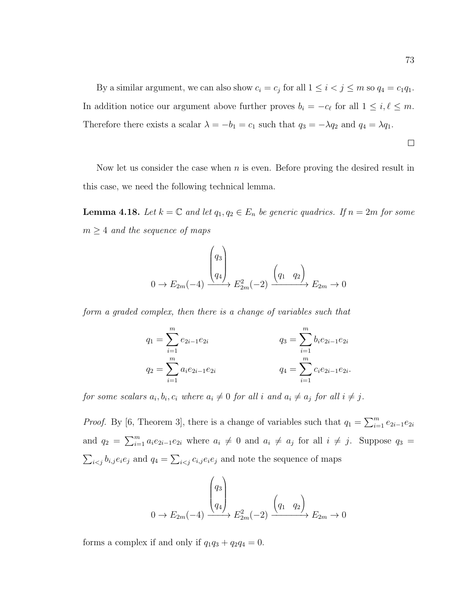By a similar argument, we can also show  $c_i = c_j$  for all  $1 \leq i < j \leq m$  so  $q_4 = c_1 q_1$ . In addition notice our argument above further proves  $b_i = -c_\ell$  for all  $1 \leq i, \ell \leq m$ . Therefore there exists a scalar  $\lambda = -b_1 = c_1$  such that  $q_3 = -\lambda q_2$  and  $q_4 = \lambda q_1$ .

$$
\qquad \qquad \Box
$$

Now let us consider the case when  $n$  is even. Before proving the desired result in this case, we need the following technical lemma.

<span id="page-79-0"></span>**Lemma 4.18.** Let  $k = \mathbb{C}$  and let  $q_1, q_2 \in E_n$  be generic quadrics. If  $n = 2m$  for some  $m \geq 4$  and the sequence of maps

$$
0 \to E_{2m}(-4) \xrightarrow{\begin{pmatrix} q_3\\ q_4 \end{pmatrix}} E_{2m}^2(-2) \xrightarrow{\begin{pmatrix} q_1 & q_2 \end{pmatrix}} E_{2m} \to 0
$$

form a graded complex, then there is a change of variables such that

$$
q_1 = \sum_{i=1}^m e_{2i-1} e_{2i}
$$
  
\n
$$
q_2 = \sum_{i=1}^m a_i e_{2i-1} e_{2i}
$$
  
\n
$$
q_3 = \sum_{i=1}^m b_i e_{2i-1} e_{2i}
$$
  
\n
$$
q_4 = \sum_{i=1}^m c_i e_{2i-1} e_{2i}.
$$

for some scalars  $a_i, b_i, c_i$  where  $a_i \neq 0$  for all i and  $a_i \neq a_j$  for all  $i \neq j$ .

*Proof.* By [\[6,](#page-110-0) Theorem 3], there is a change of variables such that  $q_1 = \sum_{i=1}^m e_{2i-1}e_{2i}$ and  $q_2 = \sum_{i=1}^m a_i e_{2i-1} e_{2i}$  where  $a_i \neq 0$  and  $a_i \neq a_j$  for all  $i \neq j$ . Suppose  $q_3 =$  $\sum_{i < j} b_{i,j} e_i e_j$  and  $q_4 = \sum_{i < j} c_{i,j} e_i e_j$  and note the sequence of maps

$$
0 \to E_{2m}(-4) \xrightarrow{\begin{pmatrix} q_3\\q_4 \end{pmatrix}} E_{2m}^2(-2) \xrightarrow{\begin{pmatrix} q_1 & q_2 \end{pmatrix}} E_{2m} \to 0
$$

forms a complex if and only if  $q_1q_3 + q_2q_4 = 0$ .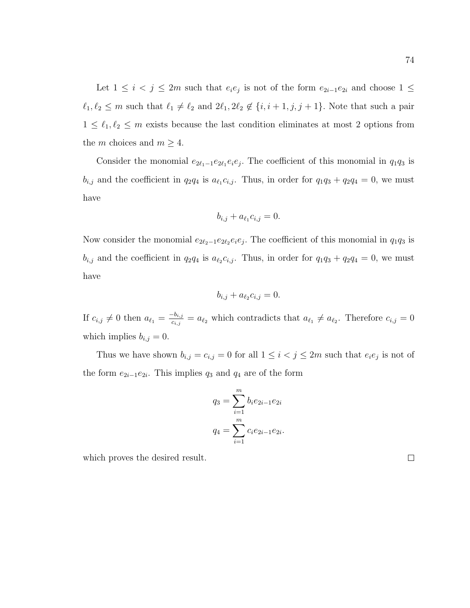Let  $1 \leq i \leq j \leq 2m$  such that  $e_i e_j$  is not of the form  $e_{2i-1} e_{2i}$  and choose  $1 \leq$  $\ell_1, \ell_2 \leq m$  such that  $\ell_1 \neq \ell_2$  and  $2\ell_1, 2\ell_2 \notin \{i, i + 1, j, j + 1\}$ . Note that such a pair  $1 \leq \ell_1, \ell_2 \leq m$  exists because the last condition eliminates at most 2 options from the m choices and  $m \geq 4$ .

Consider the monomial  $e_{2\ell_1-1}e_{2\ell_1}e_ie_j$ . The coefficient of this monomial in  $q_1q_3$  is  $b_{i,j}$  and the coefficient in  $q_2q_4$  is  $a_{\ell_1}c_{i,j}$ . Thus, in order for  $q_1q_3 + q_2q_4 = 0$ , we must have

$$
b_{i,j} + a_{\ell_1} c_{i,j} = 0.
$$

Now consider the monomial  $e_{2\ell_2-1}e_{2\ell_2}e_ie_j$ . The coefficient of this monomial in  $q_1q_3$  is  $b_{i,j}$  and the coefficient in  $q_2q_4$  is  $a_{\ell_2}c_{i,j}$ . Thus, in order for  $q_1q_3 + q_2q_4 = 0$ , we must have

$$
b_{i,j} + a_{\ell_2} c_{i,j} = 0.
$$

If  $c_{i,j} \neq 0$  then  $a_{\ell_1} = \frac{-b_{i,j}}{c_{i,j}}$  $\frac{c_{i,j}}{c_{i,j}} = a_{\ell_2}$  which contradicts that  $a_{\ell_1} \neq a_{\ell_2}$ . Therefore  $c_{i,j} = 0$ which implies  $b_{i,j} = 0$ .

Thus we have shown  $b_{i,j} = c_{i,j} = 0$  for all  $1 \leq i < j \leq 2m$  such that  $e_i e_j$  is not of the form  $e_{2i-1}e_{2i}$ . This implies  $q_3$  and  $q_4$  are of the form

$$
q_3 = \sum_{i=1}^m b_i e_{2i-1} e_{2i}
$$

$$
q_4 = \sum_{i=1}^m c_i e_{2i-1} e_{2i}.
$$

which proves the desired result.

 $\Box$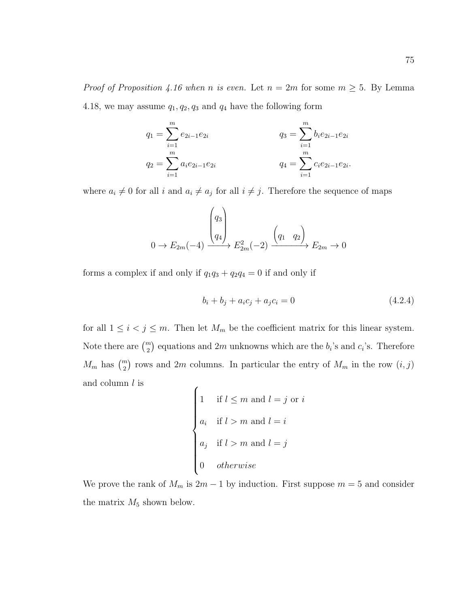*Proof of Proposition [4.16](#page-73-0) when n is even.* Let  $n = 2m$  for some  $m \geq 5$ . By Lemma [4.18,](#page-79-0) we may assume  $q_1, q_2, q_3$  and  $q_4$  have the following form

$$
q_1 = \sum_{i=1}^m e_{2i-1} e_{2i}
$$
  
\n
$$
q_2 = \sum_{i=1}^m a_i e_{2i-1} e_{2i}
$$
  
\n
$$
q_3 = \sum_{i=1}^m b_i e_{2i-1} e_{2i}
$$
  
\n
$$
q_4 = \sum_{i=1}^m c_i e_{2i-1} e_{2i}.
$$

where  $a_i \neq 0$  for all i and  $a_i \neq a_j$  for all  $i \neq j$ . Therefore the sequence of maps

$$
0 \to E_{2m}(-4) \xrightarrow{\begin{pmatrix} q_3\\q_4 \end{pmatrix}} E_{2m}^2(-2) \xrightarrow{\begin{pmatrix} q_1 & q_2 \end{pmatrix}} E_{2m} \to 0
$$

forms a complex if and only if  $q_1q_3 + q_2q_4 = 0$  if and only if

<span id="page-81-0"></span>
$$
b_i + b_j + a_i c_j + a_j c_i = 0 \tag{4.2.4}
$$

for all  $1 \leq i \leq j \leq m$ . Then let  $M_m$  be the coefficient matrix for this linear system. Note there are  $\binom{m}{2}$  equations and 2m unknowns which are the  $b_i$ 's and  $c_i$ 's. Therefore  $M_m$  has  $\binom{m}{2}$  rows and 2m columns. In particular the entry of  $M_m$  in the row  $(i, j)$ and column  $l$  is  $\epsilon$ 

1 if 
$$
l \le m
$$
 and  $l = j$  or  $i$   
\n $a_i$  if  $l > m$  and  $l = i$   
\n $a_j$  if  $l > m$  and  $l = j$   
\n0 otherwise

We prove the rank of  $M_m$  is  $2m - 1$  by induction. First suppose  $m = 5$  and consider the matrix  $M_5$  shown below.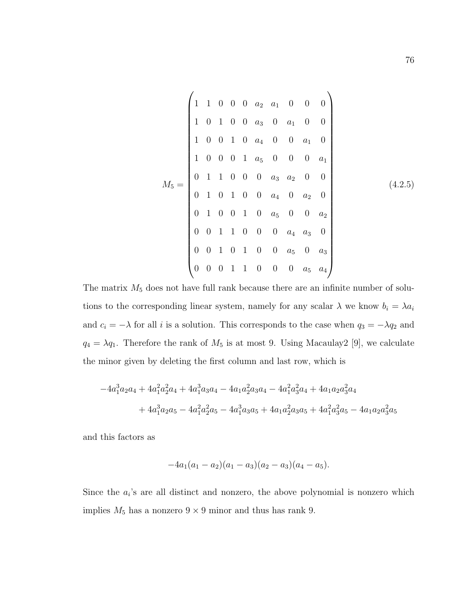<span id="page-82-0"></span>
$$
M_5 = \begin{pmatrix} 1 & 1 & 0 & 0 & 0 & a_2 & a_1 & 0 & 0 & 0 \\ 1 & 0 & 1 & 0 & 0 & a_3 & 0 & a_1 & 0 & 0 \\ 1 & 0 & 0 & 1 & 0 & a_4 & 0 & 0 & a_1 & 0 \\ 1 & 0 & 0 & 0 & 1 & a_5 & 0 & 0 & 0 & a_1 \\ 0 & 1 & 1 & 0 & 0 & 0 & a_3 & a_2 & 0 & 0 \\ 0 & 1 & 0 & 1 & 0 & 0 & a_4 & 0 & a_2 & 0 \\ 0 & 0 & 1 & 1 & 0 & 0 & 0 & a_4 & a_3 & 0 \\ 0 & 0 & 1 & 0 & 1 & 0 & 0 & a_5 & 0 & a_3 \\ 0 & 0 & 0 & 1 & 1 & 0 & 0 & 0 & a_5 & a_4 \end{pmatrix}
$$
(4.2.5)

The matrix  $M_5$  does not have full rank because there are an infinite number of solutions to the corresponding linear system, namely for any scalar  $\lambda$  we know  $b_i = \lambda a_i$ and  $c_i = -\lambda$  for all i is a solution. This corresponds to the case when  $q_3 = -\lambda q_2$  and  $q_4 = \lambda q_1$ . Therefore the rank of  $M_5$  is at most 9. Using Macaulay2 [\[9\]](#page-111-0), we calculate the minor given by deleting the first column and last row, which is

$$
-4a_1^3a_2a_4 + 4a_1^2a_2^2a_4 + 4a_1^3a_3a_4 - 4a_1a_2^2a_3a_4 - 4a_1^2a_3^2a_4 + 4a_1a_2a_3^2a_4
$$
  
+ 
$$
4a_1^3a_2a_5 - 4a_1^2a_2^2a_5 - 4a_1^3a_3a_5 + 4a_1a_2^2a_3a_5 + 4a_1^2a_3^2a_5 - 4a_1a_2a_3^2a_5
$$

and this factors as

$$
-4a_1(a_1-a_2)(a_1-a_3)(a_2-a_3)(a_4-a_5).
$$

Since the  $a_i$ 's are all distinct and nonzero, the above polynomial is nonzero which implies  $M_5$  has a nonzero  $9 \times 9$  minor and thus has rank 9.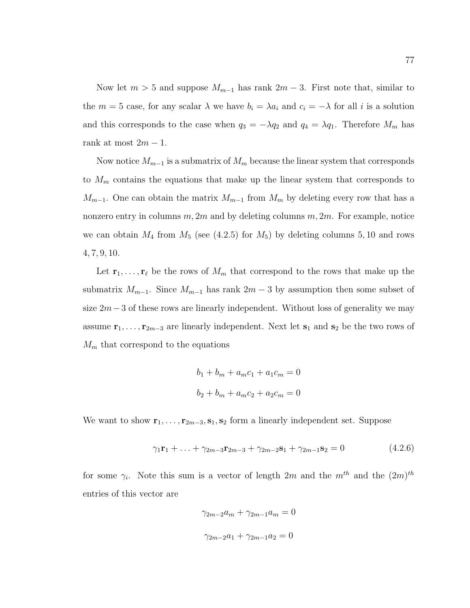Now let  $m > 5$  and suppose  $M_{m-1}$  has rank  $2m - 3$ . First note that, similar to the  $m = 5$  case, for any scalar  $\lambda$  we have  $b_i = \lambda a_i$  and  $c_i = -\lambda$  for all i is a solution and this corresponds to the case when  $q_3 = -\lambda q_2$  and  $q_4 = \lambda q_1$ . Therefore  $M_m$  has rank at most  $2m - 1$ .

Now notice  $M_{m-1}$  is a submatrix of  $M_m$  because the linear system that corresponds to  $M_m$  contains the equations that make up the linear system that corresponds to  $M_{m-1}$ . One can obtain the matrix  $M_{m-1}$  from  $M_m$  by deleting every row that has a nonzero entry in columns  $m, 2m$  and by deleting columns  $m, 2m$ . For example, notice we can obtain  $M_4$  from  $M_5$  (see [\(4.2.5\)](#page-82-0) for  $M_5$ ) by deleting columns 5, 10 and rows 4, 7, 9, 10.

Let  $\mathbf{r}_1, \ldots, \mathbf{r}_\ell$  be the rows of  $M_m$  that correspond to the rows that make up the submatrix  $M_{m-1}$ . Since  $M_{m-1}$  has rank  $2m-3$  by assumption then some subset of size  $2m-3$  of these rows are linearly independent. Without loss of generality we may assume  $\mathbf{r}_1, \ldots, \mathbf{r}_{2m-3}$  are linearly independent. Next let  $\mathbf{s}_1$  and  $\mathbf{s}_2$  be the two rows of  $M_m$  that correspond to the equations

$$
b_1 + b_m + a_m c_1 + a_1 c_m = 0
$$
  

$$
b_2 + b_m + a_m c_2 + a_2 c_m = 0
$$

We want to show  $\mathbf{r}_1, \ldots, \mathbf{r}_{2m-3}, \mathbf{s}_1, \mathbf{s}_2$  form a linearly independent set. Suppose

<span id="page-83-0"></span>
$$
\gamma_1 \mathbf{r}_1 + \ldots + \gamma_{2m-3} \mathbf{r}_{2m-3} + \gamma_{2m-2} \mathbf{s}_1 + \gamma_{2m-1} \mathbf{s}_2 = 0 \tag{4.2.6}
$$

for some  $\gamma_i$ . Note this sum is a vector of length 2m and the  $m^{th}$  and the  $(2m)^{th}$ entries of this vector are

$$
\gamma_{2m-2}a_m + \gamma_{2m-1}a_m = 0
$$
  

$$
\gamma_{2m-2}a_1 + \gamma_{2m-1}a_2 = 0
$$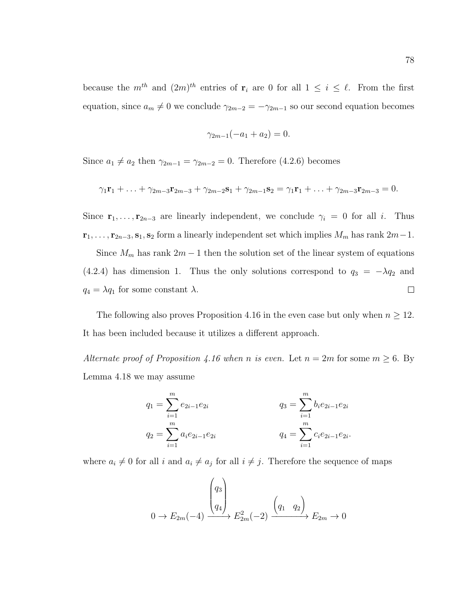because the  $m^{th}$  and  $(2m)^{th}$  entries of  $\mathbf{r}_i$  are 0 for all  $1 \leq i \leq \ell$ . From the first equation, since  $a_m \neq 0$  we conclude  $\gamma_{2m-2} = -\gamma_{2m-1}$  so our second equation becomes

$$
\gamma_{2m-1}(-a_1 + a_2) = 0.
$$

Since  $a_1 \neq a_2$  then  $\gamma_{2m-1} = \gamma_{2m-2} = 0$ . Therefore [\(4.2.6\)](#page-83-0) becomes

$$
\gamma_1 \mathbf{r}_1 + \ldots + \gamma_{2m-3} \mathbf{r}_{2m-3} + \gamma_{2m-2} \mathbf{s}_1 + \gamma_{2m-1} \mathbf{s}_2 = \gamma_1 \mathbf{r}_1 + \ldots + \gamma_{2m-3} \mathbf{r}_{2m-3} = 0.
$$

Since  $\mathbf{r}_1, \ldots, \mathbf{r}_{2n-3}$  are linearly independent, we conclude  $\gamma_i = 0$  for all i. Thus  $\mathbf{r}_1, \ldots, \mathbf{r}_{2n-3}, \mathbf{s}_1, \mathbf{s}_2$  form a linearly independent set which implies  $M_m$  has rank  $2m-1$ .

Since  $M_m$  has rank  $2m - 1$  then the solution set of the linear system of equations [\(4.2.4\)](#page-81-0) has dimension 1. Thus the only solutions correspond to  $q_3 = -\lambda q_2$  and  $q_4 = \lambda q_1$  for some constant  $\lambda$ .  $\Box$ 

The following also proves Proposition [4.16](#page-73-0) in the even case but only when  $n \geq 12$ . It has been included because it utilizes a different approach.

Alternate proof of Proposition [4.16](#page-73-0) when n is even. Let  $n = 2m$  for some  $m \ge 6$ . By Lemma [4.18](#page-79-0) we may assume

$$
q_1 = \sum_{i=1}^m e_{2i-1} e_{2i}
$$
  
\n
$$
q_2 = \sum_{i=1}^m a_i e_{2i-1} e_{2i}
$$
  
\n
$$
q_3 = \sum_{i=1}^m b_i e_{2i-1} e_{2i}
$$
  
\n
$$
q_4 = \sum_{i=1}^m c_i e_{2i-1} e_{2i}.
$$

where  $a_i \neq 0$  for all i and  $a_i \neq a_j$  for all  $i \neq j$ . Therefore the sequence of maps

$$
0 \to E_{2m}(-4) \xrightarrow{\begin{pmatrix} q_3 \\ q_4 \end{pmatrix}} E_{2m}^2(-2) \xrightarrow{\begin{pmatrix} q_1 & q_2 \end{pmatrix}} E_{2m} \to 0
$$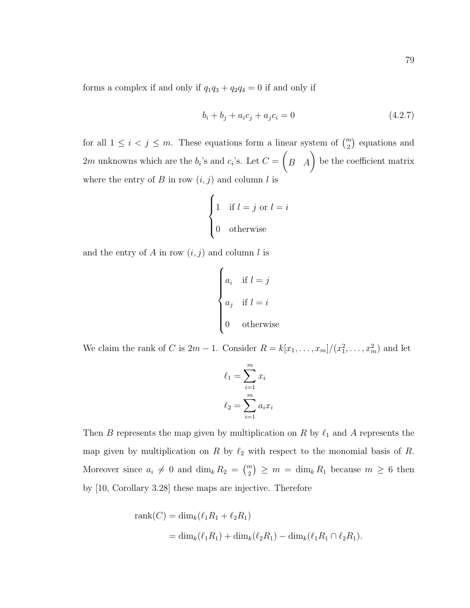<span id="page-85-0"></span>
$$
b_i + b_j + a_i c_j + a_j c_i = 0 \tag{4.2.7}
$$

for all  $1 \leq i \leq j \leq m$ . These equations form a linear system of  $\binom{m}{2}$  equations and 2m unknowns which are the  $b_i$ 's and  $c_i$ 's. Let  $C =$  $\begin{pmatrix} B & A \end{pmatrix}$  be the coefficient matrix where the entry of  $B$  in row  $(i, j)$  and column  $l$  is

$$
\begin{cases} 1 & \text{if } l = j \text{ or } l = i \\ 0 & \text{otherwise} \end{cases}
$$

and the entry of A in row  $(i, j)$  and column l is

$$
\begin{cases}\na_i & \text{if } l = j \\
a_j & \text{if } l = i \\
0 & \text{otherwise}\n\end{cases}
$$

We claim the rank of C is  $2m-1$ . Consider  $R = k[x_1, \ldots, x_m]/(x_1^2, \ldots, x_m^2)$  and let

$$
\ell_1 = \sum_{i=1}^m x_i
$$

$$
\ell_2 = \sum_{i=1}^m a_i x_i
$$

Then B represents the map given by multiplication on R by  $\ell_1$  and A represents the map given by multiplication on R by  $\ell_2$  with respect to the monomial basis of R. Moreover since  $a_i \neq 0$  and  $\dim_k R_2 = \binom{m}{2} \geq m = \dim_k R_1$  because  $m \geq 6$  then by [\[10,](#page-111-1) Corollary 3.28] these maps are injective. Therefore

rank(C) = dim<sub>k</sub>(
$$
\ell_1 R_1 + \ell_2 R_1
$$
)  
= dim<sub>k</sub>( $\ell_1 R_1$ ) + dim<sub>k</sub>( $\ell_2 R_1$ ) - dim<sub>k</sub>( $\ell_1 R_1 \cap \ell_2 R_1$ ).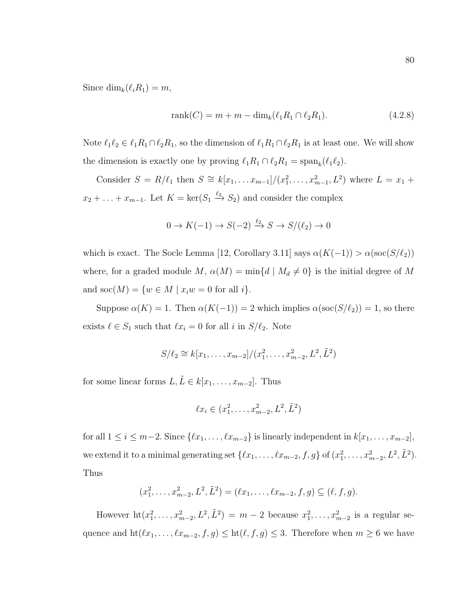Since  $\dim_k(\ell_iR_1) = m$ ,

<span id="page-86-0"></span>
$$
rank(C) = m + m - dimk(\ell_1 R_1 \cap \ell_2 R_1).
$$
 (4.2.8)

Note  $\ell_1\ell_2 \in \ell_1R_1 \cap \ell_2R_1$ , so the dimension of  $\ell_1R_1 \cap \ell_2R_1$  is at least one. We will show the dimension is exactly one by proving  $\ell_1 R_1 \cap \ell_2 R_1 = \text{span}_k(\ell_1 \ell_2)$ .

Consider  $S = R/\ell_1$  then  $S \cong k[x_1, \ldots x_{m-1}]/(x_1^2, \ldots, x_{m-1}^2, L^2)$  where  $L = x_1 +$  $x_2 + \ldots + x_{m-1}$ . Let  $K = \ker(S_1 \stackrel{\ell_2}{\to} S_2)$  and consider the complex

$$
0 \to K(-1) \to S(-2) \xrightarrow{\ell_2} S \to S/(\ell_2) \to 0
$$

which is exact. The Socle Lemma [\[12,](#page-111-2) Corollary 3.11] says  $\alpha(K(-1)) > \alpha(\operatorname{soc}(S/\ell_2))$ where, for a graded module M,  $\alpha(M) = \min\{d \mid M_d \neq 0\}$  is the initial degree of M and  $\text{soc}(M) = \{w \in M \mid x_iw = 0 \text{ for all } i\}.$ 

Suppose  $\alpha(K) = 1$ . Then  $\alpha(K(-1)) = 2$  which implies  $\alpha(\operatorname{soc}(S/\ell_2)) = 1$ , so there exists  $\ell \in S_1$  such that  $\ell x_i = 0$  for all i in  $S/\ell_2$ . Note

$$
S/\ell_2 \cong k[x_1,\ldots,x_{m-2}]/(x_1^2,\ldots,x_{m-2}^2,L^2,\tilde{L}^2)
$$

for some linear forms  $L, \tilde{L} \in k[x_1, \ldots, x_{m-2}]$ . Thus

$$
\ell x_i \in (x_1^2, \dots, x_{m-2}^2, L^2, \tilde{L}^2)
$$

for all  $1 \leq i \leq m-2$ . Since  $\{\ell x_1, \ldots, \ell x_{m-2}\}\$ is linearly independent in  $k[x_1, \ldots, x_{m-2}]$ , we extend it to a minimal generating set  $\{\ell x_1, \ldots, \ell x_{m-2}, f, g\}$  of  $(x_1^2, \ldots, x_{m-2}^2, L^2, \tilde{L}^2)$ . Thus

$$
(x_1^2, \ldots, x_{m-2}^2, L^2, \tilde{L}^2) = (\ell x_1, \ldots, \ell x_{m-2}, f, g) \subseteq (\ell, f, g).
$$

However  $\mathrm{ht}(x_1^2, \ldots, x_{m-2}^2, L^2, \tilde{L}^2) = m-2$  because  $x_1^2, \ldots, x_{m-2}^2$  is a regular sequence and  $\mathrm{ht}(\ell x_1, \ldots, \ell x_{m-2}, f, g) \leq \mathrm{ht}(\ell, f, g) \leq 3$ . Therefore when  $m \geq 6$  we have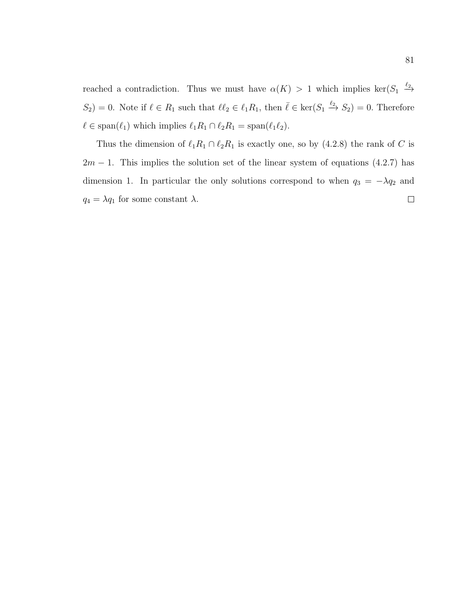reached a contradiction. Thus we must have  $\alpha(K) > 1$  which implies ker $(S_1 \stackrel{\ell_2}{\rightarrow}$  $S_2$  = 0. Note if  $\ell \in R_1$  such that  $\ell \ell_2 \in \ell_1R_1$ , then  $\bar{\ell} \in \text{ker}(S_1 \xrightarrow{\ell_2} S_2) = 0$ . Therefore  $\ell \in \text{span}(\ell_1)$  which implies  $\ell_1R_1 \cap \ell_2R_1 = \text{span}(\ell_1\ell_2).$ 

Thus the dimension of  $\ell_1R_1 \cap \ell_2R_1$  is exactly one, so by [\(4.2.8\)](#page-86-0) the rank of C is  $2m - 1$ . This implies the solution set of the linear system of equations [\(4.2.7\)](#page-85-0) has dimension 1. In particular the only solutions correspond to when  $q_3 = -\lambda q_2$  and  $q_4 = \lambda q_1$  for some constant  $\lambda$ .  $\Box$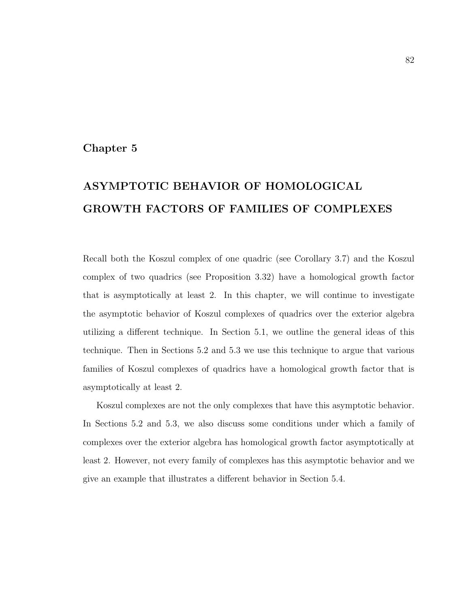#### Chapter 5

# ASYMPTOTIC BEHAVIOR OF HOMOLOGICAL GROWTH FACTORS OF FAMILIES OF COMPLEXES

Recall both the Koszul complex of one quadric (see Corollary [3.7\)](#page-39-0) and the Koszul complex of two quadrics (see Proposition [3.32\)](#page-59-0) have a homological growth factor that is asymptotically at least 2. In this chapter, we will continue to investigate the asymptotic behavior of Koszul complexes of quadrics over the exterior algebra utilizing a different technique. In Section [5.1,](#page-89-0) we outline the general ideas of this technique. Then in Sections [5.2](#page-93-0) and [5.3](#page-99-0) we use this technique to argue that various families of Koszul complexes of quadrics have a homological growth factor that is asymptotically at least 2.

Koszul complexes are not the only complexes that have this asymptotic behavior. In Sections [5.2](#page-93-0) and [5.3,](#page-99-0) we also discuss some conditions under which a family of complexes over the exterior algebra has homological growth factor asymptotically at least 2. However, not every family of complexes has this asymptotic behavior and we give an example that illustrates a different behavior in Section [5.4.](#page-103-0)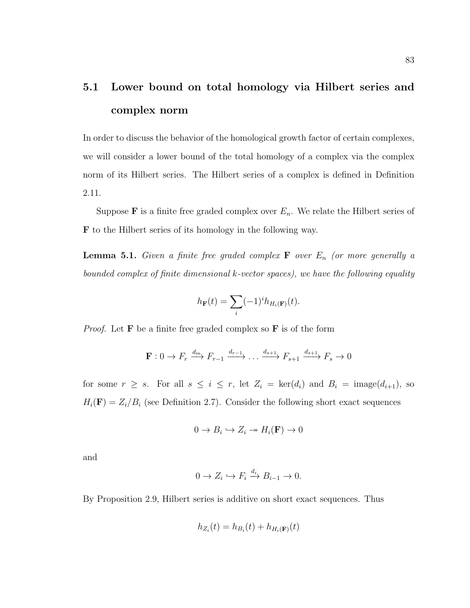## <span id="page-89-0"></span>5.1 Lower bound on total homology via Hilbert series and complex norm

In order to discuss the behavior of the homological growth factor of certain complexes, we will consider a lower bound of the total homology of a complex via the complex norm of its Hilbert series. The Hilbert series of a complex is defined in Definition [2.11.](#page-17-0)

Suppose **F** is a finite free graded complex over  $E_n$ . We relate the Hilbert series of F to the Hilbert series of its homology in the following way.

**Lemma 5.1.** Given a finite free graded complex  $\mathbf{F}$  over  $E_n$  (or more generally a bounded complex of finite dimensional k-vector spaces), we have the following equality

$$
h_{\mathbf{F}}(t) = \sum_{i} (-1)^{i} h_{H_i(\mathbf{F})}(t).
$$

*Proof.* Let  $\bf{F}$  be a finite free graded complex so  $\bf{F}$  is of the form

$$
\mathbf{F}: 0 \to F_r \xrightarrow{d_m} F_{r-1} \xrightarrow{d_{r-1}} \dots \xrightarrow{d_{s+1}} F_{s+1} \xrightarrow{d_{s+1}} F_s \to 0
$$

for some  $r \geq s$ . For all  $s \leq i \leq r$ , let  $Z_i = \text{ker}(d_i)$  and  $B_i = \text{image}(d_{i+1})$ , so  $H_i(\mathbf{F}) = Z_i/B_i$  (see Definition [2.7\)](#page-16-0). Consider the following short exact sequences

$$
0 \to B_i \hookrightarrow Z_i \twoheadrightarrow H_i(\mathbf{F}) \to 0
$$

and

$$
0 \to Z_i \hookrightarrow F_i \xrightarrow{d_i} B_{i-1} \to 0.
$$

By Proposition [2.9,](#page-17-1) Hilbert series is additive on short exact sequences. Thus

$$
h_{Z_i}(t) = h_{B_i}(t) + h_{H_i(\mathbf{F})}(t)
$$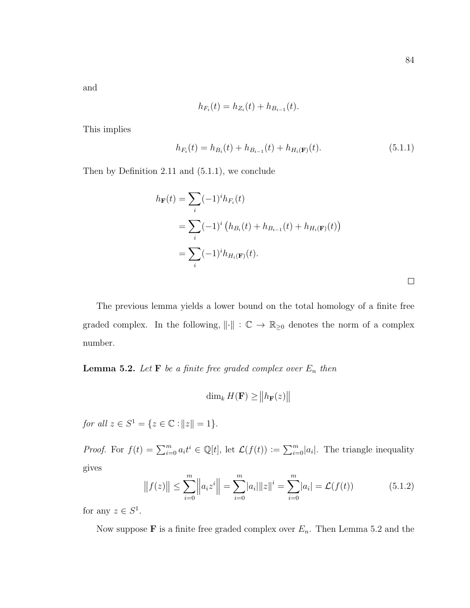$\hfill \square$ 

and

$$
h_{F_i}(t) = h_{Z_i}(t) + h_{B_{i-1}}(t).
$$

This implies

<span id="page-90-0"></span>
$$
h_{F_i}(t) = h_{B_i}(t) + h_{B_{i-1}}(t) + h_{H_i(\mathbf{F})}(t).
$$
\n(5.1.1)

Then by Definition [2.11](#page-17-0) and [\(5.1.1\)](#page-90-0), we conclude

$$
h_{\mathbf{F}}(t) = \sum_{i} (-1)^{i} h_{F_i}(t)
$$
  
=  $\sum_{i} (-1)^{i} (h_{B_i}(t) + h_{B_{i-1}}(t) + h_{H_i(\mathbf{F})}(t))$   
=  $\sum_{i} (-1)^{i} h_{H_i(\mathbf{F})}(t).$ 

The previous lemma yields a lower bound on the total homology of a finite free graded complex. In the following,  $\|\cdot\|$  :  $\mathbb{C} \to \mathbb{R}_{\geq 0}$  denotes the norm of a complex number.

<span id="page-90-1"></span>**Lemma 5.2.** Let **F** be a finite free graded complex over  $E_n$  then

$$
\dim_k H(\mathbf{F}) \geq ||h_{\mathbf{F}}(z)||
$$

for all  $z \in S^1 = \{ z \in \mathbb{C} : ||z|| = 1 \}.$ 

*Proof.* For  $f(t) = \sum_{i=0}^{m} a_i t^i \in \mathbb{Q}[t]$ , let  $\mathcal{L}(f(t)) := \sum_{i=0}^{m} |a_i|$ . The triangle inequality gives

<span id="page-90-2"></span>
$$
||f(z)|| \le \sum_{i=0}^{m} ||a_i z^i|| = \sum_{i=0}^{m} |a_i|| |z||^i = \sum_{i=0}^{m} |a_i| = \mathcal{L}(f(t))
$$
 (5.1.2)

for any  $z \in S^1$ .

Now suppose **F** is a finite free graded complex over  $E_n$ . Then Lemma [5.2](#page-90-1) and the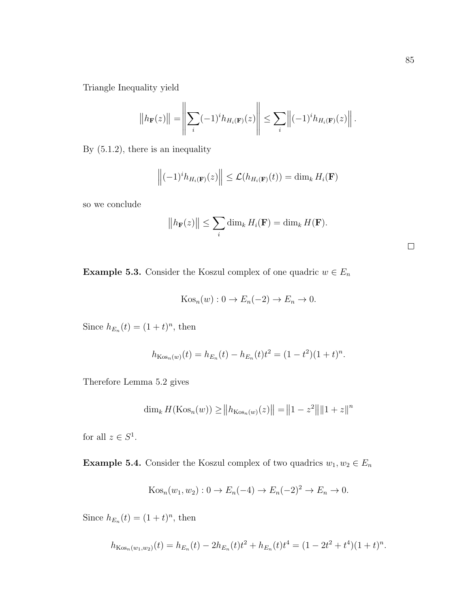Triangle Inequality yield

$$
\left\|h_{\mathbf{F}}(z)\right\| = \left\|\sum_{i} (-1)^{i} h_{H_{i}(\mathbf{F})}(z)\right\| \leq \sum_{i} \left\|(-1)^{i} h_{H_{i}(\mathbf{F})}(z)\right\|.
$$

By [\(5.1.2\)](#page-90-2), there is an inequality

$$
\left\|(-1)^i h_{H_i(\mathbf{F})}(z)\right\| \leq \mathcal{L}(h_{H_i(\mathbf{F})}(t)) = \dim_k H_i(\mathbf{F})
$$

so we conclude

$$
||h_{\mathbf{F}}(z)|| \leq \sum_{i} \dim_{k} H_{i}(\mathbf{F}) = \dim_{k} H(\mathbf{F}).
$$

| <b>Example 5.3.</b> Consider the Koszul complex of one quadric $w \in E_n$ |  |  |  |  |  |
|----------------------------------------------------------------------------|--|--|--|--|--|
|----------------------------------------------------------------------------|--|--|--|--|--|

$$
Kos_n(w): 0 \to E_n(-2) \to E_n \to 0.
$$

Since  $h_{E_n}(t) = (1+t)^n$ , then

$$
h_{\text{Kos}_n(w)}(t) = h_{E_n}(t) - h_{E_n}(t)t^2 = (1 - t^2)(1 + t)^n.
$$

Therefore Lemma [5.2](#page-90-1) gives

$$
\dim_k H(\text{Kos}_n(w)) \ge ||h_{\text{Kos}_n(w)}(z)|| = ||1 - z^2|| ||1 + z||^n
$$

for all  $z \in S^1$ .

**Example 5.4.** Consider the Koszul complex of two quadrics  $w_1, w_2 \in E_n$ 

$$
Kosn(w1, w2) : 0 \rightarrow En(-4) \rightarrow En(-2)2 \rightarrow En \rightarrow 0.
$$

Since  $h_{E_n}(t) = (1+t)^n$ , then

$$
h_{\text{Kos}_n(w_1, w_2)}(t) = h_{E_n}(t) - 2h_{E_n}(t)t^2 + h_{E_n}(t)t^4 = (1 - 2t^2 + t^4)(1 + t)^n.
$$

 $\hfill \square$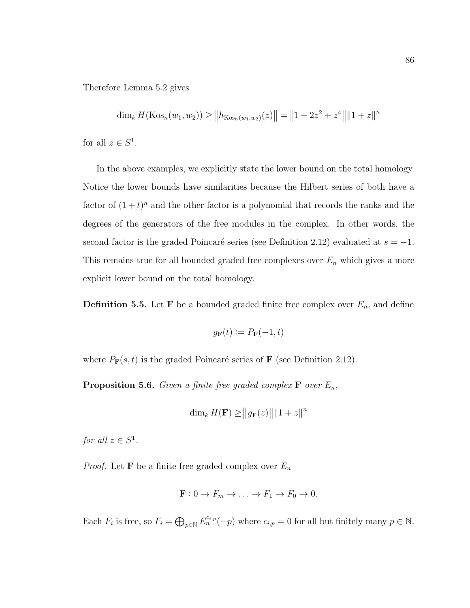Therefore Lemma [5.2](#page-90-1) gives

$$
\dim_k H(\text{Kos}_n(w_1, w_2)) \ge ||h_{\text{Kos}_n(w_1, w_2)}(z)|| = ||1 - 2z^2 + z^4|| ||1 + z||^n
$$
  
for all  $z \in S^1$ .

In the above examples, we explicitly state the lower bound on the total homology. Notice the lower bounds have similarities because the Hilbert series of both have a factor of  $(1 + t)^n$  and the other factor is a polynomial that records the ranks and the degrees of the generators of the free modules in the complex. In other words, the second factor is the graded Poincaré series (see Definition [2.12\)](#page-17-2) evaluated at  $s = -1$ . This remains true for all bounded graded free complexes over  $E_n$  which gives a more explicit lower bound on the total homology.

**Definition 5.5.** Let **F** be a bounded graded finite free complex over  $E_n$ , and define

$$
g_{\mathbf{F}}(t) \coloneqq P_{\mathbf{F}}(-1, t)
$$

where  $P_{\mathbf{F}}(s,t)$  is the graded Poincaré series of **F** (see Definition [2.12\)](#page-17-2).

<span id="page-92-0"></span>**Proposition 5.6.** Given a finite free graded complex  $\mathbf{F}$  over  $E_n$ ,

$$
\dim_k H(\mathbf{F}) \ge ||g_{\mathbf{F}}(z)|| \, ||1+z||^n
$$

for all  $z \in S^1$ .

*Proof.* Let **F** be a finite free graded complex over  $E_n$ 

$$
\mathbf{F}: 0 \to F_m \to \dots \to F_1 \to F_0 \to 0.
$$

Each  $F_i$  is free, so  $F_i = \bigoplus_{p \in \mathbb{N}} E_n^{c_{i,p}}(-p)$  where  $c_{i,p} = 0$  for all but finitely many  $p \in \mathbb{N}$ .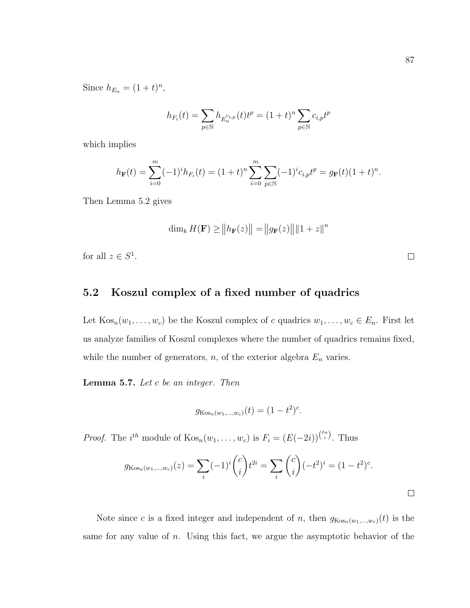Since  $h_{E_n} = (1+t)^n$ ,

$$
h_{F_i}(t) = \sum_{p \in \mathbb{N}} h_{E_n^{c_{i,p}}}(t) t^p = (1+t)^n \sum_{p \in \mathbb{N}} c_{i,p} t^p
$$

which implies

$$
h_{\mathbf{F}}(t) = \sum_{i=0}^{m} (-1)^{i} h_{F_i}(t) = (1+t)^n \sum_{i=0}^{m} \sum_{p \in \mathbb{N}} (-1)^{i} c_{i,p} t^p = g_{\mathbf{F}}(t) (1+t)^n.
$$

Then Lemma [5.2](#page-90-1) gives

$$
\dim_k H(\mathbf{F}) \ge ||h_{\mathbf{F}}(z)|| = ||g_{\mathbf{F}}(z)|| ||1 + z||^n
$$

for all  $z \in S^1$ .

### <span id="page-93-0"></span>5.2 Koszul complex of a fixed number of quadrics

Let  $\text{Kos}_n(w_1, \ldots, w_c)$  be the Koszul complex of c quadrics  $w_1, \ldots, w_c \in E_n$ . First let us analyze families of Koszul complexes where the number of quadrics remains fixed, while the number of generators,  $n$ , of the exterior algebra  $E_n$  varies.

<span id="page-93-1"></span>Lemma 5.7. Let c be an integer. Then

$$
g_{\text{Kos}_n(w_1,\dots,w_c)}(t) = (1-t^2)^c.
$$

*Proof.* The *i*<sup>th</sup> module of  $\text{Kos}_n(w_1,\ldots,w_c)$  is  $F_i = (E(-2i))^{n \choose i}$ . Thus

$$
g_{\text{Kos}_n(w_1,\dots,w_c)}(z) = \sum_i (-1)^i \binom{c}{i} t^{2i} = \sum_i \binom{c}{i} (-t^2)^i = (1-t^2)^c.
$$

Note since c is a fixed integer and independent of n, then  $g_{\text{Kos}_n(w_1,...,w_c)}(t)$  is the same for any value of  $n$ . Using this fact, we argue the asymptotic behavior of the

 $\Box$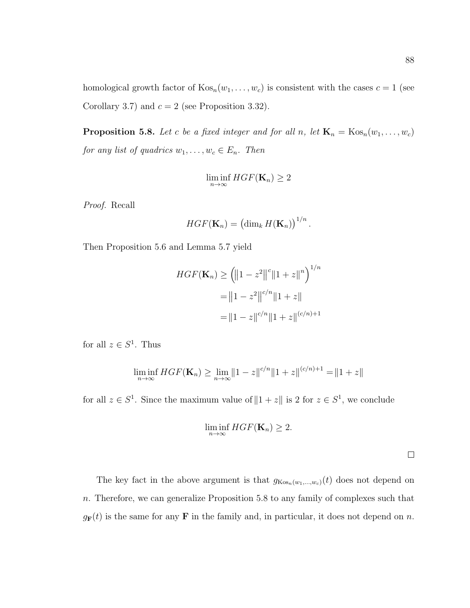homological growth factor of  $Kos_n(w_1, \ldots, w_c)$  is consistent with the cases  $c = 1$  (see Corollary [3.7\)](#page-39-0) and  $c = 2$  (see Proposition [3.32\)](#page-59-0).

<span id="page-94-0"></span>**Proposition 5.8.** Let c be a fixed integer and for all n, let  $\mathbf{K}_n = \text{Kos}_n(w_1, \ldots, w_c)$ for any list of quadrics  $w_1, \ldots, w_c \in E_n$ . Then

$$
\liminf_{n\to\infty} HGF(\mathbf{K}_n) \ge 2
$$

Proof. Recall

$$
HGF(\mathbf{K}_n) = \left(\dim_k H(\mathbf{K}_n)\right)^{1/n}.
$$

Then Proposition [5.6](#page-92-0) and Lemma [5.7](#page-93-1) yield

$$
HGF(\mathbf{K}_n) \geq \left( \|1 - z^2\|^c \|1 + z\|^n \right)^{1/n}
$$

$$
= \|1 - z^2\|^c \|\|1 + z\|
$$

$$
= \|1 - z\|^c \|\|1 + z\|^{(c/n)+1}
$$

for all  $z \in S^1$ . Thus

$$
\liminf_{n \to \infty} HGF(\mathbf{K}_n) \ge \lim_{n \to \infty} ||1 - z||^{c/n} ||1 + z||^{(c/n)+1} = ||1 + z||
$$

for all  $z \in S^1$ . Since the maximum value of  $||1+z||$  is 2 for  $z \in S^1$ , we conclude

$$
\liminf_{n\to\infty} HGF(\mathbf{K}_n) \geq 2.
$$

 $\Box$ 

The key fact in the above argument is that  $g_{\text{Kos}_n(w_1,\dots,w_c)}(t)$  does not depend on n. Therefore, we can generalize Proposition [5.8](#page-94-0) to any family of complexes such that  $g_{\mathbf{F}}(t)$  is the same for any **F** in the family and, in particular, it does not depend on n.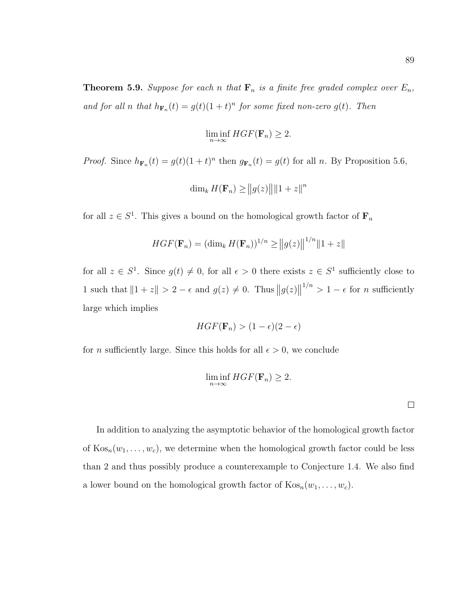**Theorem 5.9.** Suppose for each n that  $\mathbf{F}_n$  is a finite free graded complex over  $E_n$ , and for all n that  $h_{\mathbf{F}_n}(t) = g(t)(1+t)^n$  for some fixed non-zero  $g(t)$ . Then

$$
\liminf_{n \to \infty} HGF(\mathbf{F}_n) \ge 2.
$$

*Proof.* Since  $h_{\mathbf{F}_n}(t) = g(t)(1+t)^n$  then  $g_{\mathbf{F}_n}(t) = g(t)$  for all n. By Proposition [5.6,](#page-92-0)

$$
\dim_k H(\mathbf{F}_n) \ge ||g(z)|| ||1 + z||^n
$$

for all  $z \in S^1$ . This gives a bound on the homological growth factor of  $\mathbf{F}_n$ 

$$
HGF(\mathbf{F}_n) = (\dim_k H(\mathbf{F}_n))^{1/n} \ge ||g(z)||^{1/n} ||1 + z||
$$

for all  $z \in S^1$ . Since  $g(t) \neq 0$ , for all  $\epsilon > 0$  there exists  $z \in S^1$  sufficiently close to 1 such that  $||1 + z|| > 2 - \epsilon$  and  $g(z) \neq 0$ . Thus  $||g(z)||$  $1/n > 1 - \epsilon$  for *n* sufficiently large which implies

$$
HGF(\mathbf{F}_n) > (1 - \epsilon)(2 - \epsilon)
$$

for *n* sufficiently large. Since this holds for all  $\epsilon > 0$ , we conclude

$$
\liminf_{n \to \infty} HGF(\mathbf{F}_n) \ge 2.
$$

In addition to analyzing the asymptotic behavior of the homological growth factor of  $\text{Kos}_n(w_1, \ldots, w_c)$ , we determine when the homological growth factor could be less than 2 and thus possibly produce a counterexample to Conjecture [1.4.](#page-9-0) We also find a lower bound on the homological growth factor of  $Kos_n(w_1, \ldots, w_c)$ .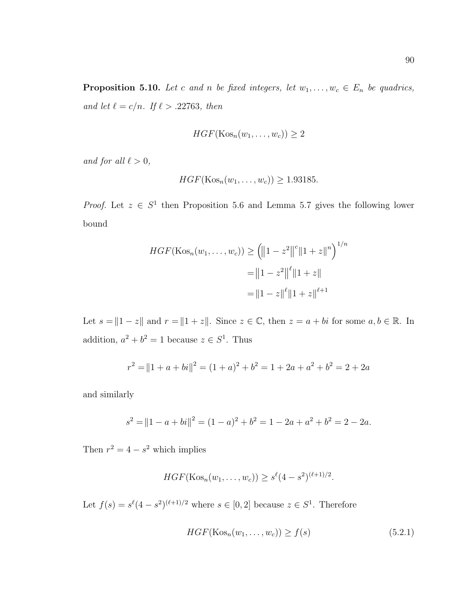<span id="page-96-1"></span>**Proposition 5.10.** Let c and n be fixed integers, let  $w_1, \ldots, w_c \in E_n$  be quadrics, and let  $\ell = c/n$ . If  $\ell > .22763$ , then

$$
HGF(\mathrm{Kos}_n(w_1,\ldots,w_c))\geq 2
$$

and for all  $\ell > 0$ ,

$$
HGF(\text{Kos}_n(w_1,\ldots,w_c)) \ge 1.93185.
$$

*Proof.* Let  $z \in S^1$  then Proposition [5.6](#page-92-0) and Lemma [5.7](#page-93-1) gives the following lower bound

$$
HGF(\text{Kos}_n(w_1, ..., w_c)) \ge ||1 - z^2||^c ||1 + z||^n \big)^{1/n}
$$
  
=  $||1 - z^2||^{\ell} ||1 + z||$   
=  $||1 - z||^{\ell} ||1 + z||^{\ell+1}$ 

Let  $s = \|1 - z\|$  and  $r = \|1 + z\|$ . Since  $z \in \mathbb{C}$ , then  $z = a + bi$  for some  $a, b \in \mathbb{R}$ . In addition,  $a^2 + b^2 = 1$  because  $z \in S^1$ . Thus

$$
r^{2} = ||1 + a + bi||^{2} = (1 + a)^{2} + b^{2} = 1 + 2a + a^{2} + b^{2} = 2 + 2a
$$

and similarly

$$
s2 = ||1 - a + bi||2 = (1 - a)2 + b2 = 1 - 2a + a2 + b2 = 2 - 2a.
$$

Then  $r^2 = 4 - s^2$  which implies

$$
HGF(\text{Kos}_n(w_1,\ldots,w_c)) \geq s^{\ell}(4-s^2)^{(\ell+1)/2}.
$$

Let  $f(s) = s^{\ell}(4-s^2)^{(\ell+1)/2}$  where  $s \in [0,2]$  because  $z \in S^1$ . Therefore

<span id="page-96-0"></span>
$$
HGF(\text{Kos}_n(w_1, \dots, w_c)) \ge f(s) \tag{5.2.1}
$$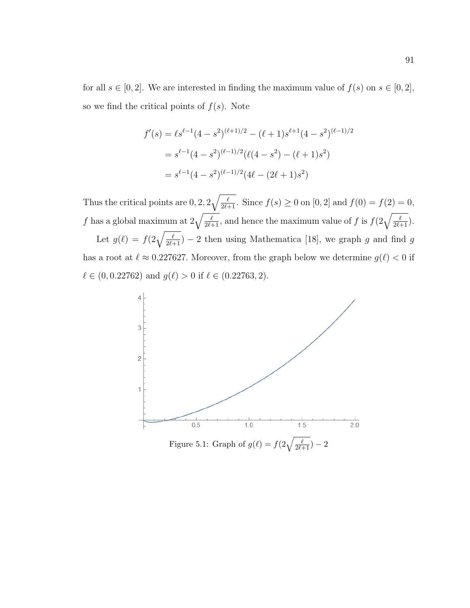for all  $s \in [0, 2]$ . We are interested in finding the maximum value of  $f(s)$  on  $s \in [0, 2]$ , so we find the critical points of  $f(s)$ . Note

$$
f'(s) = \ell s^{\ell-1} (4 - s^2)^{(\ell+1)/2} - (\ell+1) s^{\ell+1} (4 - s^2)^{(\ell-1)/2}
$$
  
=  $s^{\ell-1} (4 - s^2)^{(\ell-1)/2} (\ell (4 - s^2) - (\ell+1) s^2)$   
=  $s^{\ell-1} (4 - s^2)^{(\ell-1)/2} (4\ell - (2\ell+1) s^2)$ 

Thus the critical points are  $0, 2, 2\sqrt{\frac{\ell}{2\ell+1}}$ . Since  $f(s) \ge 0$  on  $[0, 2]$  and  $f(0) = f(2) = 0$ , f has a global maximum at  $2\sqrt{\frac{\ell}{2\ell+1}}$ , and hence the maximum value of f is  $f(2\sqrt{\frac{\ell}{2\ell+1}})$ . Let  $g(\ell) = f(2\sqrt{\frac{\ell}{2\ell+1}}) - 2$  then using Mathematica [\[18\]](#page-112-0), we graph g and find g has a root at  $\ell \approx 0.227627$ . Moreover, from the graph below we determine  $g(\ell) < 0$  if  $\ell \in (0, 0.22762)$  and  $g(\ell) > 0$  if  $\ell \in (0.22763, 2)$ .

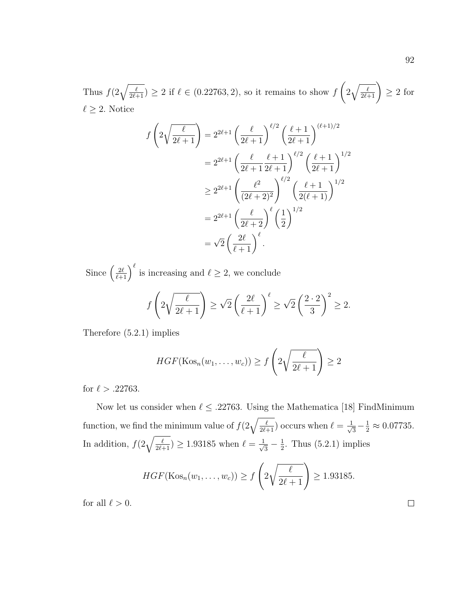Thus  $f(2\sqrt{\frac{\ell}{2\ell+1}}) \geq 2$  if  $\ell \in (0.22763, 2)$ , so it remains to show f  $\sqrt{ }$  $2\sqrt{\frac{\ell}{2\ell+1}}$   $\geq 2$  for  $\ell \geq 2$ . Notice

$$
f\left(2\sqrt{\frac{\ell}{2\ell+1}}\right) = 2^{2\ell+1} \left(\frac{\ell}{2\ell+1}\right)^{\ell/2} \left(\frac{\ell+1}{2\ell+1}\right)^{(\ell+1)/2}
$$
  

$$
= 2^{2\ell+1} \left(\frac{\ell}{2\ell+1} \frac{\ell+1}{2\ell+1}\right)^{\ell/2} \left(\frac{\ell+1}{2\ell+1}\right)^{1/2}
$$
  

$$
\geq 2^{2\ell+1} \left(\frac{\ell^2}{(2\ell+2)^2}\right)^{\ell/2} \left(\frac{\ell+1}{2(\ell+1)}\right)^{1/2}
$$
  

$$
= 2^{2\ell+1} \left(\frac{\ell}{2\ell+2}\right)^{\ell} \left(\frac{1}{2}\right)^{1/2}
$$
  

$$
= \sqrt{2} \left(\frac{2\ell}{\ell+1}\right)^{\ell}.
$$

Since  $\left(\frac{2\ell}{\ell+1}\right)^{\ell}$  is increasing and  $\ell \geq 2$ , we conclude

$$
f\left(2\sqrt{\frac{\ell}{2\ell+1}}\right) \ge \sqrt{2}\left(\frac{2\ell}{\ell+1}\right)^{\ell} \ge \sqrt{2}\left(\frac{2\cdot 2}{3}\right)^2 \ge 2.
$$

Therefore [\(5.2.1\)](#page-96-0) implies

$$
HGF(\text{Kos}_n(w_1,\ldots,w_c)) \ge f\left(2\sqrt{\frac{\ell}{2\ell+1}}\right) \ge 2
$$

for  $\ell > .22763$ .

Now let us consider when  $\ell \leq .22763$ . Using the Mathematica [\[18\]](#page-112-0) FindMinimum function, we find the minimum value of  $f(2\sqrt{\frac{\ell}{2\ell+1}})$  occurs when  $\ell = \frac{1}{\sqrt{\ell}}$  $\frac{1}{3} - \frac{1}{2} \approx 0.07735.$ In addition,  $f(2\sqrt{\frac{\ell}{2\ell+1}}) \geq 1.93185$  when  $\ell = \frac{1}{\sqrt{\ell}}$  $\frac{1}{3} - \frac{1}{2}$  $\frac{1}{2}$ . Thus [\(5.2.1\)](#page-96-0) implies

$$
HGF(\text{Kos}_n(w_1,\ldots,w_c)) \ge f\left(2\sqrt{\frac{\ell}{2\ell+1}}\right) \ge 1.93185.
$$

for all  $\ell > 0$ .

 $\Box$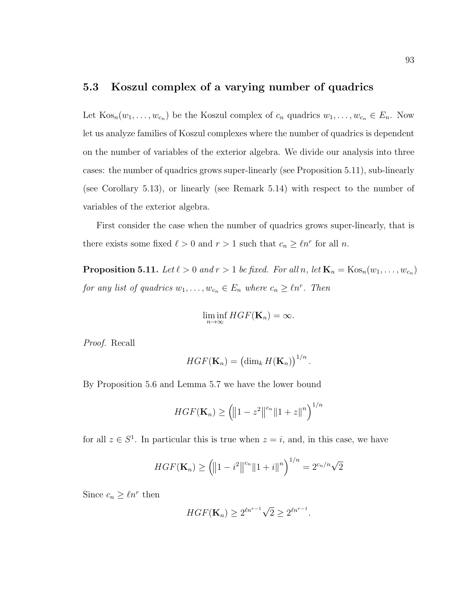### <span id="page-99-0"></span>5.3 Koszul complex of a varying number of quadrics

Let  $\text{Kos}_n(w_1,\ldots,w_{c_n})$  be the Koszul complex of  $c_n$  quadrics  $w_1,\ldots,w_{c_n} \in E_n$ . Now let us analyze families of Koszul complexes where the number of quadrics is dependent on the number of variables of the exterior algebra. We divide our analysis into three cases: the number of quadrics grows super-linearly (see Proposition [5.11\)](#page-99-1), sub-linearly (see Corollary [5.13\)](#page-102-0), or linearly (see Remark [5.14\)](#page-102-1) with respect to the number of variables of the exterior algebra.

First consider the case when the number of quadrics grows super-linearly, that is there exists some fixed  $\ell > 0$  and  $r > 1$  such that  $c_n \geq \ell n^r$  for all n.

<span id="page-99-1"></span>**Proposition 5.11.** Let  $\ell > 0$  and  $r > 1$  be fixed. For all n, let  $\mathbf{K}_n = \text{Kos}_n(w_1, \ldots, w_{c_n})$ for any list of quadrics  $w_1, \ldots, w_{c_n} \in E_n$  where  $c_n \geq \ell n^r$ . Then

$$
\liminf_{n\to\infty} HGF(\mathbf{K}_n)=\infty.
$$

Proof. Recall

$$
HGF(\mathbf{K}_n) = \left(\dim_k H(\mathbf{K}_n)\right)^{1/n}.
$$

By Proposition [5.6](#page-92-0) and Lemma [5.7](#page-93-1) we have the lower bound

$$
HGF(\mathbf{K}_n) \geq (\|1 - z^2\|^{c_n} \|1 + z\|^n)^{1/n}
$$

for all  $z \in S^1$ . In particular this is true when  $z = i$ , and, in this case, we have

$$
HGF(\mathbf{K}_n) \geq (\|1 - i^2\|^{c_n} \|1 + i\|^n)^{1/n} = 2^{c_n/n}\sqrt{2}
$$

Since  $c_n \geq \ell n^r$  then

$$
HGF(\mathbf{K}_n) \ge 2^{\ell n^{r-1}}\sqrt{2} \ge 2^{\ell n^{r-1}}.
$$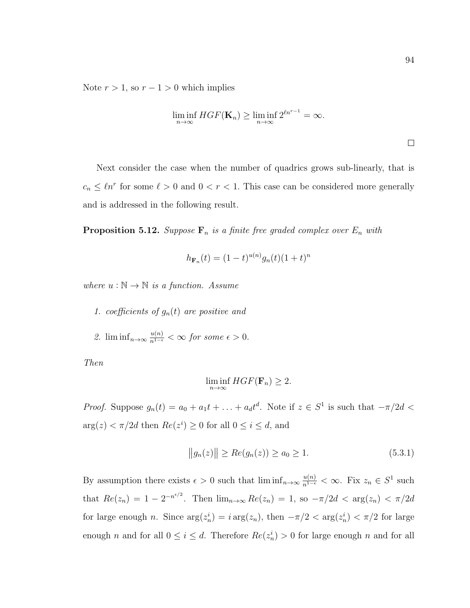Note  $r > 1$ , so  $r - 1 > 0$  which implies

$$
\liminf_{n \to \infty} HGF(\mathbf{K}_n) \ge \liminf_{n \to \infty} 2^{\ell n^{r-1}} = \infty.
$$

Next consider the case when the number of quadrics grows sub-linearly, that is  $c_n \leq \ell n^r$  for some  $\ell > 0$  and  $0 < r < 1$ . This case can be considered more generally and is addressed in the following result.

<span id="page-100-1"></span>**Proposition 5.12.** Suppose  $\mathbf{F}_n$  is a finite free graded complex over  $E_n$  with

$$
h_{\mathbf{F}_n}(t) = (1-t)^{u(n)} g_n(t) (1+t)^n
$$

where  $u : \mathbb{N} \to \mathbb{N}$  is a function. Assume

- 1. coefficients of  $g_n(t)$  are positive and
- 2.  $\liminf_{n\to\infty} \frac{u(n)}{n^{1-\epsilon}} < \infty$  for some  $\epsilon > 0$ .

Then

$$
\liminf_{n \to \infty} HGF(\mathbf{F}_n) \ge 2.
$$

*Proof.* Suppose  $g_n(t) = a_0 + a_1t + \ldots + a_dt^d$ . Note if  $z \in S^1$  is such that  $-\pi/2d <$  $arg(z) < \pi/2d$  then  $Re(z^i) \ge 0$  for all  $0 \le i \le d$ , and

<span id="page-100-0"></span>
$$
||g_n(z)|| \ge Re(g_n(z)) \ge a_0 \ge 1.
$$
 (5.3.1)

By assumption there exists  $\epsilon > 0$  such that  $\liminf_{n \to \infty} \frac{u(n)}{n^{1-\epsilon}} < \infty$ . Fix  $z_n \in S^1$  such that  $Re(z_n) = 1 - 2^{-n^{\epsilon/2}}$ . Then  $\lim_{n \to \infty} Re(z_n) = 1$ , so  $-\pi/2d < arg(z_n) < \pi/2d$ for large enough *n*. Since  $\arg(z_n^i) = i \arg(z_n)$ , then  $-\pi/2 < \arg(z_n^i) < \pi/2$  for large enough *n* and for all  $0 \le i \le d$ . Therefore  $Re(z_n^i) > 0$  for large enough *n* and for all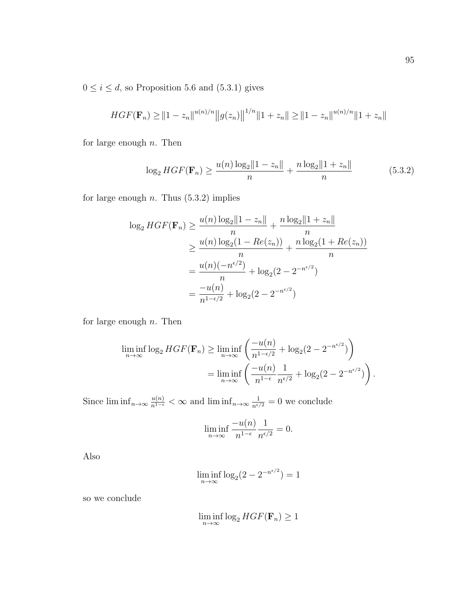$0 \leq i \leq d,$  so Proposition [5.6](#page-92-0) and [\(5.3.1\)](#page-100-0) gives

$$
HGF(\mathbf{F}_n) \ge ||1 - z_n||^{u(n)/n} ||g(z_n)||^{1/n} ||1 + z_n|| \ge ||1 - z_n||^{u(n)/n} ||1 + z_n||
$$

for large enough  $n$ . Then

<span id="page-101-0"></span>
$$
\log_2 HGF(\mathbf{F}_n) \ge \frac{u(n) \log_2 \|1 - z_n\|}{n} + \frac{n \log_2 \|1 + z_n\|}{n}
$$
(5.3.2)

for large enough  $n$ . Thus  $(5.3.2)$  implies

$$
\log_2 HGF(\mathbf{F}_n) \ge \frac{u(n) \log_2 ||1 - z_n||}{n} + \frac{n \log_2 ||1 + z_n||}{n}
$$
  
\n
$$
\ge \frac{u(n) \log_2 (1 - Re(z_n))}{n} + \frac{n \log_2 (1 + Re(z_n))}{n}
$$
  
\n
$$
= \frac{u(n)(-n^{\epsilon/2})}{n} + \log_2 (2 - 2^{-n^{\epsilon/2}})
$$
  
\n
$$
= \frac{-u(n)}{n^{1-\epsilon/2}} + \log_2 (2 - 2^{-n^{\epsilon/2}})
$$

for large enough  $n$ . Then

$$
\liminf_{n \to \infty} \log_2 HGF(\mathbf{F}_n) \ge \liminf_{n \to \infty} \left( \frac{-u(n)}{n^{1-\epsilon/2}} + \log_2(2 - 2^{-n^{\epsilon/2}}) \right)
$$

$$
= \liminf_{n \to \infty} \left( \frac{-u(n)}{n^{1-\epsilon}} \frac{1}{n^{\epsilon/2}} + \log_2(2 - 2^{-n^{\epsilon/2}}) \right).
$$

Since  $\liminf_{n\to\infty} \frac{u(n)}{n^{1-\epsilon}} < \infty$  and  $\liminf_{n\to\infty} \frac{1}{n^{\epsilon/2}} = 0$  we conclude

$$
\liminf_{n \to \infty} \frac{-u(n)}{n^{1-\epsilon}} \frac{1}{n^{\epsilon/2}} = 0.
$$

Also

$$
\liminf_{n \to \infty} \log_2(2 - 2^{-n^{\epsilon/2}}) = 1
$$

so we conclude

$$
\liminf_{n \to \infty} \log_2 HGF(\mathbf{F}_n) \ge 1
$$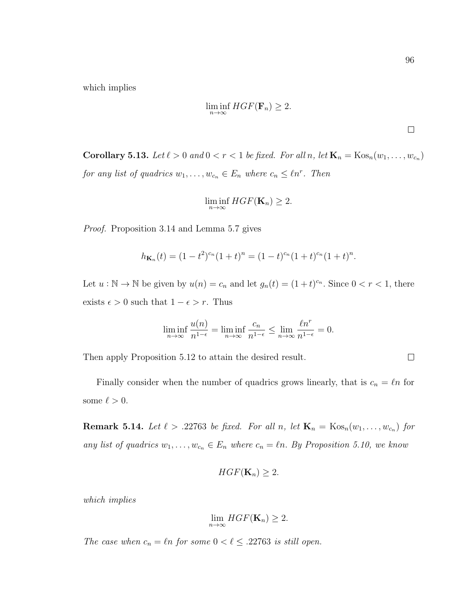which implies

$$
\liminf_{n \to \infty} HGF(\mathbf{F}_n) \ge 2.
$$

 $\Box$ 

 $\Box$ 

<span id="page-102-0"></span>**Corollary 5.13.** Let  $\ell > 0$  and  $0 < r < 1$  be fixed. For all n, let  $\mathbf{K}_n = \text{Kos}_n(w_1, \ldots, w_{c_n})$ for any list of quadrics  $w_1, \ldots, w_{c_n} \in E_n$  where  $c_n \leq \ell n^r$ . Then

$$
\liminf_{n\to\infty} HGF(\mathbf{K}_n)\geq 2.
$$

Proof. Proposition [3.14](#page-44-0) and Lemma [5.7](#page-93-1) gives

$$
h_{\mathbf{K}_n}(t) = (1 - t^2)^{c_n}(1 + t)^n = (1 - t)^{c_n}(1 + t)^{c_n}(1 + t)^n.
$$

Let  $u : \mathbb{N} \to \mathbb{N}$  be given by  $u(n) = c_n$  and let  $g_n(t) = (1+t)^{c_n}$ . Since  $0 < r < 1$ , there exists  $\epsilon > 0$  such that  $1 - \epsilon > r$ . Thus

$$
\liminf_{n \to \infty} \frac{u(n)}{n^{1-\epsilon}} = \liminf_{n \to \infty} \frac{c_n}{n^{1-\epsilon}} \le \lim_{n \to \infty} \frac{\ell n^r}{n^{1-\epsilon}} = 0.
$$

Then apply Proposition [5.12](#page-100-1) to attain the desired result.

Finally consider when the number of quadrics grows linearly, that is  $c_n = \ell n$  for some  $\ell > 0$ .

<span id="page-102-1"></span>**Remark 5.14.** Let  $\ell > 0.22763$  be fixed. For all n, let  $\mathbf{K}_n = \text{Kos}_n(w_1, \ldots, w_{c_n})$  for any list of quadrics  $w_1, \ldots, w_{c_n} \in E_n$  where  $c_n = \ell n$ . By Proposition [5.10,](#page-96-1) we know

$$
HGF(\mathbf{K}_n)\geq 2.
$$

which implies

$$
\lim_{n\to\infty} HGF(\mathbf{K}_n)\geq 2.
$$

The case when  $c_n = \ell n$  for some  $0 < \ell \leq .22763$  is still open.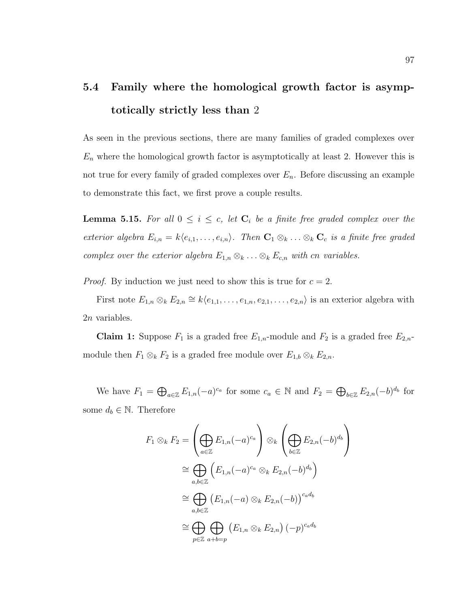# <span id="page-103-0"></span>5.4 Family where the homological growth factor is asymptotically strictly less than 2

As seen in the previous sections, there are many families of graded complexes over  $E_n$  where the homological growth factor is asymptotically at least 2. However this is not true for every family of graded complexes over  $E_n$ . Before discussing an example to demonstrate this fact, we first prove a couple results.

<span id="page-103-1"></span>**Lemma 5.15.** For all  $0 \leq i \leq c$ , let  $C_i$  be a finite free graded complex over the exterior algebra  $E_{i,n} = k\langle e_{i,1}, \ldots, e_{i,n}\rangle$ . Then  $\mathbf{C}_1 \otimes_k \ldots \otimes_k \mathbf{C}_c$  is a finite free graded complex over the exterior algebra  $E_{1,n} \otimes_k \ldots \otimes_k E_{c,n}$  with cn variables.

*Proof.* By induction we just need to show this is true for  $c = 2$ .

First note  $E_{1,n} \otimes_k E_{2,n} \cong k\langle e_{1,1}, \ldots, e_{1,n}, e_{2,1}, \ldots, e_{2,n} \rangle$  is an exterior algebra with 2n variables.

**Claim 1:** Suppose  $F_1$  is a graded free  $E_{1,n}$ -module and  $F_2$  is a graded free  $E_{2,n}$ module then  $F_1 \otimes_k F_2$  is a graded free module over  $E_{1,b} \otimes_k E_{2,n}$ .

We have  $F_1 = \bigoplus_{a \in \mathbb{Z}} E_{1,n}(-a)^{c_a}$  for some  $c_a \in \mathbb{N}$  and  $F_2 = \bigoplus_{b \in \mathbb{Z}} E_{2,n}(-b)^{d_b}$  for some  $d_b \in \mathbb{N}$ . Therefore

$$
F_1 \otimes_k F_2 = \left(\bigoplus_{a \in \mathbb{Z}} E_{1,n}(-a)^{c_a}\right) \otimes_k \left(\bigoplus_{b \in \mathbb{Z}} E_{2,n}(-b)^{d_b}\right)
$$
  
\n
$$
\cong \bigoplus_{a,b \in \mathbb{Z}} \left(E_{1,n}(-a)^{c_a} \otimes_k E_{2,n}(-b)^{d_b}\right)
$$
  
\n
$$
\cong \bigoplus_{a,b \in \mathbb{Z}} \left(E_{1,n}(-a) \otimes_k E_{2,n}(-b)\right)^{c_a d_b}
$$
  
\n
$$
\cong \bigoplus_{p \in \mathbb{Z}} \bigoplus_{a+b=p} \left(E_{1,n} \otimes_k E_{2,n}\right) (-p)^{c_a d_b}
$$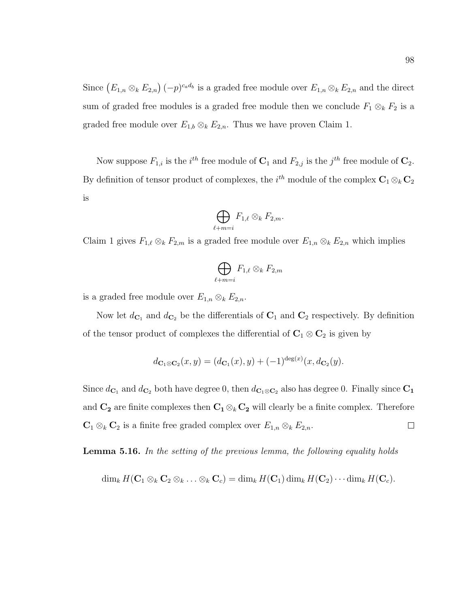Since  $(E_{1,n} \otimes_k E_{2,n})$   $(-p)^{c_a d_b}$  is a graded free module over  $E_{1,n} \otimes_k E_{2,n}$  and the direct sum of graded free modules is a graded free module then we conclude  $F_1 \otimes_k F_2$  is a graded free module over  $E_{1,b} \otimes_k E_{2,n}$ . Thus we have proven Claim 1.

Now suppose  $F_{1,i}$  is the *i*<sup>th</sup> free module of  $\mathbf{C}_1$  and  $F_{2,j}$  is the *j*<sup>th</sup> free module of  $\mathbf{C}_2$ . By definition of tensor product of complexes, the  $i^{th}$  module of the complex  $\mathbf{C}_1 \otimes_k \mathbf{C}_2$ is

$$
\bigoplus_{\ell+m=i} F_{1,\ell} \otimes_k F_{2,m}.
$$

Claim 1 gives  $F_{1,\ell} \otimes_k F_{2,m}$  is a graded free module over  $E_{1,n} \otimes_k E_{2,n}$  which implies

$$
\bigoplus_{\ell+m=i} F_{1,\ell} \otimes_k F_{2,m}
$$

is a graded free module over  $E_{1,n} \otimes_k E_{2,n}$ .

Now let  $d_{\mathbf{C}_1}$  and  $d_{\mathbf{C}_2}$  be the differentials of  $\mathbf{C}_1$  and  $\mathbf{C}_2$  respectively. By definition of the tensor product of complexes the differential of  $C_1 \otimes C_2$  is given by

$$
d_{\mathbf{C}_1 \otimes \mathbf{C}_2}(x, y) = (d_{\mathbf{C}_1}(x), y) + (-1)^{\deg(x)} (x, d_{\mathbf{C}_2}(y).
$$

Since  $d_{\mathbf{C}_1}$  and  $d_{\mathbf{C}_2}$  both have degree 0, then  $d_{\mathbf{C}_1 \otimes \mathbf{C}_2}$  also has degree 0. Finally since  $\mathbf{C}_1$ and  $C_2$  are finite complexes then  $C_1 \otimes_k C_2$  will clearly be a finite complex. Therefore  $\mathbf{C}_1 \otimes_k \mathbf{C}_2$  is a finite free graded complex over  $E_{1,n} \otimes_k E_{2,n}$ .  $\Box$ 

<span id="page-104-0"></span>**Lemma 5.16.** In the setting of the previous lemma, the following equality holds

 $\dim_k H(\mathbf{C}_1 \otimes_k \mathbf{C}_2 \otimes_k \ldots \otimes_k \mathbf{C}_c) = \dim_k H(\mathbf{C}_1) \dim_k H(\mathbf{C}_2) \cdots \dim_k H(\mathbf{C}_c).$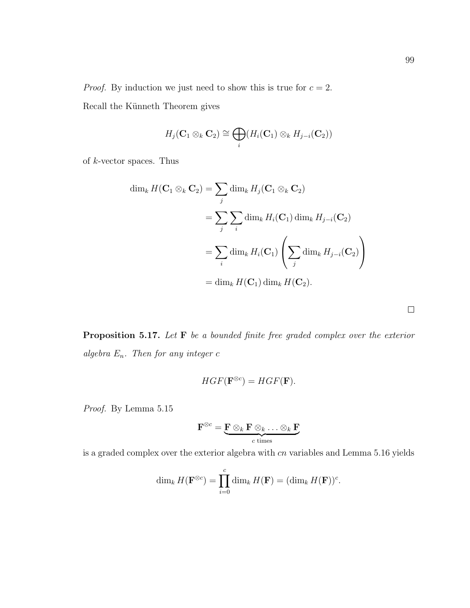*Proof.* By induction we just need to show this is true for  $c = 2$ . Recall the Künneth Theorem gives

$$
H_j(\mathbf{C}_1 \otimes_k \mathbf{C}_2) \cong \bigoplus_i (H_i(\mathbf{C}_1) \otimes_k H_{j-i}(\mathbf{C}_2))
$$

of  $k$ -vector spaces. Thus

$$
\dim_k H(\mathbf{C}_1 \otimes_k \mathbf{C}_2) = \sum_j \dim_k H_j(\mathbf{C}_1 \otimes_k \mathbf{C}_2)
$$
  
= 
$$
\sum_j \sum_i \dim_k H_i(\mathbf{C}_1) \dim_k H_{j-i}(\mathbf{C}_2)
$$
  
= 
$$
\sum_i \dim_k H_i(\mathbf{C}_1) \left( \sum_j \dim_k H_{j-i}(\mathbf{C}_2) \right)
$$
  
= 
$$
\dim_k H(\mathbf{C}_1) \dim_k H(\mathbf{C}_2).
$$

<span id="page-105-0"></span>Proposition 5.17. Let F be a bounded finite free graded complex over the exterior algebra  $E_n$ . Then for any integer  $c$ 

$$
HGF(\mathbf{F}^{\otimes c}) = HGF(\mathbf{F}).
$$

Proof. By Lemma [5.15](#page-103-1)

$$
\mathbf{F}^{\otimes c} = \underbrace{\mathbf{F} \otimes_k \mathbf{F} \otimes_k \ldots \otimes_k \mathbf{F}}_{c \text{ times}}
$$

is a graded complex over the exterior algebra with  $cn$  variables and Lemma [5.16](#page-104-0) yields

$$
\dim_k H(\mathbf{F}^{\otimes c}) = \prod_{i=0}^c \dim_k H(\mathbf{F}) = (\dim_k H(\mathbf{F}))^c.
$$

 $\Box$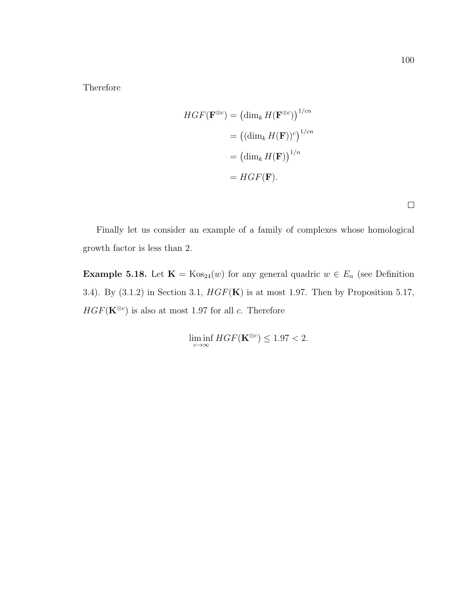Therefore

$$
HGF(\mathbf{F}^{\otimes c}) = (\dim_k H(\mathbf{F}^{\otimes c}))^{1/cn}
$$

$$
= ((\dim_k H(\mathbf{F}))^c)^{1/cn}
$$

$$
= (\dim_k H(\mathbf{F}))^{1/n}
$$

$$
= HGF(\mathbf{F}).
$$

 $\Box$ 

Finally let us consider an example of a family of complexes whose homological growth factor is less than 2.

**Example 5.18.** Let  $\mathbf{K} = \text{Kos}_{24}(w)$  for any general quadric  $w \in E_n$  (see Definition [3.4\)](#page-36-0). By  $(3.1.2)$  in Section [3.1,](#page-35-0)  $HGF(\mathbf{K})$  is at most 1.97. Then by Proposition [5.17,](#page-105-0)  $HGF(\mathbf{K}^{\otimes c})$  is also at most 1.97 for all c. Therefore

 $\liminf_{c \to \infty} HGF(\mathbf{K}^{\otimes c}) \leq 1.97 < 2.$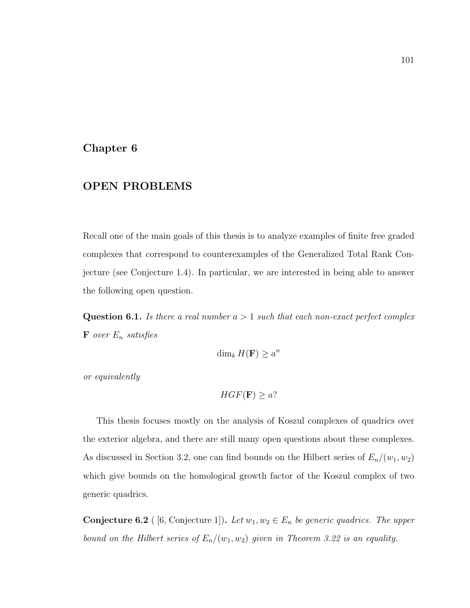#### Chapter 6

#### OPEN PROBLEMS

Recall one of the main goals of this thesis is to analyze examples of finite free graded complexes that correspond to counterexamples of the Generalized Total Rank Conjecture (see Conjecture [1.4\)](#page-9-0). In particular, we are interested in being able to answer the following open question.

**Question 6.1.** Is there a real number  $a > 1$  such that each non-exact perfect complex  $\mathbf F$  over  $E_n$  satisfies

$$
\dim_k H(\mathbf{F}) \ge a^n
$$

or equivalently

$$
HGF(\mathbf{F}) \geq a?
$$

This thesis focuses mostly on the analysis of Koszul complexes of quadrics over the exterior algebra, and there are still many open questions about these complexes. As discussed in Section [3.2,](#page-41-0) one can find bounds on the Hilbert series of  $E_n/(w_1, w_2)$ which give bounds on the homological growth factor of the Koszul complex of two generic quadrics.

**Conjecture 6.2** ( [\[6,](#page-110-0) Conjecture 1]). Let  $w_1, w_2 \in E_n$  be generic quadrics. The upper bound on the Hilbert series of  $E_n/(w_1, w_2)$  given in Theorem [3.22](#page-51-0) is an equality.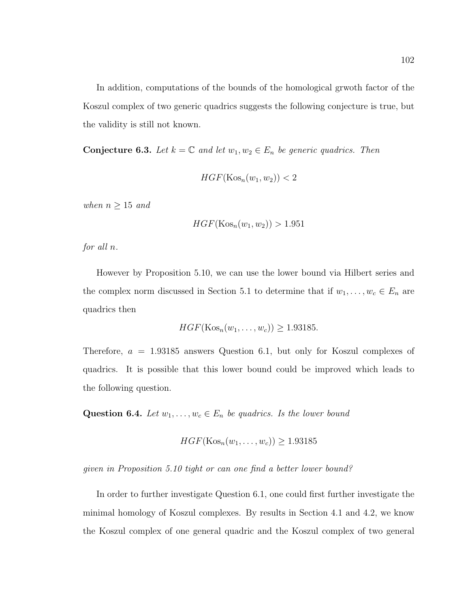In addition, computations of the bounds of the homological grwoth factor of the Koszul complex of two generic quadrics suggests the following conjecture is true, but the validity is still not known.

**Conjecture 6.3.** Let  $k = \mathbb{C}$  and let  $w_1, w_2 \in E_n$  be generic quadrics. Then

$$
HGF(\mathrm{Kos}_n(w_1, w_2)) < 2
$$

when  $n \geq 15$  and

$$
HGF(\mathrm{Kos}_n(w_1, w_2)) > 1.951
$$

for all n.

However by Proposition [5.10,](#page-96-0) we can use the lower bound via Hilbert series and the complex norm discussed in Section [5.1](#page-89-0) to determine that if  $w_1, \ldots, w_c \in E_n$  are quadrics then

$$
HGF(\text{Kos}_n(w_1,\ldots,w_c)) \ge 1.93185.
$$

Therefore,  $a = 1.93185$  answers Question [6.1,](#page-107-0) but only for Koszul complexes of quadrics. It is possible that this lower bound could be improved which leads to the following question.

Question 6.4. Let  $w_1, \ldots, w_c \in E_n$  be quadrics. Is the lower bound

$$
HGF(\text{Kos}_n(w_1,\ldots,w_c)) \ge 1.93185
$$

given in Proposition [5.10](#page-96-0) tight or can one find a better lower bound?

In order to further investigate Question [6.1,](#page-107-0) one could first further investigate the minimal homology of Koszul complexes. By results in Section [4.1](#page-62-0) and [4.2,](#page-63-0) we know the Koszul complex of one general quadric and the Koszul complex of two general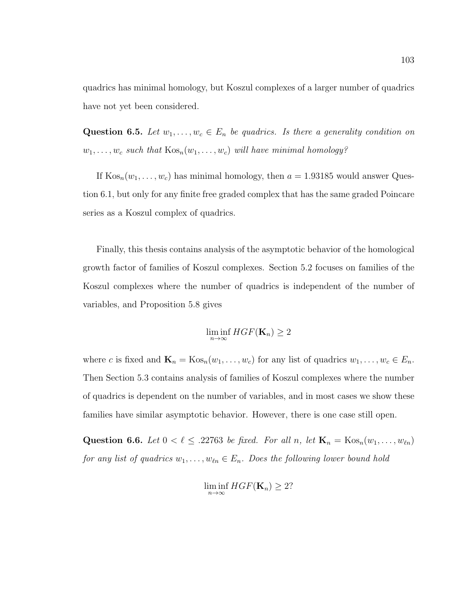quadrics has minimal homology, but Koszul complexes of a larger number of quadrics have not yet been considered.

Question 6.5. Let  $w_1, \ldots, w_c \in E_n$  be quadrics. Is there a generality condition on  $w_1, \ldots, w_c$  such that  $\text{Kos}_n(w_1, \ldots, w_c)$  will have minimal homology?

If  $\text{Kos}_n(w_1, \ldots, w_c)$  has minimal homology, then  $a = 1.93185$  would answer Question [6.1,](#page-107-0) but only for any finite free graded complex that has the same graded Poincare series as a Koszul complex of quadrics.

Finally, this thesis contains analysis of the asymptotic behavior of the homological growth factor of families of Koszul complexes. Section [5.2](#page-93-0) focuses on families of the Koszul complexes where the number of quadrics is independent of the number of variables, and Proposition [5.8](#page-94-0) gives

$$
\liminf_{n\to\infty} HGF(\mathbf{K}_n) \ge 2
$$

where c is fixed and  $\mathbf{K}_n = \text{Kos}_n(w_1, \dots, w_c)$  for any list of quadrics  $w_1, \dots, w_c \in E_n$ . Then Section [5.3](#page-99-0) contains analysis of families of Koszul complexes where the number of quadrics is dependent on the number of variables, and in most cases we show these families have similar asymptotic behavior. However, there is one case still open.

Question 6.6. Let  $0 < \ell \leq .22763$  be fixed. For all n, let  $\mathbf{K}_n = \text{Kos}_n(w_1, \ldots, w_{\ell n})$ for any list of quadrics  $w_1, \ldots, w_{\ell n} \in E_n$ . Does the following lower bound hold

$$
\liminf_{n\to\infty} HGF(\mathbf{K}_n) \geq 2?
$$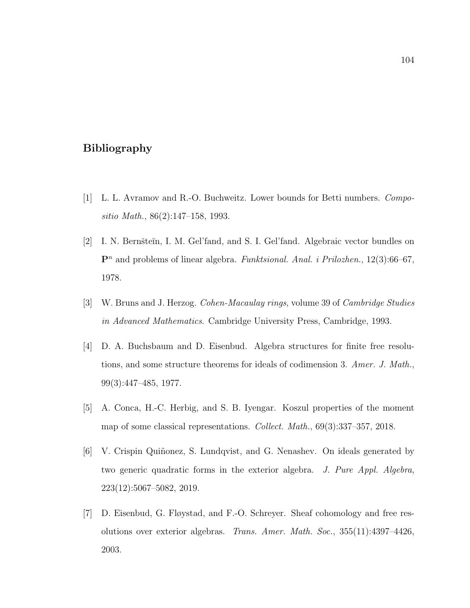## Bibliography

- [1] L. L. Avramov and R.-O. Buchweitz. Lower bounds for Betti numbers. Compositio Math., 86(2):147–158, 1993.
- [2] I. N. Bernšteĭn, I. M. Gel'fand, and S. I. Gel'fand. Algebraic vector bundles on  $\mathbf{P}^n$  and problems of linear algebra. Funktsional. Anal. i Prilozhen., 12(3):66–67, 1978.
- [3] W. Bruns and J. Herzog. Cohen-Macaulay rings, volume 39 of Cambridge Studies in Advanced Mathematics. Cambridge University Press, Cambridge, 1993.
- [4] D. A. Buchsbaum and D. Eisenbud. Algebra structures for finite free resolutions, and some structure theorems for ideals of codimension 3. Amer. J. Math., 99(3):447–485, 1977.
- [5] A. Conca, H.-C. Herbig, and S. B. Iyengar. Koszul properties of the moment map of some classical representations. Collect. Math., 69(3):337–357, 2018.
- [6] V. Crispin Quiñonez, S. Lundqvist, and G. Nenashev. On ideals generated by two generic quadratic forms in the exterior algebra. J. Pure Appl. Algebra, 223(12):5067–5082, 2019.
- [7] D. Eisenbud, G. Fløystad, and F.-O. Schreyer. Sheaf cohomology and free resolutions over exterior algebras. Trans. Amer. Math. Soc., 355(11):4397–4426, 2003.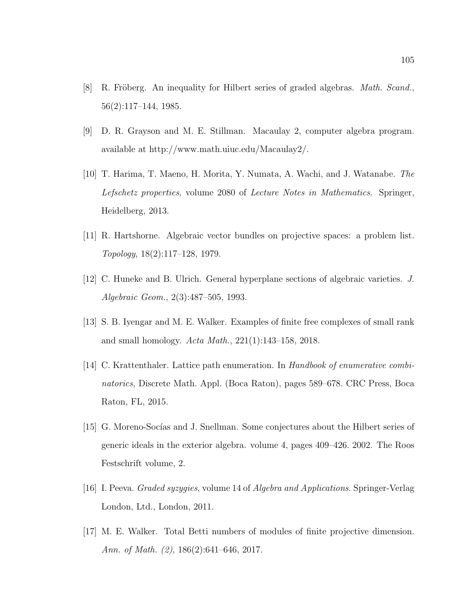- [8] R. Fröberg. An inequality for Hilbert series of graded algebras. *Math. Scand.*, 56(2):117–144, 1985.
- [9] D. R. Grayson and M. E. Stillman. Macaulay 2, computer algebra program. available at [http://www.math.uiuc.edu/Macaulay2/.](http://www.math.uiuc.edu/Macaulay2/)
- [10] T. Harima, T. Maeno, H. Morita, Y. Numata, A. Wachi, and J. Watanabe. The Lefschetz properties, volume 2080 of Lecture Notes in Mathematics. Springer, Heidelberg, 2013.
- [11] R. Hartshorne. Algebraic vector bundles on projective spaces: a problem list. Topology, 18(2):117–128, 1979.
- [12] C. Huneke and B. Ulrich. General hyperplane sections of algebraic varieties. J. Algebraic Geom., 2(3):487–505, 1993.
- [13] S. B. Iyengar and M. E. Walker. Examples of finite free complexes of small rank and small homology. Acta Math., 221(1):143–158, 2018.
- [14] C. Krattenthaler. Lattice path enumeration. In Handbook of enumerative combinatorics, Discrete Math. Appl. (Boca Raton), pages 589–678. CRC Press, Boca Raton, FL, 2015.
- [15] G. Moreno-Socías and J. Snellman. Some conjectures about the Hilbert series of generic ideals in the exterior algebra. volume 4, pages 409–426. 2002. The Roos Festschrift volume, 2.
- [16] I. Peeva. Graded syzygies, volume 14 of Algebra and Applications. Springer-Verlag London, Ltd., London, 2011.
- [17] M. E. Walker. Total Betti numbers of modules of finite projective dimension. Ann. of Math. (2), 186(2):641–646, 2017.